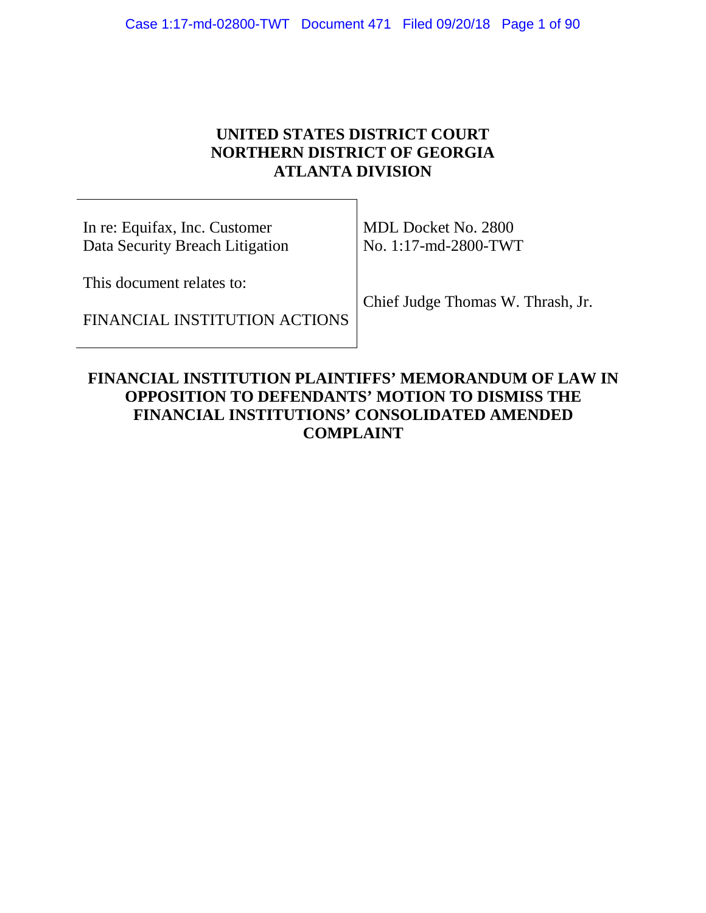## **UNITED STATES DISTRICT COURT NORTHERN DISTRICT OF GEORGIA ATLANTA DIVISION**

In re: Equifax, Inc. Customer Data Security Breach Litigation

FINANCIAL INSTITUTION ACTIONS

This document relates to:

MDL Docket No. 2800 No. 1:17-md-2800-TWT

Chief Judge Thomas W. Thrash, Jr.

### **FINANCIAL INSTITUTION PLAINTIFFS' MEMORANDUM OF LAW IN OPPOSITION TO DEFENDANTS' MOTION TO DISMISS THE FINANCIAL INSTITUTIONS' CONSOLIDATED AMENDED COMPLAINT**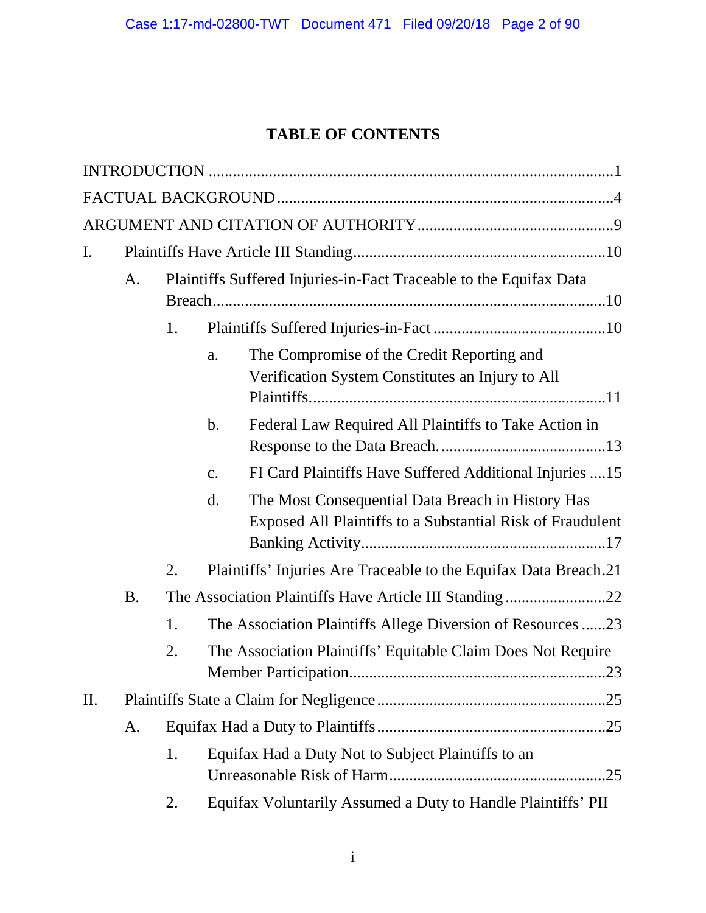# **TABLE OF CONTENTS**

| I.  |           |    |                                                                    |                                                                                                                 |  |  |
|-----|-----------|----|--------------------------------------------------------------------|-----------------------------------------------------------------------------------------------------------------|--|--|
|     | A.        |    | Plaintiffs Suffered Injuries-in-Fact Traceable to the Equifax Data |                                                                                                                 |  |  |
|     |           | 1. |                                                                    |                                                                                                                 |  |  |
|     |           |    | a.                                                                 | The Compromise of the Credit Reporting and<br>Verification System Constitutes an Injury to All                  |  |  |
|     |           |    | b.                                                                 | Federal Law Required All Plaintiffs to Take Action in                                                           |  |  |
|     |           |    | $\mathbf{C}$ .                                                     | FI Card Plaintiffs Have Suffered Additional Injuries  15                                                        |  |  |
|     |           |    | d.                                                                 | The Most Consequential Data Breach in History Has<br>Exposed All Plaintiffs to a Substantial Risk of Fraudulent |  |  |
|     |           | 2. |                                                                    | Plaintiffs' Injuries Are Traceable to the Equifax Data Breach.21                                                |  |  |
|     | <b>B.</b> |    |                                                                    | The Association Plaintiffs Have Article III Standing22                                                          |  |  |
|     |           | 1. |                                                                    | The Association Plaintiffs Allege Diversion of Resources 23                                                     |  |  |
|     |           | 2. |                                                                    | The Association Plaintiffs' Equitable Claim Does Not Require                                                    |  |  |
| II. |           |    |                                                                    |                                                                                                                 |  |  |
|     | A.        |    |                                                                    |                                                                                                                 |  |  |
|     |           | 1. |                                                                    | Equifax Had a Duty Not to Subject Plaintiffs to an                                                              |  |  |
|     |           | 2. |                                                                    | Equifax Voluntarily Assumed a Duty to Handle Plaintiffs' PII                                                    |  |  |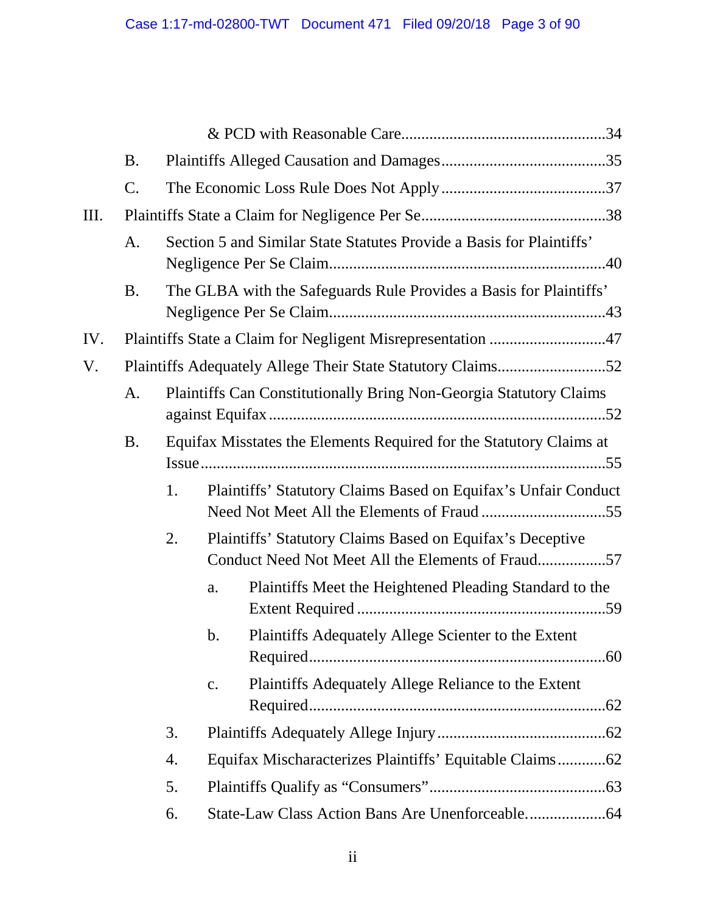|     | <b>B.</b> |    |                |                                                                                                                |  |
|-----|-----------|----|----------------|----------------------------------------------------------------------------------------------------------------|--|
|     | C.        |    |                |                                                                                                                |  |
| Ш.  |           |    |                |                                                                                                                |  |
|     | A.        |    |                | Section 5 and Similar State Statutes Provide a Basis for Plaintiffs'                                           |  |
|     | <b>B.</b> |    |                | The GLBA with the Safeguards Rule Provides a Basis for Plaintiffs'                                             |  |
| IV. |           |    |                |                                                                                                                |  |
| V.  |           |    |                |                                                                                                                |  |
|     | A.        |    |                | <b>Plaintiffs Can Constitutionally Bring Non-Georgia Statutory Claims</b>                                      |  |
|     | <b>B.</b> |    |                | Equifax Misstates the Elements Required for the Statutory Claims at                                            |  |
|     |           | 1. |                | Plaintiffs' Statutory Claims Based on Equifax's Unfair Conduct                                                 |  |
|     |           | 2. |                | Plaintiffs' Statutory Claims Based on Equifax's Deceptive<br>Conduct Need Not Meet All the Elements of Fraud57 |  |
|     |           |    | a.             | Plaintiffs Meet the Heightened Pleading Standard to the                                                        |  |
|     |           |    |                | b. Plaintiffs Adequately Allege Scienter to the Extent                                                         |  |
|     |           |    | $\mathbf{c}$ . | Plaintiffs Adequately Allege Reliance to the Extent                                                            |  |
|     |           | 3. |                |                                                                                                                |  |
|     |           | 4. |                |                                                                                                                |  |
|     |           | 5. |                |                                                                                                                |  |
|     |           | 6. |                |                                                                                                                |  |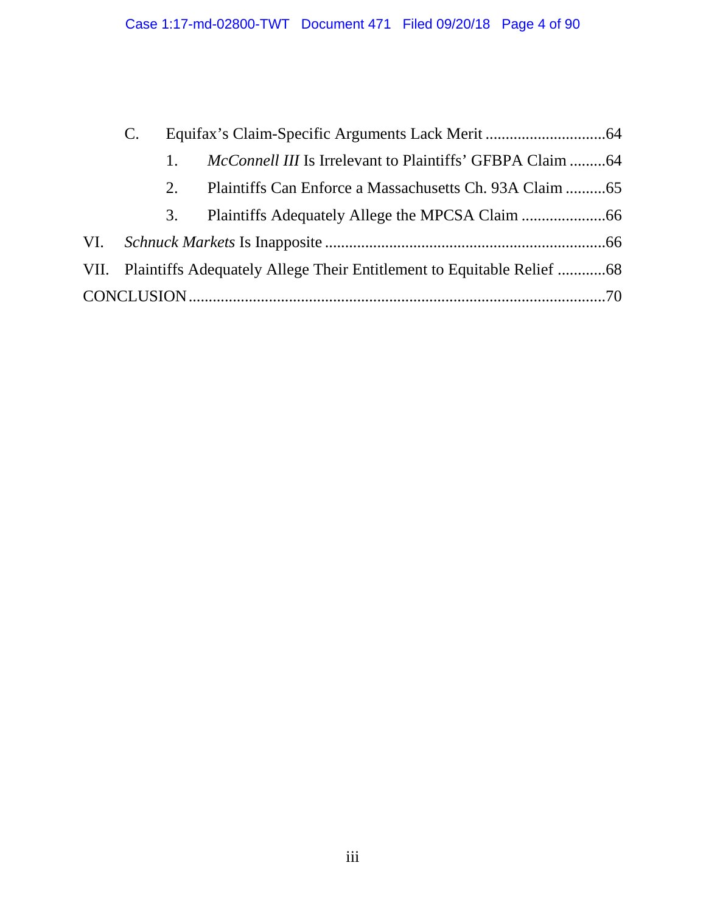|  | $1_{\cdot}$ | <i>McConnell III</i> Is Irrelevant to Plaintiffs' GFBPA Claim 64 |  |
|--|-------------|------------------------------------------------------------------|--|
|  | 2.          |                                                                  |  |
|  | 3.          |                                                                  |  |
|  |             |                                                                  |  |
|  |             |                                                                  |  |
|  |             |                                                                  |  |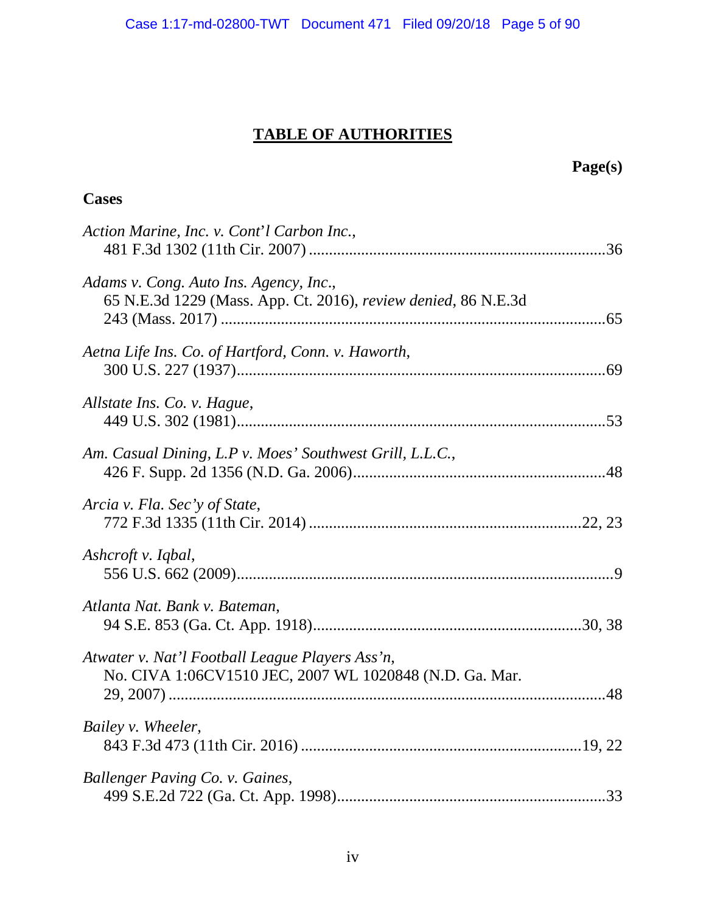# **TABLE OF AUTHORITIES**

## **Cases**

| Action Marine, Inc. v. Cont'l Carbon Inc.,                                                                 |  |
|------------------------------------------------------------------------------------------------------------|--|
| Adams v. Cong. Auto Ins. Agency, Inc.,<br>65 N.E.3d 1229 (Mass. App. Ct. 2016), review denied, 86 N.E.3d   |  |
| Aetna Life Ins. Co. of Hartford, Conn. v. Haworth,                                                         |  |
| Allstate Ins. Co. v. Hague,                                                                                |  |
| Am. Casual Dining, L.P v. Moes' Southwest Grill, L.L.C.,                                                   |  |
| Arcia v. Fla. Sec'y of State,                                                                              |  |
| Ashcroft v. Iqbal,                                                                                         |  |
| Atlanta Nat. Bank v. Bateman,                                                                              |  |
| Atwater v. Nat'l Football League Players Ass'n,<br>No. CIVA 1:06CV1510 JEC, 2007 WL 1020848 (N.D. Ga. Mar. |  |
| Bailey v. Wheeler,                                                                                         |  |
| Ballenger Paving Co. v. Gaines,                                                                            |  |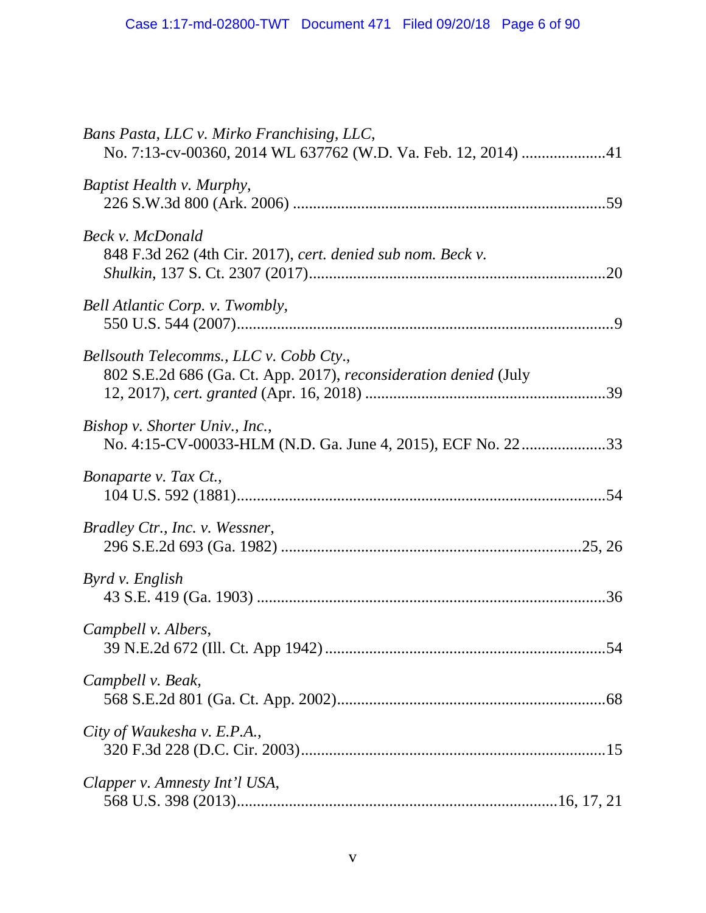| Bans Pasta, LLC v. Mirko Franchising, LLC,                                                                  |
|-------------------------------------------------------------------------------------------------------------|
| Baptist Health v. Murphy,                                                                                   |
| Beck v. McDonald<br>848 F.3d 262 (4th Cir. 2017), cert. denied sub nom. Beck v.                             |
| Bell Atlantic Corp. v. Twombly,                                                                             |
| Bellsouth Telecomms., LLC v. Cobb Cty.,<br>802 S.E.2d 686 (Ga. Ct. App. 2017), reconsideration denied (July |
| Bishop v. Shorter Univ., Inc.,<br>No. 4:15-CV-00033-HLM (N.D. Ga. June 4, 2015), ECF No. 2233               |
| Bonaparte v. Tax Ct.,                                                                                       |
| Bradley Ctr., Inc. v. Wessner,                                                                              |
| Byrd v. English                                                                                             |
| Campbell v. Albers,                                                                                         |
| Campbell v. Beak,                                                                                           |
| City of Waukesha v. E.P.A.,                                                                                 |
| Clapper v. Amnesty Int'l USA,                                                                               |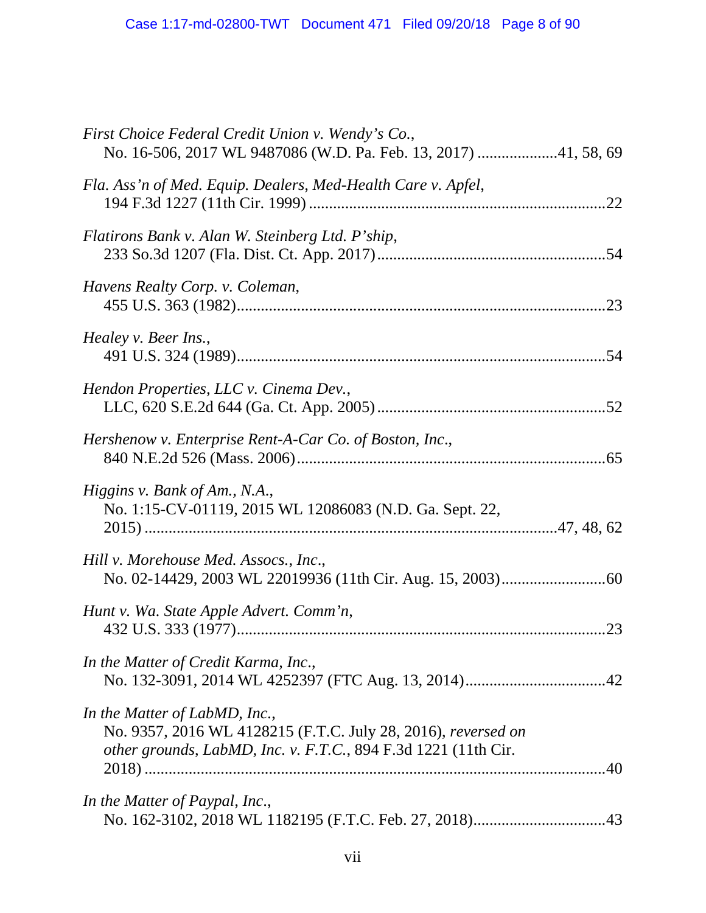| First Choice Federal Credit Union v. Wendy's Co.,<br>No. 16-506, 2017 WL 9487086 (W.D. Pa. Feb. 13, 2017) 41, 58, 69                                             |
|------------------------------------------------------------------------------------------------------------------------------------------------------------------|
| Fla. Ass'n of Med. Equip. Dealers, Med-Health Care v. Apfel,                                                                                                     |
| Flatirons Bank v. Alan W. Steinberg Ltd. P'ship,                                                                                                                 |
| Havens Realty Corp. v. Coleman,                                                                                                                                  |
| Healey v. Beer Ins.,                                                                                                                                             |
| Hendon Properties, LLC v. Cinema Dev.,                                                                                                                           |
| Hershenow v. Enterprise Rent-A-Car Co. of Boston, Inc.,                                                                                                          |
| Higgins v. Bank of Am., N.A.,<br>No. 1:15-CV-01119, 2015 WL 12086083 (N.D. Ga. Sept. 22,                                                                         |
| Hill v. Morehouse Med. Assocs., Inc.,                                                                                                                            |
| Hunt v. Wa. State Apple Advert. Comm'n,                                                                                                                          |
| In the Matter of Credit Karma, Inc.,                                                                                                                             |
| In the Matter of LabMD, Inc.,<br>No. 9357, 2016 WL 4128215 (F.T.C. July 28, 2016), reversed on<br>other grounds, LabMD, Inc. v. F.T.C., 894 F.3d 1221 (11th Cir. |
| In the Matter of Paypal, Inc.,                                                                                                                                   |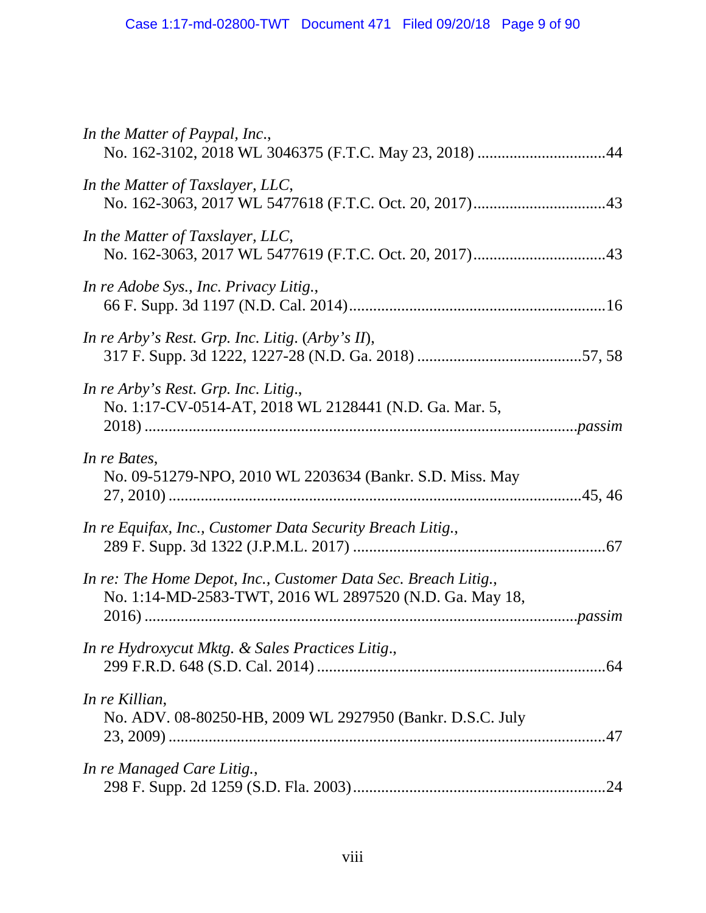| In the Matter of Paypal, Inc.,                                                                                            |
|---------------------------------------------------------------------------------------------------------------------------|
| In the Matter of Taxslayer, LLC,                                                                                          |
| In the Matter of Taxslayer, LLC,                                                                                          |
| In re Adobe Sys., Inc. Privacy Litig.,                                                                                    |
| In re Arby's Rest. Grp. Inc. Litig. (Arby's II),                                                                          |
| In re Arby's Rest. Grp. Inc. Litig.,<br>No. 1:17-CV-0514-AT, 2018 WL 2128441 (N.D. Ga. Mar. 5,                            |
| In re Bates,<br>No. 09-51279-NPO, 2010 WL 2203634 (Bankr. S.D. Miss. May                                                  |
| In re Equifax, Inc., Customer Data Security Breach Litig.,                                                                |
| In re: The Home Depot, Inc., Customer Data Sec. Breach Litig.,<br>No. 1:14-MD-2583-TWT, 2016 WL 2897520 (N.D. Ga. May 18, |
| In re Hydroxycut Mktg. & Sales Practices Litig.,                                                                          |
| In re Killian,<br>No. ADV. 08-80250-HB, 2009 WL 2927950 (Bankr. D.S.C. July                                               |
| In re Managed Care Litig.,                                                                                                |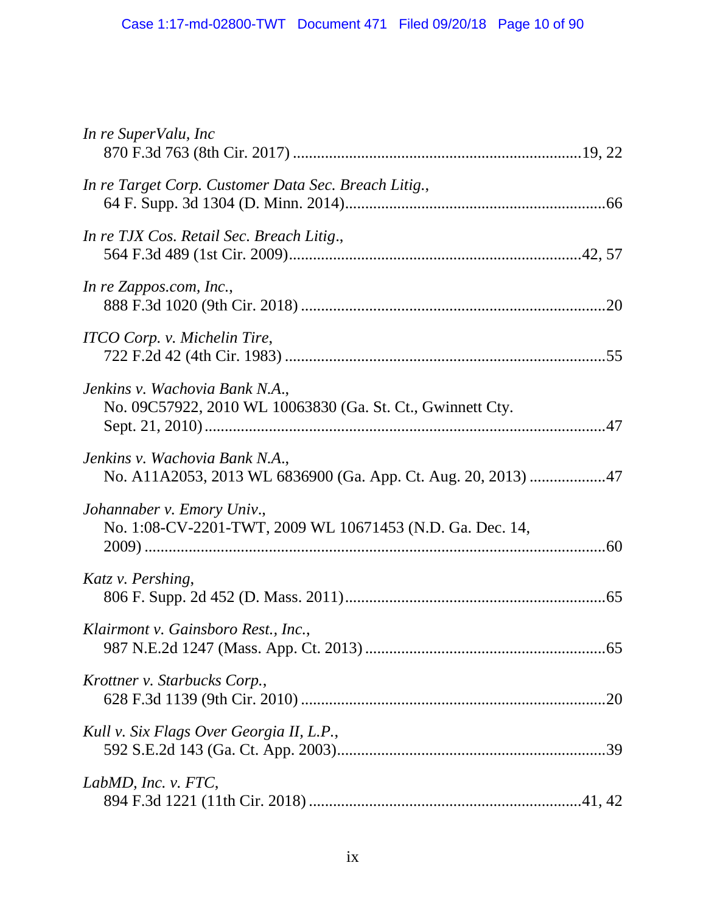| In re SuperValu, Inc                                                                            |
|-------------------------------------------------------------------------------------------------|
| In re Target Corp. Customer Data Sec. Breach Litig.,                                            |
| In re TJX Cos. Retail Sec. Breach Litig.,                                                       |
| In re Zappos.com, Inc.,                                                                         |
| ITCO Corp. v. Michelin Tire,                                                                    |
| Jenkins v. Wachovia Bank N.A.,<br>No. 09C57922, 2010 WL 10063830 (Ga. St. Ct., Gwinnett Cty.    |
| Jenkins v. Wachovia Bank N.A.,<br>No. A11A2053, 2013 WL 6836900 (Ga. App. Ct. Aug. 20, 2013) 47 |
| Johannaber v. Emory Univ.,<br>No. 1:08-CV-2201-TWT, 2009 WL 10671453 (N.D. Ga. Dec. 14,         |
| Katz v. Pershing,                                                                               |
| Klairmont v. Gainsboro Rest., Inc.,                                                             |
| Krottner v. Starbucks Corp.,                                                                    |
| Kull v. Six Flags Over Georgia II, L.P.,                                                        |
| LabMD, Inc. v. FTC,                                                                             |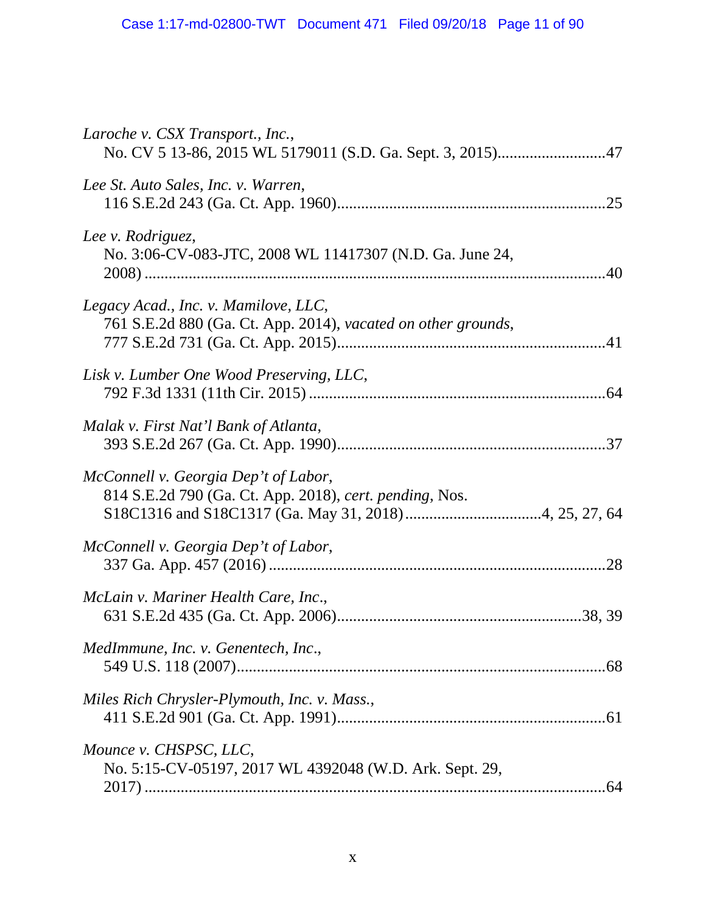| Laroche v. CSX Transport., Inc.,                                                                      |
|-------------------------------------------------------------------------------------------------------|
| Lee St. Auto Sales, Inc. v. Warren,                                                                   |
| Lee v. Rodriguez,<br>No. 3:06-CV-083-JTC, 2008 WL 11417307 (N.D. Ga. June 24,                         |
| Legacy Acad., Inc. v. Mamilove, LLC,<br>761 S.E.2d 880 (Ga. Ct. App. 2014), vacated on other grounds, |
| Lisk v. Lumber One Wood Preserving, LLC,                                                              |
| Malak v. First Nat'l Bank of Atlanta,                                                                 |
| McConnell v. Georgia Dep't of Labor,<br>814 S.E.2d 790 (Ga. Ct. App. 2018), cert. pending, Nos.       |
| McConnell v. Georgia Dep't of Labor,                                                                  |
| McLain v. Mariner Health Care, Inc.,                                                                  |
| MedImmune, Inc. v. Genentech, Inc.,                                                                   |
| Miles Rich Chrysler-Plymouth, Inc. v. Mass.,                                                          |
| Mounce v. CHSPSC, LLC,<br>No. 5:15-CV-05197, 2017 WL 4392048 (W.D. Ark. Sept. 29,                     |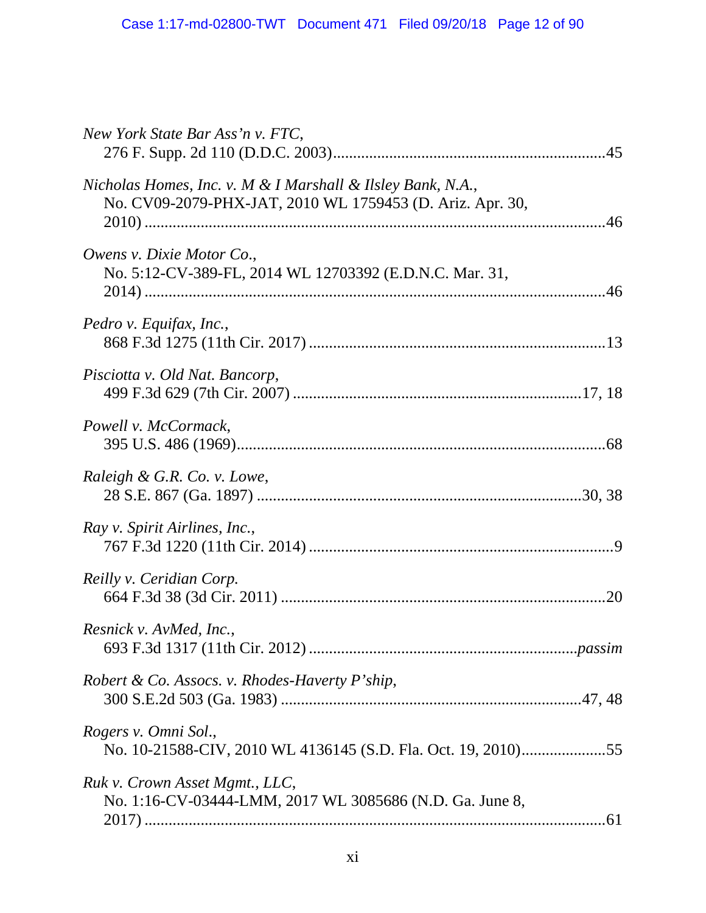| New York State Bar Ass'n v. FTC,                                                                                         |
|--------------------------------------------------------------------------------------------------------------------------|
| Nicholas Homes, Inc. v. M & I Marshall & Ilsley Bank, N.A.,<br>No. CV09-2079-PHX-JAT, 2010 WL 1759453 (D. Ariz. Apr. 30, |
| Owens v. Dixie Motor Co.,<br>No. 5:12-CV-389-FL, 2014 WL 12703392 (E.D.N.C. Mar. 31,                                     |
| Pedro v. Equifax, Inc.,                                                                                                  |
| Pisciotta v. Old Nat. Bancorp,                                                                                           |
| Powell v. McCormack,                                                                                                     |
| Raleigh & G.R. Co. v. Lowe,                                                                                              |
| Ray v. Spirit Airlines, Inc.,                                                                                            |
| Reilly v. Ceridian Corp.                                                                                                 |
| Resnick v. AvMed, Inc.,                                                                                                  |
| Robert & Co. Assocs. v. Rhodes-Haverty P'ship,                                                                           |
| Rogers v. Omni Sol.,<br>No. 10-21588-CIV, 2010 WL 4136145 (S.D. Fla. Oct. 19, 2010)55                                    |
| Ruk v. Crown Asset Mgmt., LLC,<br>No. 1:16-CV-03444-LMM, 2017 WL 3085686 (N.D. Ga. June 8,                               |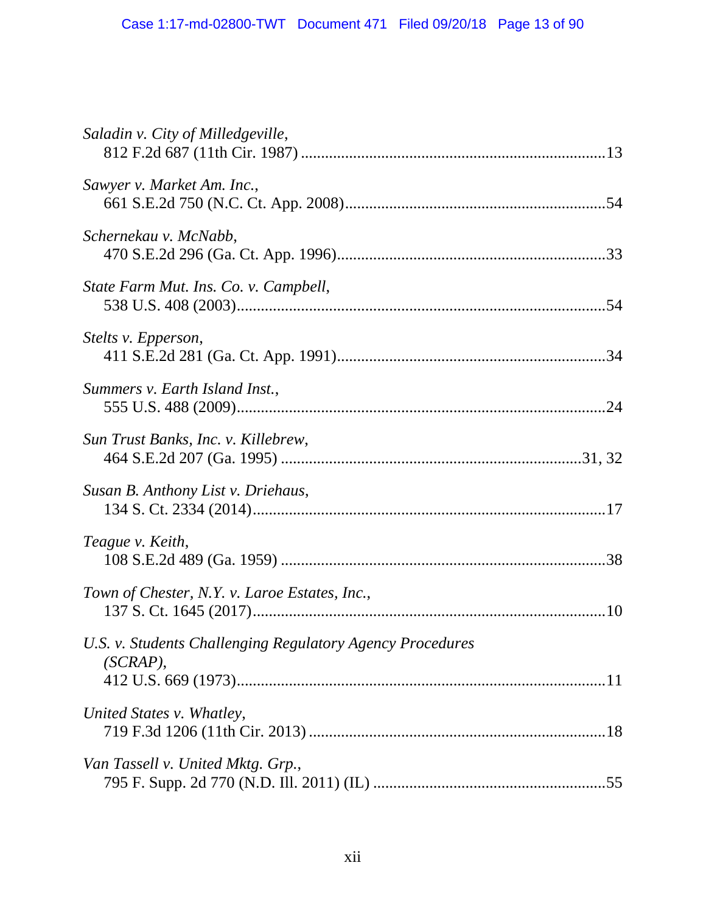| Saladin v. City of Milledgeville,                                     |
|-----------------------------------------------------------------------|
| Sawyer v. Market Am. Inc.,                                            |
| Schernekau v. McNabb,                                                 |
| State Farm Mut. Ins. Co. v. Campbell,                                 |
| Stelts v. Epperson,                                                   |
| Summers v. Earth Island Inst.,                                        |
| Sun Trust Banks, Inc. v. Killebrew,                                   |
| Susan B. Anthony List v. Driehaus,                                    |
| Teague v. Keith,                                                      |
| Town of Chester, N.Y. v. Laroe Estates, Inc.,                         |
| U.S. v. Students Challenging Regulatory Agency Procedures<br>(SCRAP), |
| United States v. Whatley,                                             |
| Van Tassell v. United Mktg. Grp.,                                     |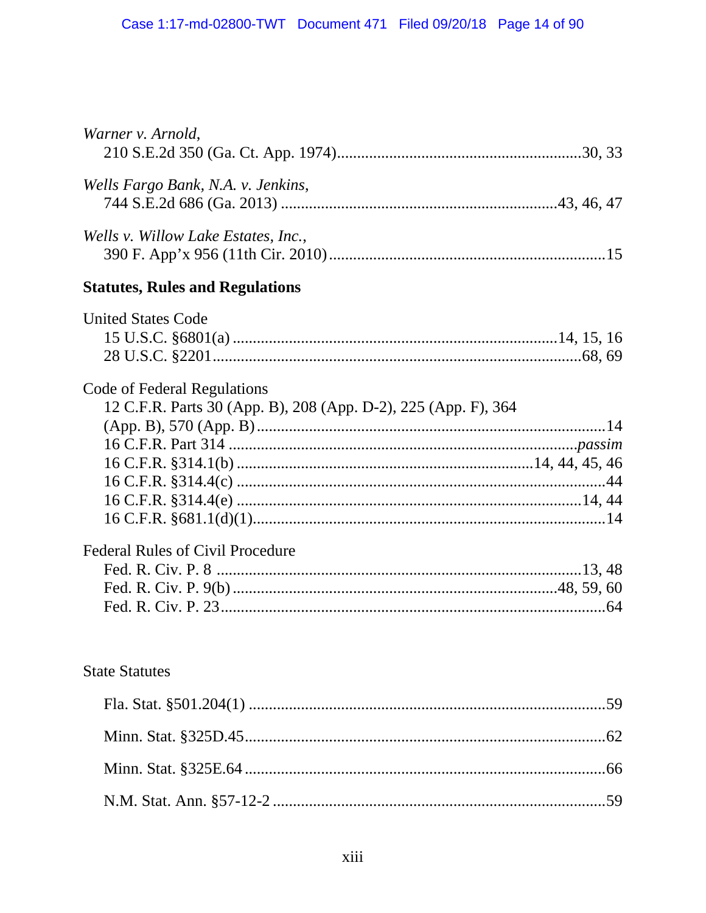| Warner v. Arnold,                                                                             |     |
|-----------------------------------------------------------------------------------------------|-----|
| Wells Fargo Bank, N.A. v. Jenkins,                                                            |     |
| Wells v. Willow Lake Estates, Inc.,                                                           |     |
| <b>Statutes, Rules and Regulations</b>                                                        |     |
| <b>United States Code</b>                                                                     |     |
| Code of Federal Regulations<br>12 C.F.R. Parts 30 (App. B), 208 (App. D-2), 225 (App. F), 364 |     |
|                                                                                               |     |
|                                                                                               |     |
| <b>Federal Rules of Civil Procedure</b>                                                       |     |
| <b>State Statutes</b>                                                                         |     |
|                                                                                               | .59 |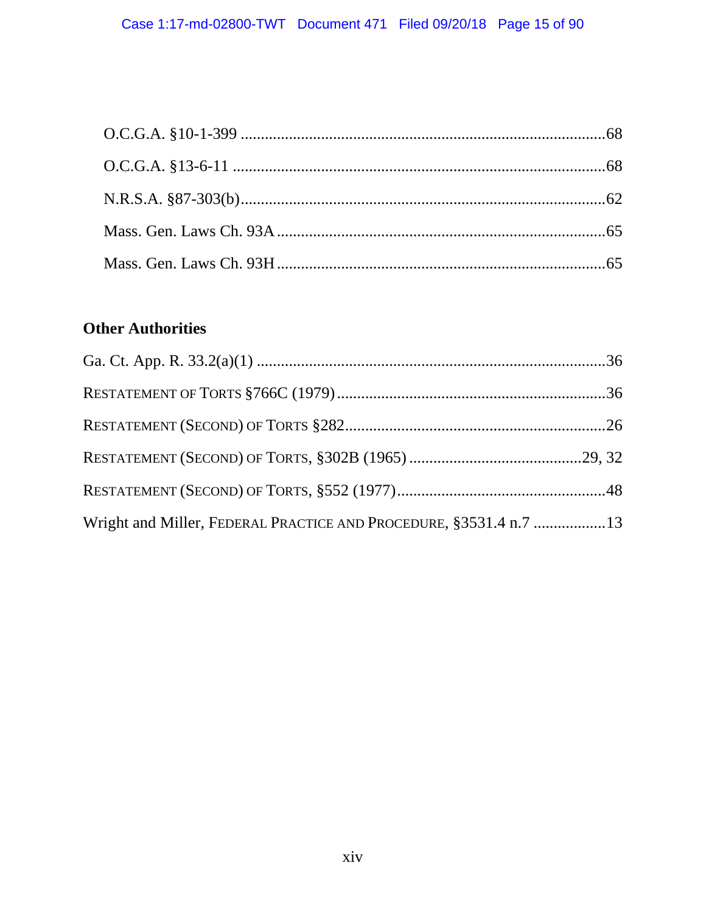# **Other Authorities**

| Wright and Miller, FEDERAL PRACTICE AND PROCEDURE, §3531.4 n.7 13 |  |
|-------------------------------------------------------------------|--|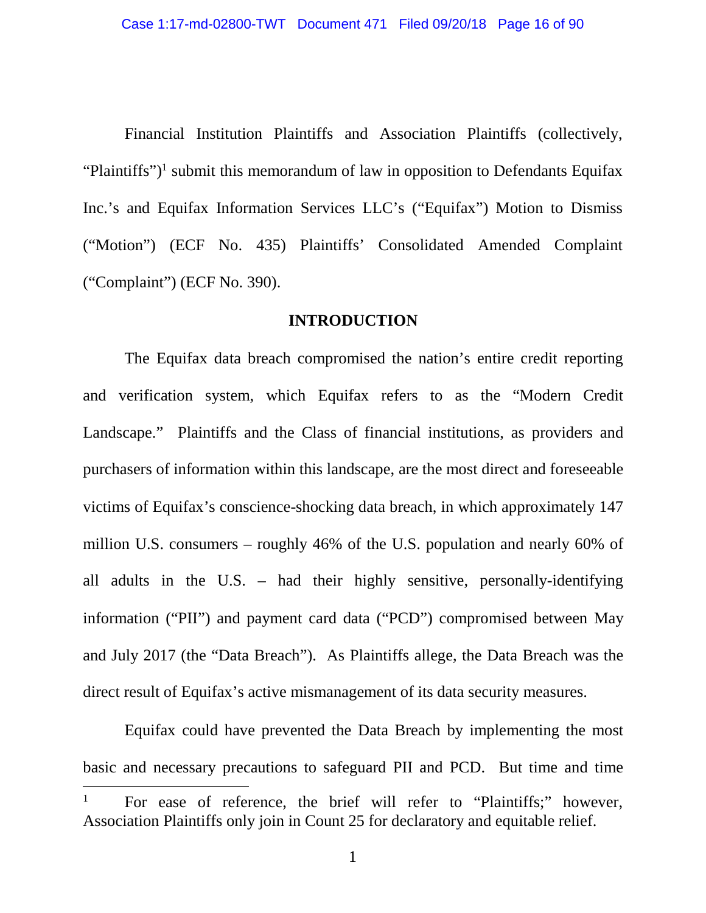Financial Institution Plaintiffs and Association Plaintiffs (collectively, "Plaintiffs")<sup>1</sup> submit this memorandum of law in opposition to Defendants Equifax Inc.'s and Equifax Information Services LLC's ("Equifax") Motion to Dismiss ("Motion") (ECF No. 435) Plaintiffs' Consolidated Amended Complaint ("Complaint") (ECF No. 390).

#### **INTRODUCTION**

The Equifax data breach compromised the nation's entire credit reporting and verification system, which Equifax refers to as the "Modern Credit Landscape." Plaintiffs and the Class of financial institutions, as providers and purchasers of information within this landscape, are the most direct and foreseeable victims of Equifax's conscience-shocking data breach, in which approximately 147 million U.S. consumers – roughly 46% of the U.S. population and nearly 60% of all adults in the U.S. – had their highly sensitive, personally-identifying information ("PII") and payment card data ("PCD") compromised between May and July 2017 (the "Data Breach"). As Plaintiffs allege, the Data Breach was the direct result of Equifax's active mismanagement of its data security measures.

Equifax could have prevented the Data Breach by implementing the most basic and necessary precautions to safeguard PII and PCD. But time and time

<sup>1</sup> For ease of reference, the brief will refer to "Plaintiffs;" however, Association Plaintiffs only join in Count 25 for declaratory and equitable relief.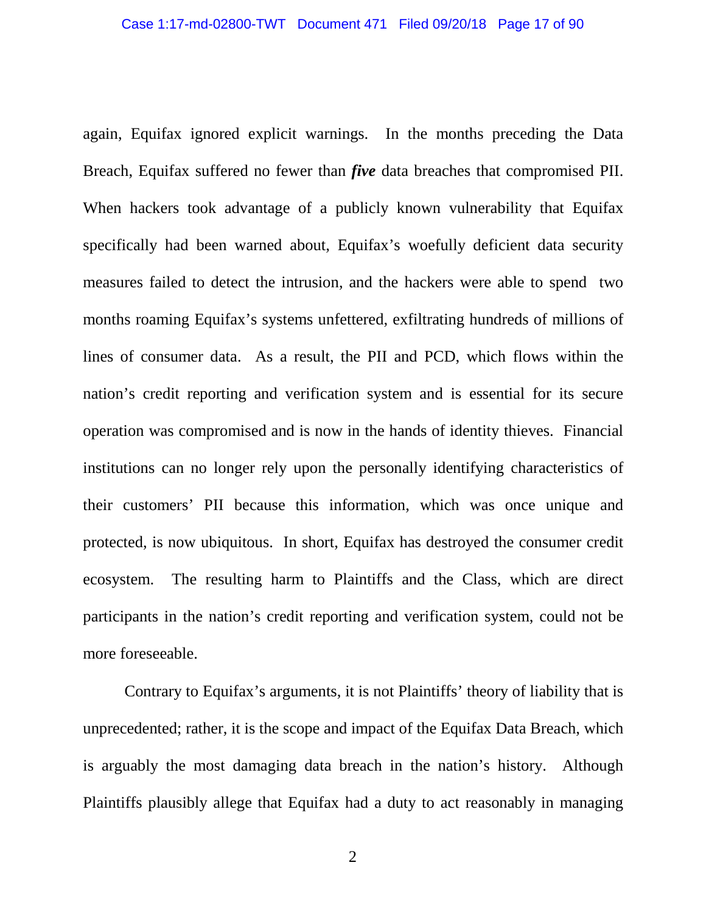again, Equifax ignored explicit warnings. In the months preceding the Data Breach, Equifax suffered no fewer than *five* data breaches that compromised PII. When hackers took advantage of a publicly known vulnerability that Equifax specifically had been warned about, Equifax's woefully deficient data security measures failed to detect the intrusion, and the hackers were able to spend two months roaming Equifax's systems unfettered, exfiltrating hundreds of millions of lines of consumer data. As a result, the PII and PCD, which flows within the nation's credit reporting and verification system and is essential for its secure operation was compromised and is now in the hands of identity thieves. Financial institutions can no longer rely upon the personally identifying characteristics of their customers' PII because this information, which was once unique and protected, is now ubiquitous. In short, Equifax has destroyed the consumer credit ecosystem. The resulting harm to Plaintiffs and the Class, which are direct participants in the nation's credit reporting and verification system, could not be more foreseeable.

Contrary to Equifax's arguments, it is not Plaintiffs' theory of liability that is unprecedented; rather, it is the scope and impact of the Equifax Data Breach, which is arguably the most damaging data breach in the nation's history. Although Plaintiffs plausibly allege that Equifax had a duty to act reasonably in managing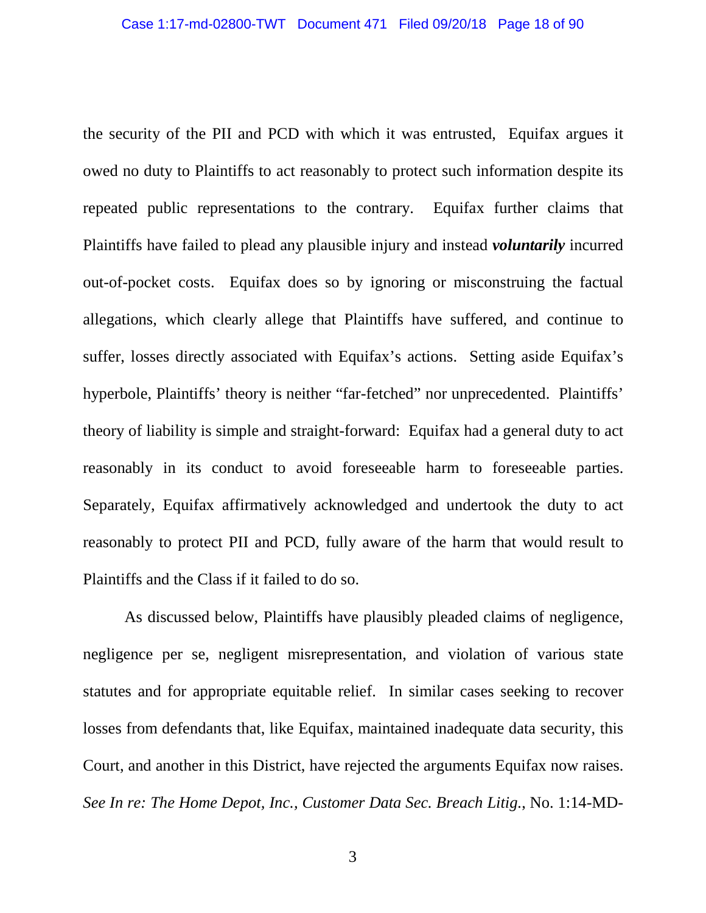the security of the PII and PCD with which it was entrusted, Equifax argues it owed no duty to Plaintiffs to act reasonably to protect such information despite its repeated public representations to the contrary. Equifax further claims that Plaintiffs have failed to plead any plausible injury and instead *voluntarily* incurred out-of-pocket costs. Equifax does so by ignoring or misconstruing the factual allegations, which clearly allege that Plaintiffs have suffered, and continue to suffer, losses directly associated with Equifax's actions. Setting aside Equifax's hyperbole, Plaintiffs' theory is neither "far-fetched" nor unprecedented. Plaintiffs' theory of liability is simple and straight-forward: Equifax had a general duty to act reasonably in its conduct to avoid foreseeable harm to foreseeable parties. Separately, Equifax affirmatively acknowledged and undertook the duty to act reasonably to protect PII and PCD, fully aware of the harm that would result to Plaintiffs and the Class if it failed to do so.

As discussed below, Plaintiffs have plausibly pleaded claims of negligence, negligence per se, negligent misrepresentation, and violation of various state statutes and for appropriate equitable relief. In similar cases seeking to recover losses from defendants that, like Equifax, maintained inadequate data security, this Court, and another in this District, have rejected the arguments Equifax now raises. *See In re: The Home Depot, Inc., Customer Data Sec. Breach Litig.*, No. 1:14-MD-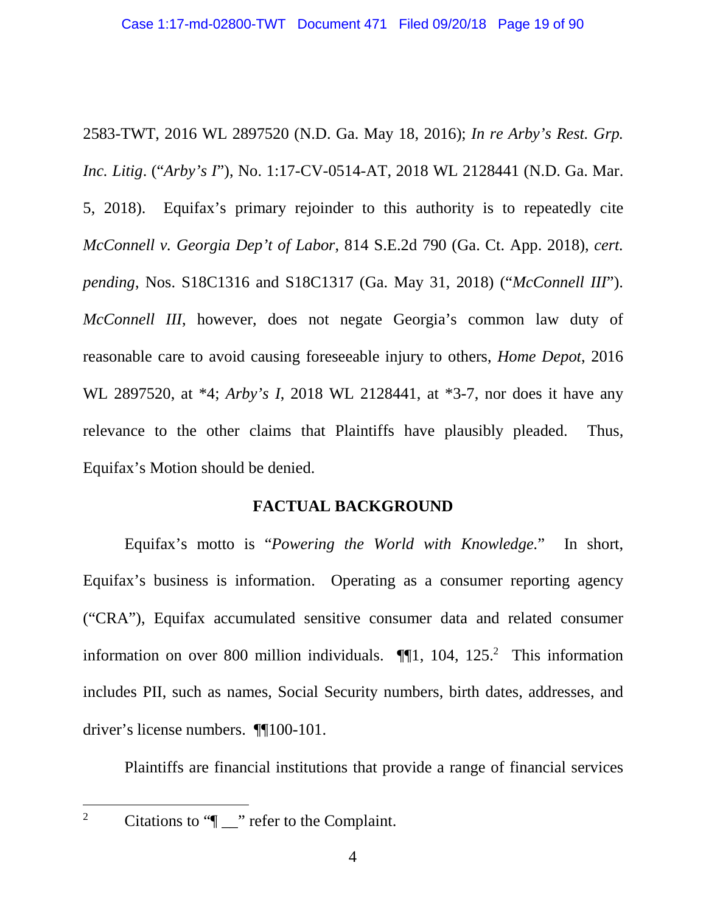2583-TWT, 2016 WL 2897520 (N.D. Ga. May 18, 2016); *In re Arby's Rest. Grp. Inc. Litig*. ("*Arby's I*"), No. 1:17-CV-0514-AT, 2018 WL 2128441 (N.D. Ga. Mar. 5, 2018). Equifax's primary rejoinder to this authority is to repeatedly cite *McConnell v. Georgia Dep't of Labor*, 814 S.E.2d 790 (Ga. Ct. App. 2018), *cert. pending*, Nos. S18C1316 and S18C1317 (Ga. May 31, 2018) ("*McConnell III*"). *McConnell III*, however, does not negate Georgia's common law duty of reasonable care to avoid causing foreseeable injury to others, *Home Depot*, 2016 WL 2897520, at \*4; *Arby's I*, 2018 WL 2128441, at \*3-7, nor does it have any relevance to the other claims that Plaintiffs have plausibly pleaded. Thus, Equifax's Motion should be denied.

#### **FACTUAL BACKGROUND**

Equifax's motto is "*Powering the World with Knowledge.*" In short, Equifax's business is information. Operating as a consumer reporting agency ("CRA"), Equifax accumulated sensitive consumer data and related consumer information on over 800 million individuals.  $\P$ [1, 104, 125.<sup>2</sup> This information includes PII, such as names, Social Security numbers, birth dates, addresses, and driver's license numbers. ¶¶100-101.

Plaintiffs are financial institutions that provide a range of financial services

<sup>2</sup> Citations to " $\lceil \cdot \rceil$  refer to the Complaint.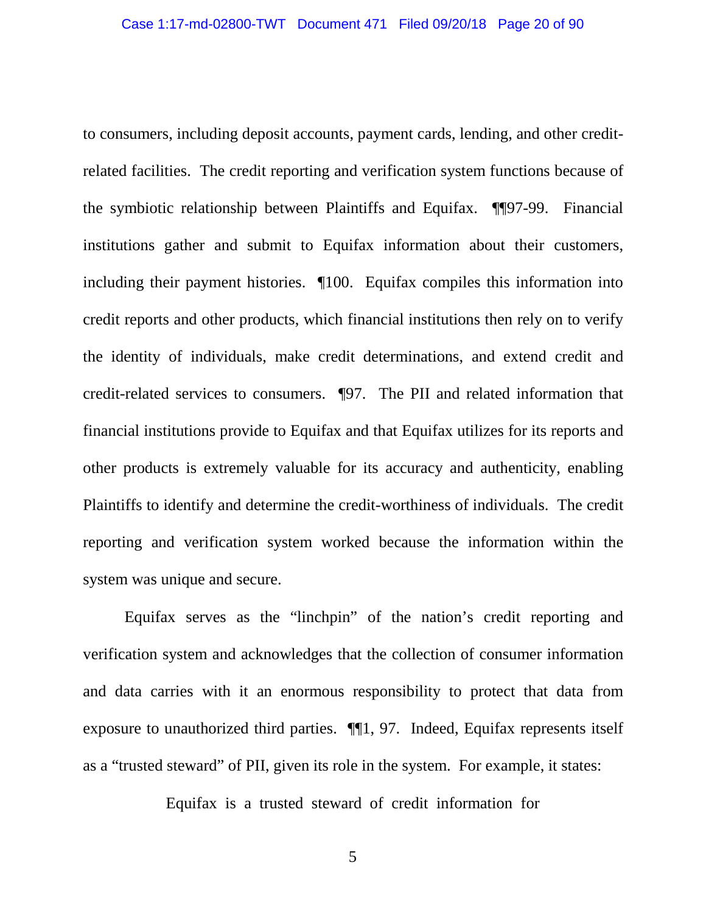to consumers, including deposit accounts, payment cards, lending, and other creditrelated facilities. The credit reporting and verification system functions because of the symbiotic relationship between Plaintiffs and Equifax. ¶¶97-99. Financial institutions gather and submit to Equifax information about their customers, including their payment histories. ¶100. Equifax compiles this information into credit reports and other products, which financial institutions then rely on to verify the identity of individuals, make credit determinations, and extend credit and credit-related services to consumers. ¶97. The PII and related information that financial institutions provide to Equifax and that Equifax utilizes for its reports and other products is extremely valuable for its accuracy and authenticity, enabling Plaintiffs to identify and determine the credit-worthiness of individuals. The credit reporting and verification system worked because the information within the system was unique and secure.

Equifax serves as the "linchpin" of the nation's credit reporting and verification system and acknowledges that the collection of consumer information and data carries with it an enormous responsibility to protect that data from exposure to unauthorized third parties. ¶¶1, 97. Indeed, Equifax represents itself as a "trusted steward" of PII, given its role in the system. For example, it states:

Equifax is a trusted steward of credit information for

5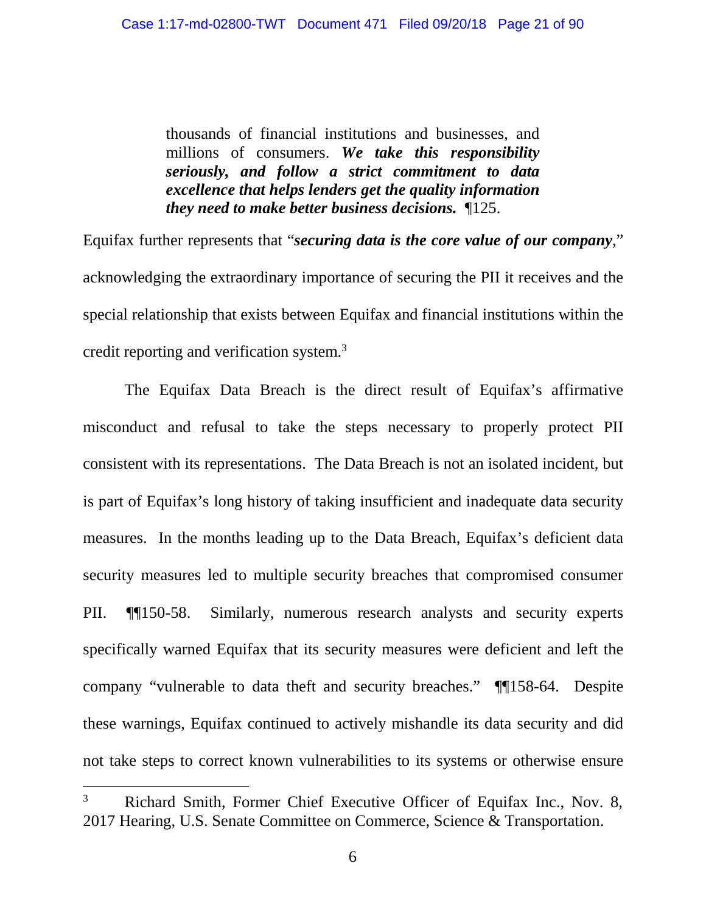thousands of financial institutions and businesses, and millions of consumers. *We take this responsibility seriously, and follow a strict commitment to data excellence that helps lenders get the quality information they need to make better business decisions.* ¶125.

Equifax further represents that "*securing data is the core value of our company*," acknowledging the extraordinary importance of securing the PII it receives and the special relationship that exists between Equifax and financial institutions within the credit reporting and verification system.<sup>3</sup>

The Equifax Data Breach is the direct result of Equifax's affirmative misconduct and refusal to take the steps necessary to properly protect PII consistent with its representations. The Data Breach is not an isolated incident, but is part of Equifax's long history of taking insufficient and inadequate data security measures. In the months leading up to the Data Breach, Equifax's deficient data security measures led to multiple security breaches that compromised consumer PII. ¶¶150-58. Similarly, numerous research analysts and security experts specifically warned Equifax that its security measures were deficient and left the company "vulnerable to data theft and security breaches." ¶¶158-64. Despite these warnings, Equifax continued to actively mishandle its data security and did not take steps to correct known vulnerabilities to its systems or otherwise ensure

<sup>&</sup>lt;sup>3</sup> Richard Smith, Former Chief Executive Officer of Equifax Inc., Nov. 8, 2017 Hearing, U.S. Senate Committee on Commerce, Science & Transportation.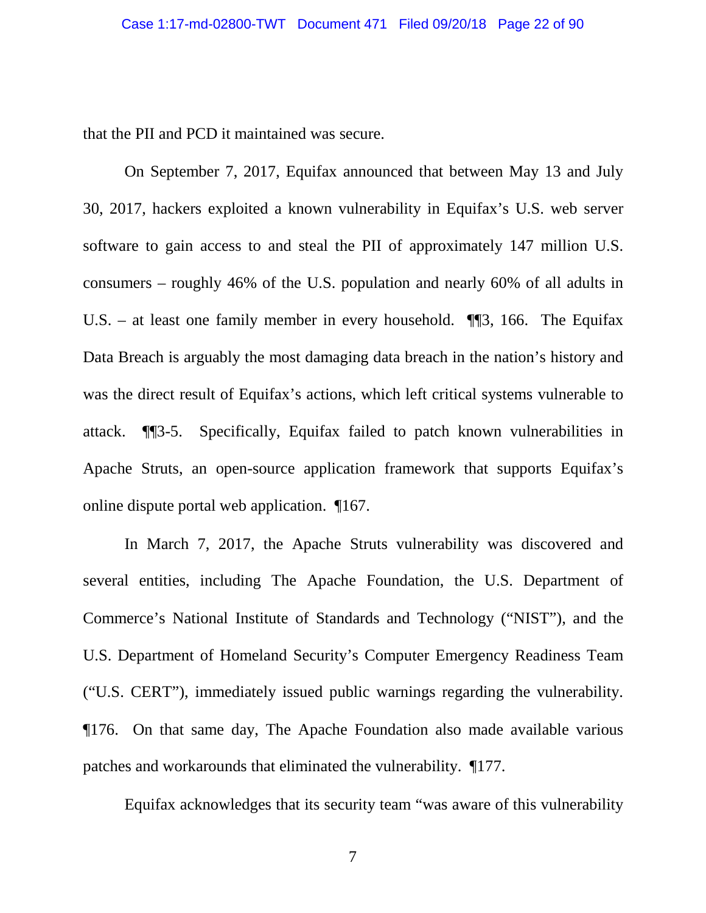that the PII and PCD it maintained was secure.

On September 7, 2017, Equifax announced that between May 13 and July 30, 2017, hackers exploited a known vulnerability in Equifax's U.S. web server software to gain access to and steal the PII of approximately 147 million U.S. consumers – roughly 46% of the U.S. population and nearly 60% of all adults in U.S. – at least one family member in every household. ¶¶3, 166. The Equifax Data Breach is arguably the most damaging data breach in the nation's history and was the direct result of Equifax's actions, which left critical systems vulnerable to attack. ¶¶3-5. Specifically, Equifax failed to patch known vulnerabilities in Apache Struts, an open-source application framework that supports Equifax's online dispute portal web application. ¶167.

In March 7, 2017, the Apache Struts vulnerability was discovered and several entities, including The Apache Foundation, the U.S. Department of Commerce's National Institute of Standards and Technology ("NIST"), and the U.S. Department of Homeland Security's Computer Emergency Readiness Team ("U.S. CERT"), immediately issued public warnings regarding the vulnerability. ¶176. On that same day, The Apache Foundation also made available various patches and workarounds that eliminated the vulnerability. ¶177.

Equifax acknowledges that its security team "was aware of this vulnerability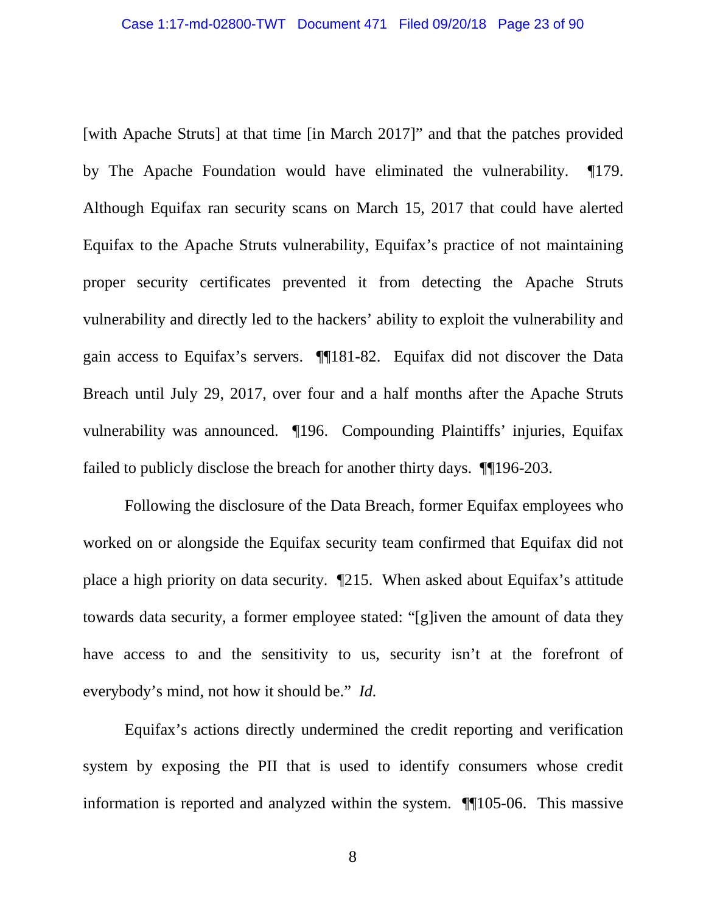[with Apache Struts] at that time [in March 2017]" and that the patches provided by The Apache Foundation would have eliminated the vulnerability. ¶179. Although Equifax ran security scans on March 15, 2017 that could have alerted Equifax to the Apache Struts vulnerability, Equifax's practice of not maintaining proper security certificates prevented it from detecting the Apache Struts vulnerability and directly led to the hackers' ability to exploit the vulnerability and gain access to Equifax's servers. ¶¶181-82. Equifax did not discover the Data Breach until July 29, 2017, over four and a half months after the Apache Struts vulnerability was announced. ¶196. Compounding Plaintiffs' injuries, Equifax failed to publicly disclose the breach for another thirty days. ¶¶196-203.

Following the disclosure of the Data Breach, former Equifax employees who worked on or alongside the Equifax security team confirmed that Equifax did not place a high priority on data security. ¶215. When asked about Equifax's attitude towards data security, a former employee stated: "[g]iven the amount of data they have access to and the sensitivity to us, security isn't at the forefront of everybody's mind, not how it should be." *Id.*

Equifax's actions directly undermined the credit reporting and verification system by exposing the PII that is used to identify consumers whose credit information is reported and analyzed within the system. ¶¶105-06. This massive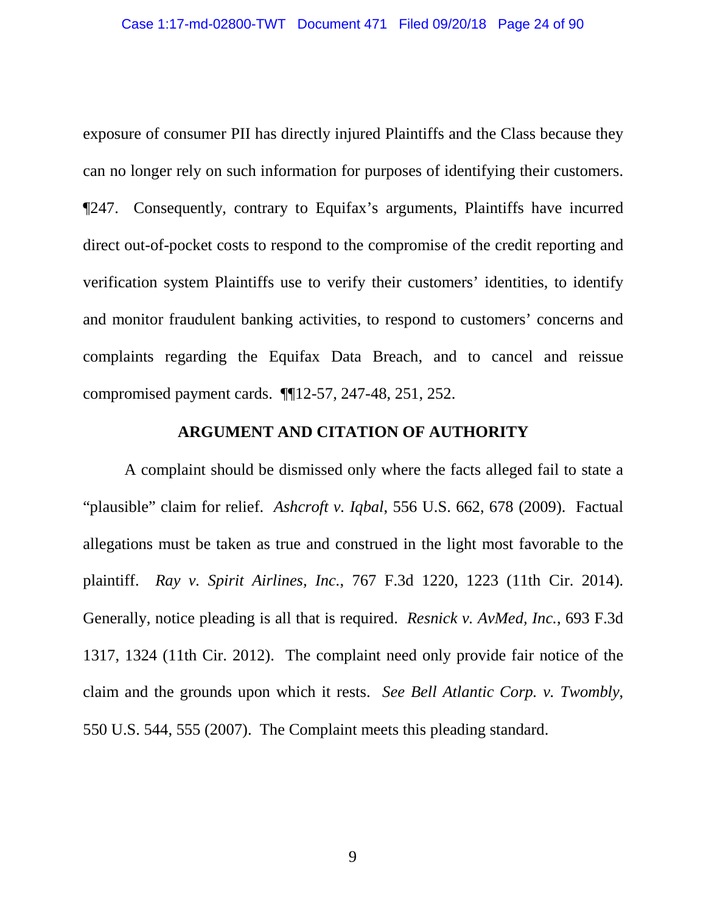exposure of consumer PII has directly injured Plaintiffs and the Class because they can no longer rely on such information for purposes of identifying their customers. ¶247. Consequently, contrary to Equifax's arguments, Plaintiffs have incurred direct out-of-pocket costs to respond to the compromise of the credit reporting and verification system Plaintiffs use to verify their customers' identities, to identify and monitor fraudulent banking activities, to respond to customers' concerns and complaints regarding the Equifax Data Breach, and to cancel and reissue compromised payment cards. ¶¶12-57, 247-48, 251, 252.

#### **ARGUMENT AND CITATION OF AUTHORITY**

A complaint should be dismissed only where the facts alleged fail to state a "plausible" claim for relief. *Ashcroft v. Iqbal*, 556 U.S. 662, 678 (2009). Factual allegations must be taken as true and construed in the light most favorable to the plaintiff. *Ray v. Spirit Airlines, Inc.*, 767 F.3d 1220, 1223 (11th Cir. 2014). Generally, notice pleading is all that is required. *Resnick v. AvMed, Inc.*, 693 F.3d 1317, 1324 (11th Cir. 2012). The complaint need only provide fair notice of the claim and the grounds upon which it rests. *See Bell Atlantic Corp. v. Twombly*, 550 U.S. 544, 555 (2007). The Complaint meets this pleading standard.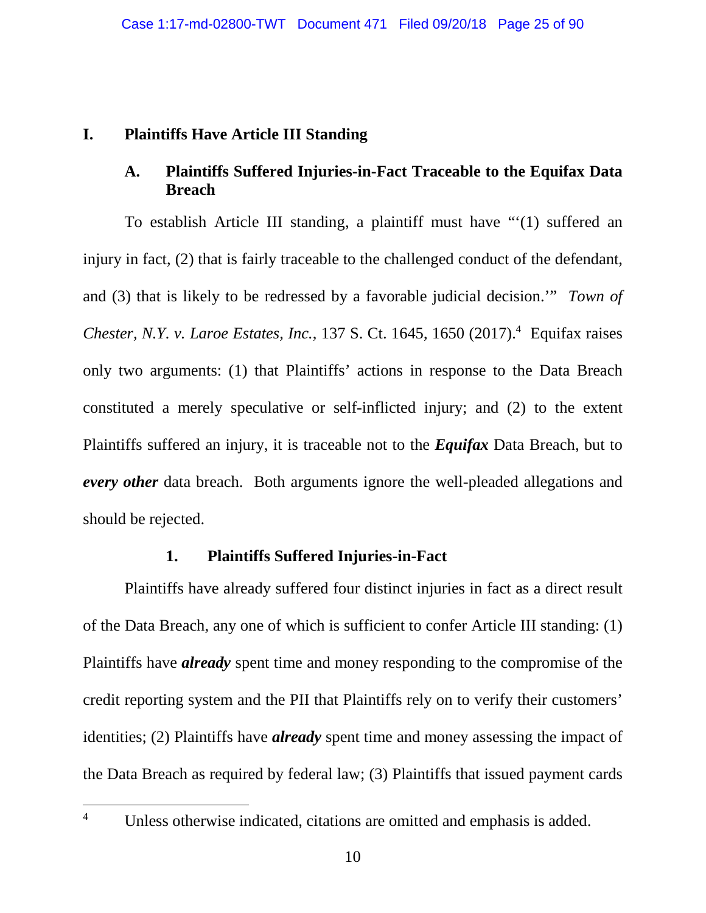### **I. Plaintiffs Have Article III Standing**

## **A. Plaintiffs Suffered Injuries-in-Fact Traceable to the Equifax Data Breach**

To establish Article III standing, a plaintiff must have "'(1) suffered an injury in fact, (2) that is fairly traceable to the challenged conduct of the defendant, and (3) that is likely to be redressed by a favorable judicial decision.'" *Town of Chester, N.Y. v. Laroe Estates, Inc.*, 137 S. Ct. 1645, 1650 (2017).<sup>4</sup> Equifax raises only two arguments: (1) that Plaintiffs' actions in response to the Data Breach constituted a merely speculative or self-inflicted injury; and (2) to the extent Plaintiffs suffered an injury, it is traceable not to the *Equifax* Data Breach, but to *every other* data breach. Both arguments ignore the well-pleaded allegations and should be rejected.

#### **1. Plaintiffs Suffered Injuries-in-Fact**

Plaintiffs have already suffered four distinct injuries in fact as a direct result of the Data Breach, any one of which is sufficient to confer Article III standing: (1) Plaintiffs have *already* spent time and money responding to the compromise of the credit reporting system and the PII that Plaintiffs rely on to verify their customers' identities; (2) Plaintiffs have *already* spent time and money assessing the impact of the Data Breach as required by federal law; (3) Plaintiffs that issued payment cards

<sup>&</sup>lt;sup>4</sup> Unless otherwise indicated, citations are omitted and emphasis is added.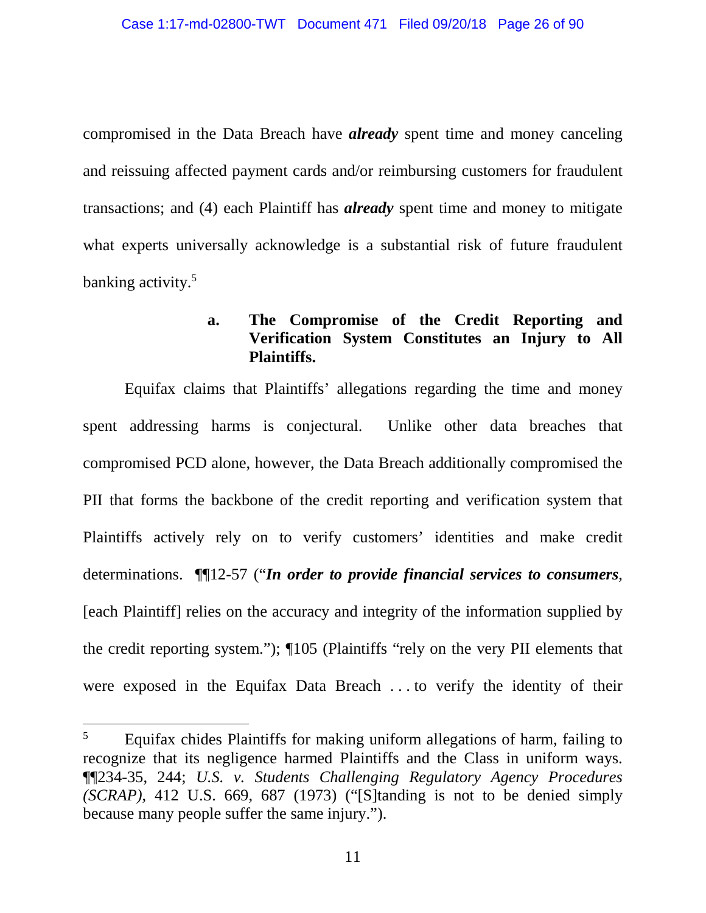compromised in the Data Breach have *already* spent time and money canceling and reissuing affected payment cards and/or reimbursing customers for fraudulent transactions; and (4) each Plaintiff has *already* spent time and money to mitigate what experts universally acknowledge is a substantial risk of future fraudulent banking activity.<sup>5</sup>

### **a. The Compromise of the Credit Reporting and Verification System Constitutes an Injury to All Plaintiffs.**

Equifax claims that Plaintiffs' allegations regarding the time and money spent addressing harms is conjectural. Unlike other data breaches that compromised PCD alone, however, the Data Breach additionally compromised the PII that forms the backbone of the credit reporting and verification system that Plaintiffs actively rely on to verify customers' identities and make credit determinations. ¶¶12-57 ("*In order to provide financial services to consumers*, [each Plaintiff] relies on the accuracy and integrity of the information supplied by the credit reporting system."); ¶105 (Plaintiffs "rely on the very PII elements that were exposed in the Equifax Data Breach . . . to verify the identity of their

<sup>&</sup>lt;sup>5</sup> Equifax chides Plaintiffs for making uniform allegations of harm, failing to recognize that its negligence harmed Plaintiffs and the Class in uniform ways. ¶¶234-35, 244; *U.S. v. Students Challenging Regulatory Agency Procedures (SCRAP)*, 412 U.S. 669, 687 (1973) ("[S]tanding is not to be denied simply because many people suffer the same injury.").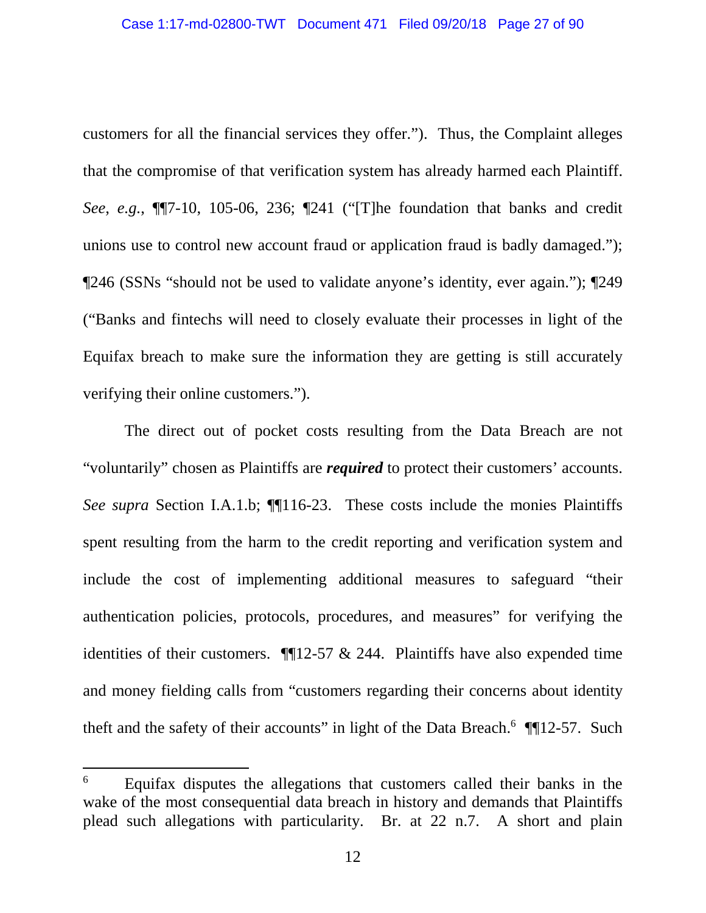customers for all the financial services they offer."). Thus, the Complaint alleges that the compromise of that verification system has already harmed each Plaintiff. *See*, *e.g.*, ¶¶7-10, 105-06, 236; ¶241 ("[T]he foundation that banks and credit unions use to control new account fraud or application fraud is badly damaged."); ¶246 (SSNs "should not be used to validate anyone's identity, ever again."); ¶249 ("Banks and fintechs will need to closely evaluate their processes in light of the Equifax breach to make sure the information they are getting is still accurately verifying their online customers.").

The direct out of pocket costs resulting from the Data Breach are not "voluntarily" chosen as Plaintiffs are *required* to protect their customers' accounts. *See supra* Section I.A.1.b; ¶¶116-23. These costs include the monies Plaintiffs spent resulting from the harm to the credit reporting and verification system and include the cost of implementing additional measures to safeguard "their authentication policies, protocols, procedures, and measures" for verifying the identities of their customers.  $\P$ [12-57 & 244. Plaintiffs have also expended time and money fielding calls from "customers regarding their concerns about identity theft and the safety of their accounts" in light of the Data Breach. $6$  ¶[12-57. Such

<sup>&</sup>lt;sup>6</sup> Equifax disputes the allegations that customers called their banks in the wake of the most consequential data breach in history and demands that Plaintiffs plead such allegations with particularity. Br. at 22 n.7. A short and plain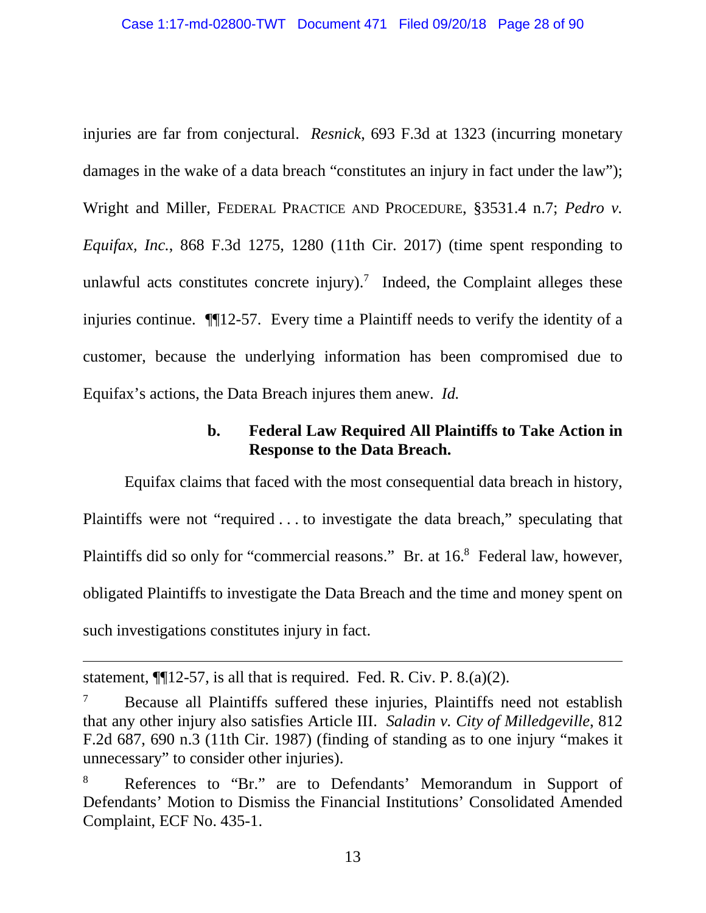injuries are far from conjectural. *Resnick*, 693 F.3d at 1323 (incurring monetary damages in the wake of a data breach "constitutes an injury in fact under the law"); Wright and Miller, FEDERAL PRACTICE AND PROCEDURE, §3531.4 n.7; *Pedro v. Equifax, Inc.*, 868 F.3d 1275, 1280 (11th Cir. 2017) (time spent responding to unlawful acts constitutes concrete injury).<sup>7</sup> Indeed, the Complaint alleges these injuries continue. ¶¶12-57. Every time a Plaintiff needs to verify the identity of a customer, because the underlying information has been compromised due to Equifax's actions, the Data Breach injures them anew. *Id.*

#### **b. Federal Law Required All Plaintiffs to Take Action in Response to the Data Breach.**

Equifax claims that faced with the most consequential data breach in history, Plaintiffs were not "required . . . to investigate the data breach," speculating that Plaintiffs did so only for "commercial reasons." Br. at 16.<sup>8</sup> Federal law, however, obligated Plaintiffs to investigate the Data Breach and the time and money spent on such investigations constitutes injury in fact.

statement,  $\P$ [12-57, is all that is required. Fed. R. Civ. P. 8.(a)(2).

<sup>7</sup> Because all Plaintiffs suffered these injuries, Plaintiffs need not establish that any other injury also satisfies Article III. *Saladin v. City of Milledgeville*, 812 F.2d 687, 690 n.3 (11th Cir. 1987) (finding of standing as to one injury "makes it unnecessary" to consider other injuries).

<sup>8</sup> References to "Br." are to Defendants' Memorandum in Support of Defendants' Motion to Dismiss the Financial Institutions' Consolidated Amended Complaint, ECF No. 435-1.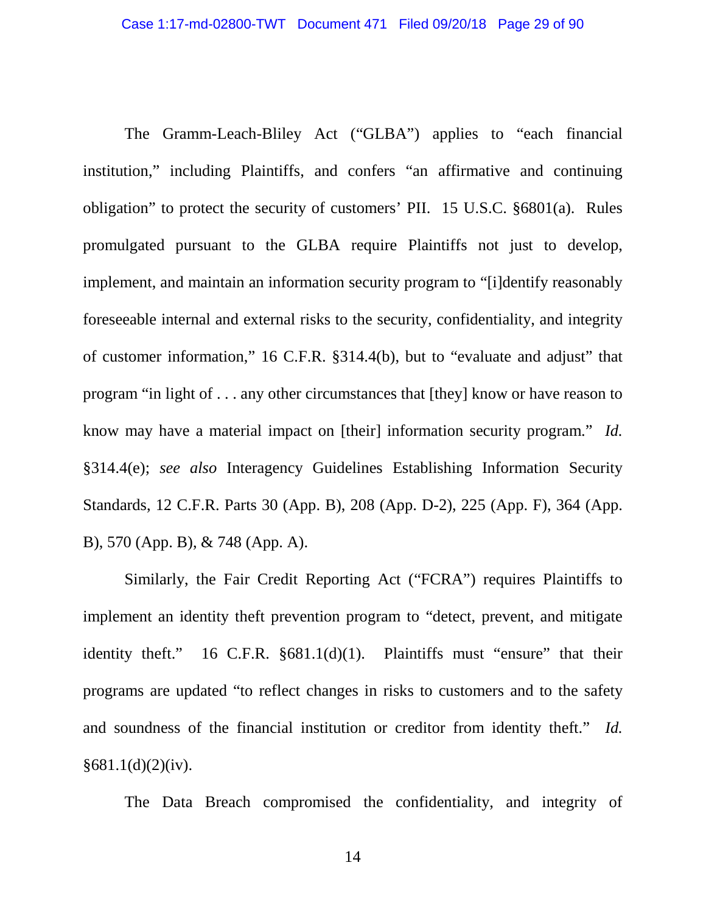The Gramm-Leach-Bliley Act ("GLBA") applies to "each financial institution," including Plaintiffs, and confers "an affirmative and continuing obligation" to protect the security of customers' PII. 15 U.S.C. §6801(a). Rules promulgated pursuant to the GLBA require Plaintiffs not just to develop, implement, and maintain an information security program to "[i]dentify reasonably foreseeable internal and external risks to the security, confidentiality, and integrity of customer information," 16 C.F.R. §314.4(b), but to "evaluate and adjust" that program "in light of . . . any other circumstances that [they] know or have reason to know may have a material impact on [their] information security program." *Id.* §314.4(e); *see also* Interagency Guidelines Establishing Information Security Standards, 12 C.F.R. Parts 30 (App. B), 208 (App. D-2), 225 (App. F), 364 (App. B), 570 (App. B), & 748 (App. A).

Similarly, the Fair Credit Reporting Act ("FCRA") requires Plaintiffs to implement an identity theft prevention program to "detect, prevent, and mitigate identity theft." 16 C.F.R. §681.1(d)(1). Plaintiffs must "ensure" that their programs are updated "to reflect changes in risks to customers and to the safety and soundness of the financial institution or creditor from identity theft." *Id.*   $§681.1(d)(2)(iv).$ 

The Data Breach compromised the confidentiality, and integrity of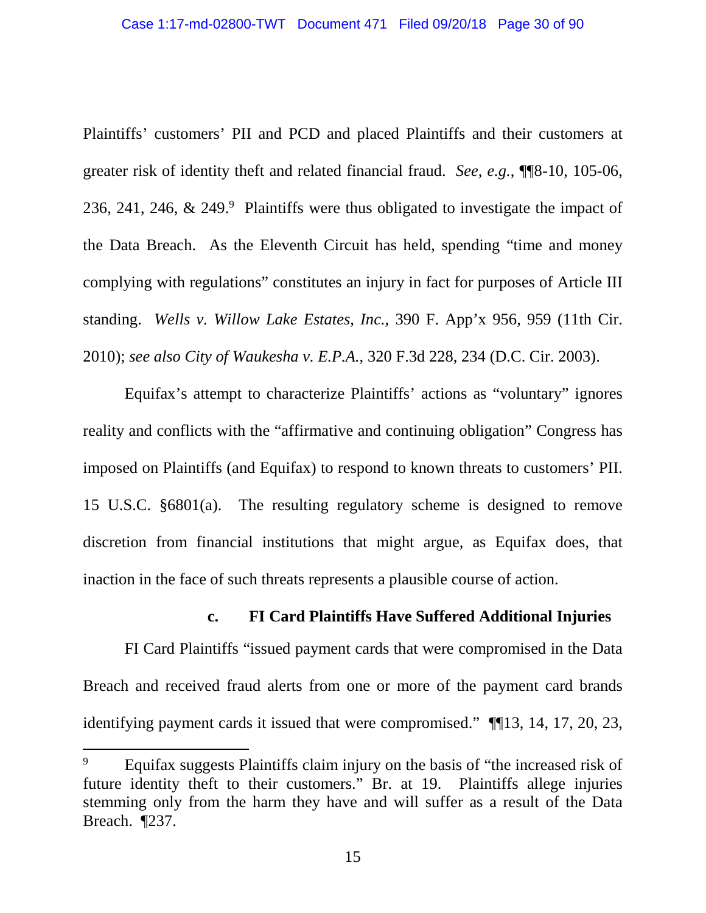Plaintiffs' customers' PII and PCD and placed Plaintiffs and their customers at greater risk of identity theft and related financial fraud. *See, e.g.*, ¶¶8-10, 105-06, 236, 241, 246,  $\&$  249.<sup>9</sup> Plaintiffs were thus obligated to investigate the impact of the Data Breach. As the Eleventh Circuit has held, spending "time and money complying with regulations" constitutes an injury in fact for purposes of Article III standing. *Wells v. Willow Lake Estates, Inc.*, 390 F. App'x 956, 959 (11th Cir. 2010); *see also City of Waukesha v. E.P.A.*, 320 F.3d 228, 234 (D.C. Cir. 2003).

Equifax's attempt to characterize Plaintiffs' actions as "voluntary" ignores reality and conflicts with the "affirmative and continuing obligation" Congress has imposed on Plaintiffs (and Equifax) to respond to known threats to customers' PII. 15 U.S.C. §6801(a). The resulting regulatory scheme is designed to remove discretion from financial institutions that might argue, as Equifax does, that inaction in the face of such threats represents a plausible course of action.

#### **c. FI Card Plaintiffs Have Suffered Additional Injuries**

FI Card Plaintiffs "issued payment cards that were compromised in the Data Breach and received fraud alerts from one or more of the payment card brands identifying payment cards it issued that were compromised." ¶¶13, 14, 17, 20, 23,

<sup>&</sup>lt;sup>9</sup> Equifax suggests Plaintiffs claim injury on the basis of "the increased risk of future identity theft to their customers." Br. at 19. Plaintiffs allege injuries stemming only from the harm they have and will suffer as a result of the Data Breach. ¶237.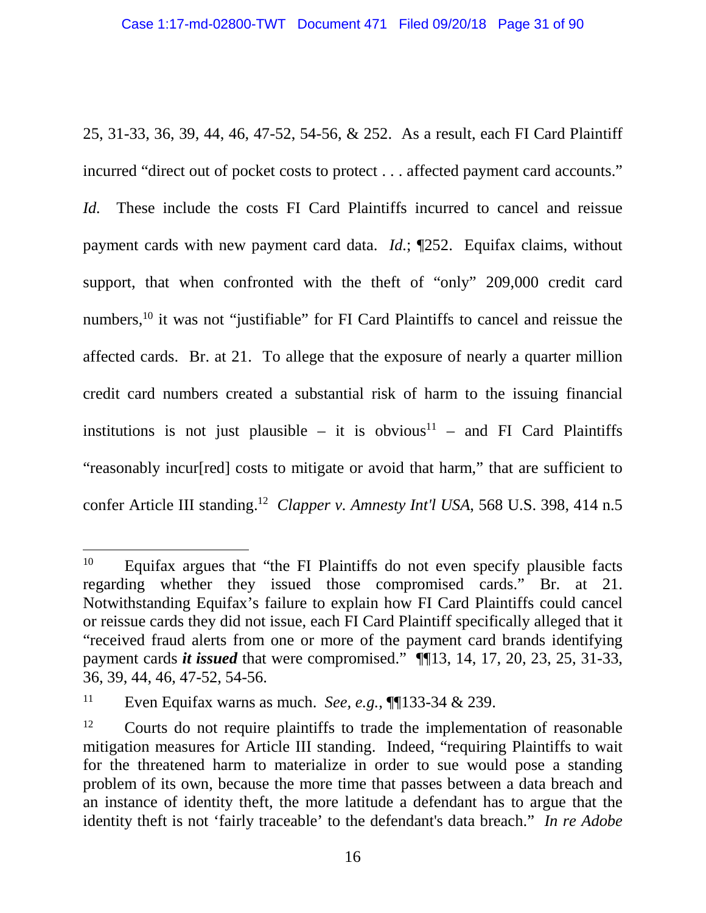25, 31-33, 36, 39, 44, 46, 47-52, 54-56, & 252. As a result, each FI Card Plaintiff incurred "direct out of pocket costs to protect . . . affected payment card accounts."

*Id.* These include the costs FI Card Plaintiffs incurred to cancel and reissue payment cards with new payment card data. *Id.*; ¶252. Equifax claims, without support, that when confronted with the theft of "only" 209,000 credit card numbers,<sup>10</sup> it was not "justifiable" for FI Card Plaintiffs to cancel and reissue the affected cards. Br. at 21. To allege that the exposure of nearly a quarter million credit card numbers created a substantial risk of harm to the issuing financial institutions is not just plausible – it is obvious<sup>11</sup> – and FI Card Plaintiffs "reasonably incur[red] costs to mitigate or avoid that harm," that are sufficient to confer Article III standing.<sup>12</sup> *Clapper v. Amnesty Int'l USA*, 568 U.S. 398, 414 n.5

<sup>&</sup>lt;sup>10</sup> Equifax argues that "the FI Plaintiffs do not even specify plausible facts regarding whether they issued those compromised cards." Br. at 21. Notwithstanding Equifax's failure to explain how FI Card Plaintiffs could cancel or reissue cards they did not issue, each FI Card Plaintiff specifically alleged that it "received fraud alerts from one or more of the payment card brands identifying payment cards *it issued* that were compromised." ¶¶13, 14, 17, 20, 23, 25, 31-33, 36, 39, 44, 46, 47-52, 54-56.

<sup>&</sup>lt;sup>11</sup> Even Equifax warns as much. *See, e.g.*,  $\P$ [133-34 & 239.

<sup>&</sup>lt;sup>12</sup> Courts do not require plaintiffs to trade the implementation of reasonable mitigation measures for Article III standing. Indeed, "requiring Plaintiffs to wait for the threatened harm to materialize in order to sue would pose a standing problem of its own, because the more time that passes between a data breach and an instance of identity theft, the more latitude a defendant has to argue that the identity theft is not 'fairly traceable' to the defendant's data breach." *In re Adobe*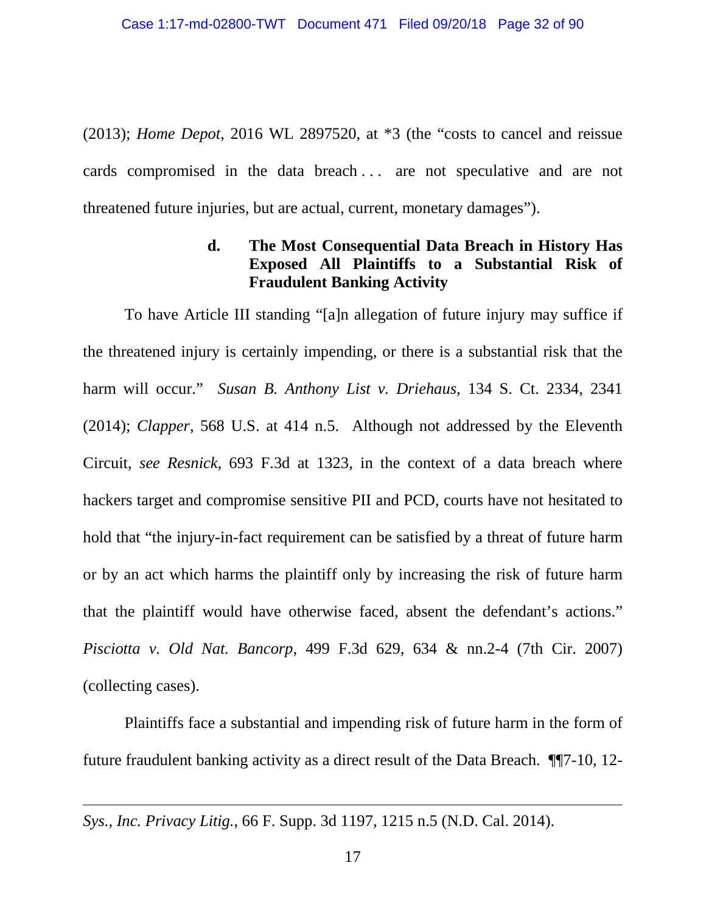(2013); *Home Depot*, 2016 WL 2897520, at \*3 (the "costs to cancel and reissue cards compromised in the data breach ... are not speculative and are not threatened future injuries, but are actual, current, monetary damages").

### **d. The Most Consequential Data Breach in History Has Exposed All Plaintiffs to a Substantial Risk of Fraudulent Banking Activity**

To have Article III standing "[a]n allegation of future injury may suffice if the threatened injury is certainly impending, or there is a substantial risk that the harm will occur." *Susan B. Anthony List v. Driehaus*, 134 S. Ct. 2334, 2341 (2014); *Clapper*, 568 U.S. at 414 n.5. Although not addressed by the Eleventh Circuit, *see Resnick*, 693 F.3d at 1323, in the context of a data breach where hackers target and compromise sensitive PII and PCD, courts have not hesitated to hold that "the injury-in-fact requirement can be satisfied by a threat of future harm or by an act which harms the plaintiff only by increasing the risk of future harm that the plaintiff would have otherwise faced, absent the defendant's actions." *Pisciotta v. Old Nat. Bancorp*, 499 F.3d 629, 634 & nn.2-4 (7th Cir. 2007) (collecting cases).

Plaintiffs face a substantial and impending risk of future harm in the form of future fraudulent banking activity as a direct result of the Data Breach. ¶¶7-10, 12-

*Sys., Inc. Privacy Litig.*, 66 F. Supp. 3d 1197, 1215 n.5 (N.D. Cal. 2014).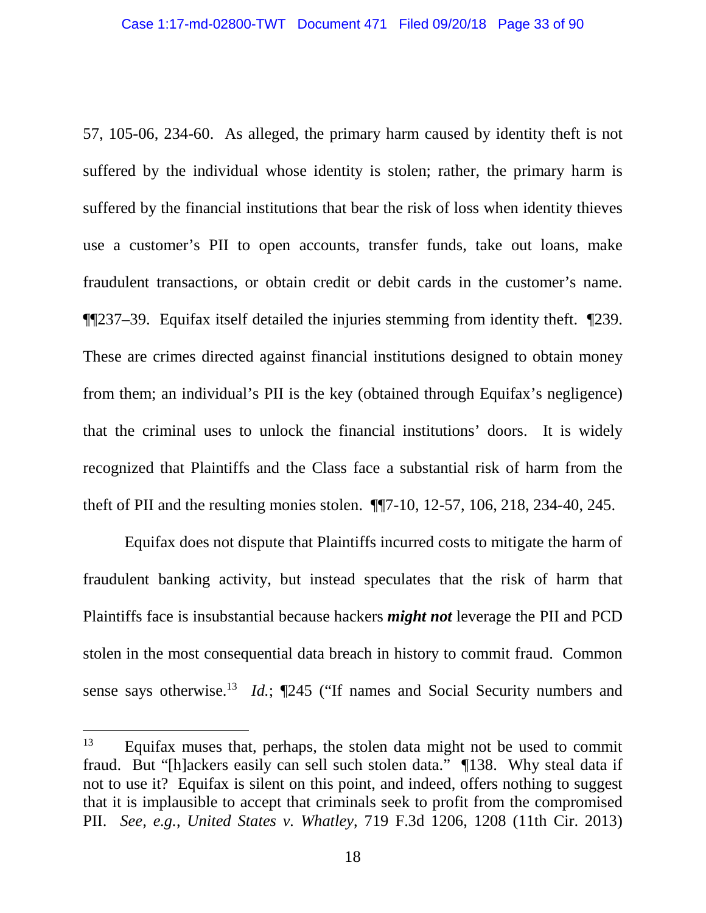57, 105-06, 234-60. As alleged, the primary harm caused by identity theft is not suffered by the individual whose identity is stolen; rather, the primary harm is suffered by the financial institutions that bear the risk of loss when identity thieves use a customer's PII to open accounts, transfer funds, take out loans, make fraudulent transactions, or obtain credit or debit cards in the customer's name. ¶¶237–39. Equifax itself detailed the injuries stemming from identity theft. ¶239. These are crimes directed against financial institutions designed to obtain money from them; an individual's PII is the key (obtained through Equifax's negligence) that the criminal uses to unlock the financial institutions' doors. It is widely recognized that Plaintiffs and the Class face a substantial risk of harm from the theft of PII and the resulting monies stolen. ¶¶7-10, 12-57, 106, 218, 234-40, 245.

Equifax does not dispute that Plaintiffs incurred costs to mitigate the harm of fraudulent banking activity, but instead speculates that the risk of harm that Plaintiffs face is insubstantial because hackers *might not* leverage the PII and PCD stolen in the most consequential data breach in history to commit fraud. Common sense says otherwise.<sup>13</sup> *Id.*; ¶245 ("If names and Social Security numbers and

<sup>&</sup>lt;sup>13</sup> Equifax muses that, perhaps, the stolen data might not be used to commit fraud. But "[h]ackers easily can sell such stolen data." ¶138. Why steal data if not to use it? Equifax is silent on this point, and indeed, offers nothing to suggest that it is implausible to accept that criminals seek to profit from the compromised PII. *See, e.g.*, *United States v. Whatley*, 719 F.3d 1206, 1208 (11th Cir. 2013)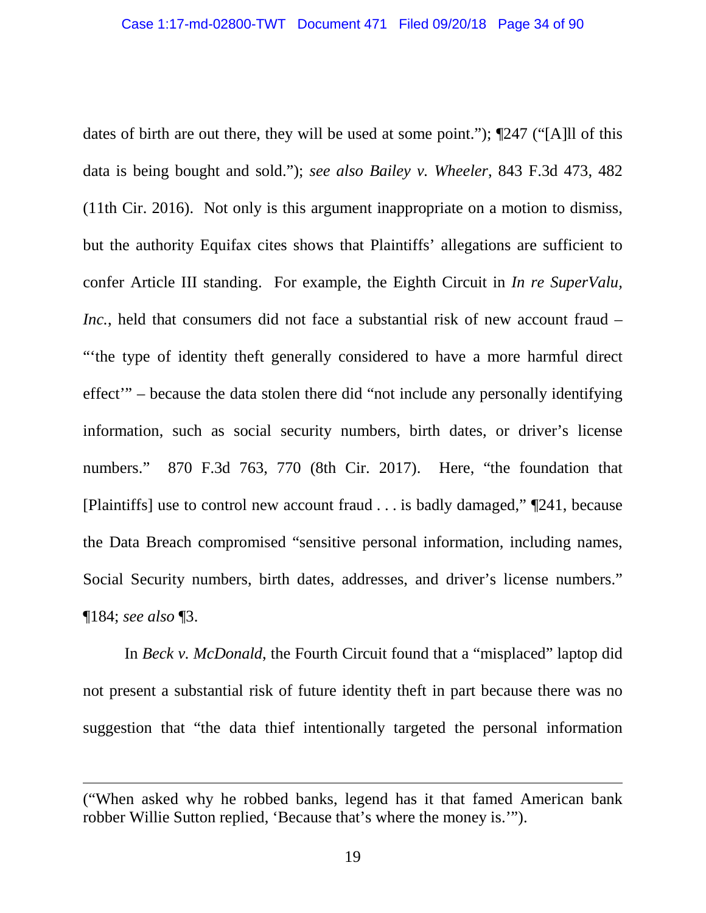dates of birth are out there, they will be used at some point."); ¶247 ("[A]ll of this data is being bought and sold."); *see also Bailey v. Wheeler*, 843 F.3d 473, 482 (11th Cir. 2016). Not only is this argument inappropriate on a motion to dismiss, but the authority Equifax cites shows that Plaintiffs' allegations are sufficient to confer Article III standing. For example, the Eighth Circuit in *In re SuperValu, Inc.*, held that consumers did not face a substantial risk of new account fraud – "'the type of identity theft generally considered to have a more harmful direct effect'" – because the data stolen there did "not include any personally identifying information, such as social security numbers, birth dates, or driver's license numbers." 870 F.3d 763, 770 (8th Cir. 2017). Here, "the foundation that [Plaintiffs] use to control new account fraud . . . is badly damaged," ¶241, because the Data Breach compromised "sensitive personal information, including names, Social Security numbers, birth dates, addresses, and driver's license numbers." ¶184; *see also* ¶3.

In *Beck v. McDonald*, the Fourth Circuit found that a "misplaced" laptop did not present a substantial risk of future identity theft in part because there was no suggestion that "the data thief intentionally targeted the personal information

<sup>(&</sup>quot;When asked why he robbed banks, legend has it that famed American bank robber Willie Sutton replied, 'Because that's where the money is.'").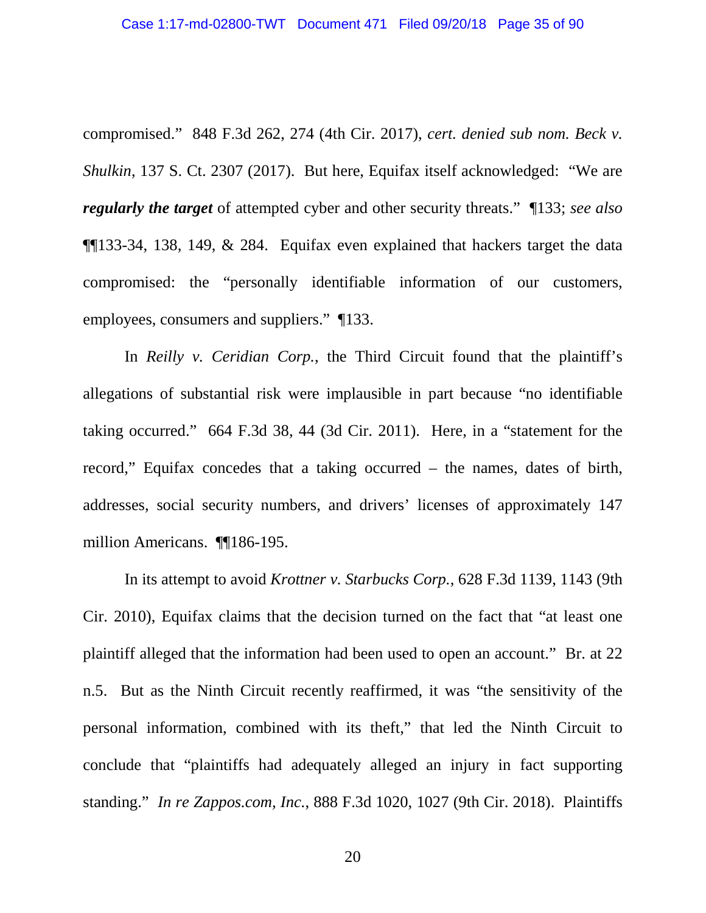compromised." 848 F.3d 262, 274 (4th Cir. 2017), *cert. denied sub nom. Beck v. Shulkin*, 137 S. Ct. 2307 (2017). But here, Equifax itself acknowledged: "We are *regularly the target* of attempted cyber and other security threats." ¶133; *see also* ¶¶133-34, 138, 149, & 284. Equifax even explained that hackers target the data compromised: the "personally identifiable information of our customers, employees, consumers and suppliers." ¶133.

In *Reilly v. Ceridian Corp.*, the Third Circuit found that the plaintiff's allegations of substantial risk were implausible in part because "no identifiable taking occurred." 664 F.3d 38, 44 (3d Cir. 2011). Here, in a "statement for the record," Equifax concedes that a taking occurred – the names, dates of birth, addresses, social security numbers, and drivers' licenses of approximately 147 million Americans. ¶¶186-195.

In its attempt to avoid *Krottner v. Starbucks Corp.*, 628 F.3d 1139, 1143 (9th Cir. 2010), Equifax claims that the decision turned on the fact that "at least one plaintiff alleged that the information had been used to open an account." Br. at 22 n.5. But as the Ninth Circuit recently reaffirmed, it was "the sensitivity of the personal information, combined with its theft," that led the Ninth Circuit to conclude that "plaintiffs had adequately alleged an injury in fact supporting standing." *In re Zappos.com, Inc.*, 888 F.3d 1020, 1027 (9th Cir. 2018). Plaintiffs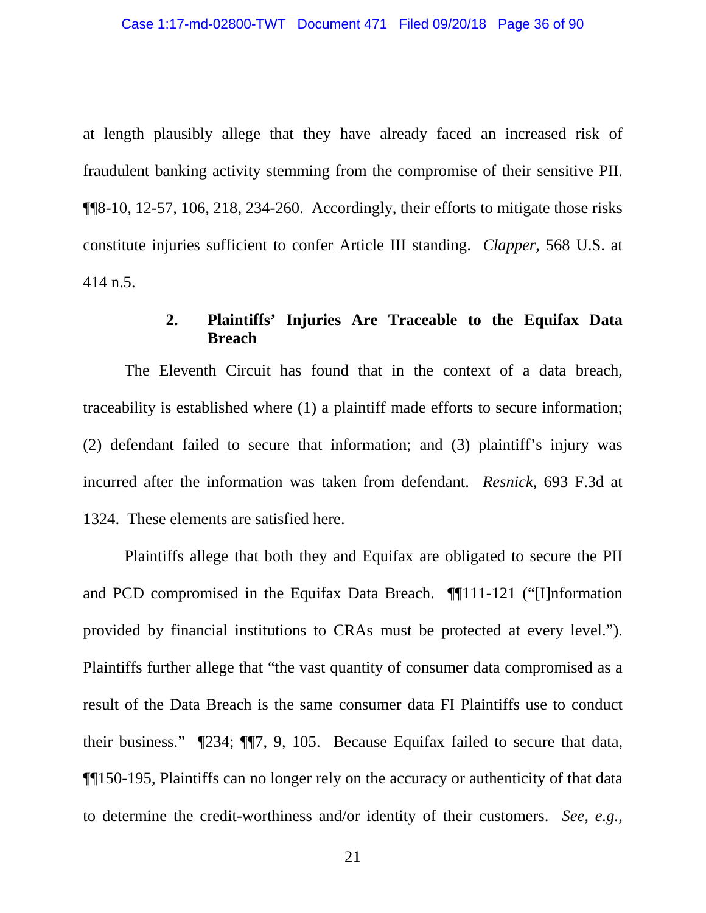at length plausibly allege that they have already faced an increased risk of fraudulent banking activity stemming from the compromise of their sensitive PII. ¶¶8-10, 12-57, 106, 218, 234-260. Accordingly, their efforts to mitigate those risks constitute injuries sufficient to confer Article III standing. *Clapper*, 568 U.S. at 414 n.5.

### **2. Plaintiffs' Injuries Are Traceable to the Equifax Data Breach**

The Eleventh Circuit has found that in the context of a data breach, traceability is established where (1) a plaintiff made efforts to secure information; (2) defendant failed to secure that information; and (3) plaintiff's injury was incurred after the information was taken from defendant. *Resnick*, 693 F.3d at 1324. These elements are satisfied here.

Plaintiffs allege that both they and Equifax are obligated to secure the PII and PCD compromised in the Equifax Data Breach. ¶¶111-121 ("[I]nformation provided by financial institutions to CRAs must be protected at every level."). Plaintiffs further allege that "the vast quantity of consumer data compromised as a result of the Data Breach is the same consumer data FI Plaintiffs use to conduct their business." ¶234; ¶¶7, 9, 105. Because Equifax failed to secure that data, ¶¶150-195, Plaintiffs can no longer rely on the accuracy or authenticity of that data to determine the credit-worthiness and/or identity of their customers. *See, e.g.*,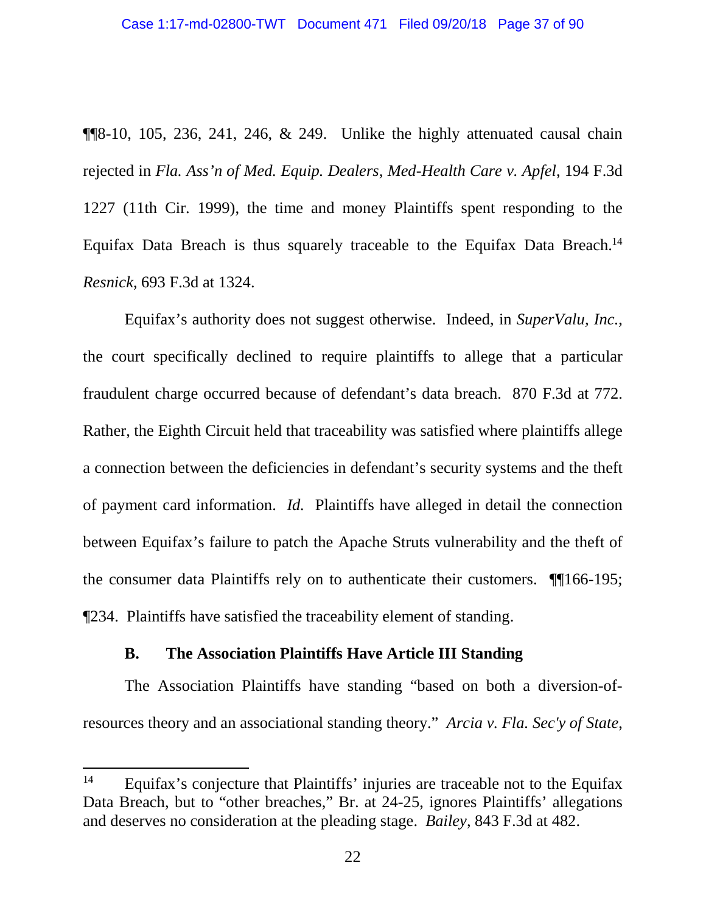$\P$  $\otimes$ -10, 105, 236, 241, 246, & 249. Unlike the highly attenuated causal chain rejected in *Fla. Ass'n of Med. Equip. Dealers, Med-Health Care v. Apfel*, 194 F.3d 1227 (11th Cir. 1999), the time and money Plaintiffs spent responding to the Equifax Data Breach is thus squarely traceable to the Equifax Data Breach.<sup>14</sup> *Resnick*, 693 F.3d at 1324.

Equifax's authority does not suggest otherwise. Indeed, in *SuperValu, Inc.*, the court specifically declined to require plaintiffs to allege that a particular fraudulent charge occurred because of defendant's data breach. 870 F.3d at 772. Rather, the Eighth Circuit held that traceability was satisfied where plaintiffs allege a connection between the deficiencies in defendant's security systems and the theft of payment card information. *Id.* Plaintiffs have alleged in detail the connection between Equifax's failure to patch the Apache Struts vulnerability and the theft of the consumer data Plaintiffs rely on to authenticate their customers. ¶¶166-195; ¶234. Plaintiffs have satisfied the traceability element of standing.

### **B. The Association Plaintiffs Have Article III Standing**

The Association Plaintiffs have standing "based on both a diversion-ofresources theory and an associational standing theory." *Arcia v. Fla. Sec'y of State*,

<sup>&</sup>lt;sup>14</sup> Equifax's conjecture that Plaintiffs' injuries are traceable not to the Equifax Data Breach, but to "other breaches," Br. at 24-25, ignores Plaintiffs' allegations and deserves no consideration at the pleading stage. *Bailey*, 843 F.3d at 482.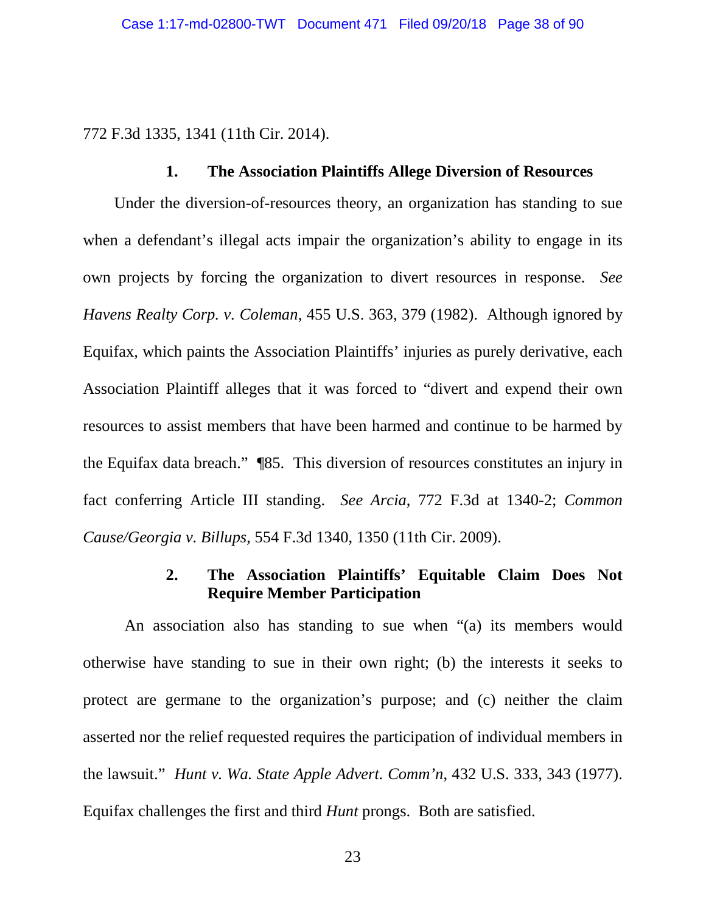772 F.3d 1335, 1341 (11th Cir. 2014).

### **1. The Association Plaintiffs Allege Diversion of Resources**

Under the diversion-of-resources theory, an organization has standing to sue when a defendant's illegal acts impair the organization's ability to engage in its own projects by forcing the organization to divert resources in response. *See Havens Realty Corp. v. Coleman*, 455 U.S. 363, 379 (1982). Although ignored by Equifax, which paints the Association Plaintiffs' injuries as purely derivative, each Association Plaintiff alleges that it was forced to "divert and expend their own resources to assist members that have been harmed and continue to be harmed by the Equifax data breach." ¶85. This diversion of resources constitutes an injury in fact conferring Article III standing. *See Arcia*, 772 F.3d at 1340-2; *Common Cause/Georgia v. Billups*, 554 F.3d 1340, 1350 (11th Cir. 2009).

## **2. The Association Plaintiffs' Equitable Claim Does Not Require Member Participation**

An association also has standing to sue when "(a) its members would otherwise have standing to sue in their own right; (b) the interests it seeks to protect are germane to the organization's purpose; and (c) neither the claim asserted nor the relief requested requires the participation of individual members in the lawsuit." *Hunt v. Wa. State Apple Advert. Comm'n*, 432 U.S. 333, 343 (1977). Equifax challenges the first and third *Hunt* prongs. Both are satisfied.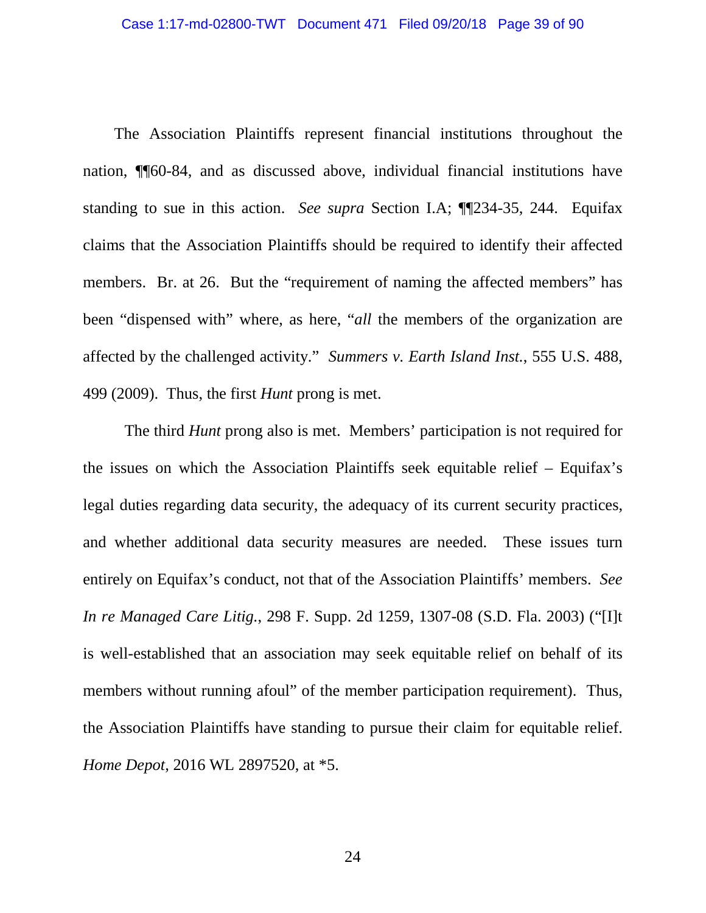The Association Plaintiffs represent financial institutions throughout the nation, ¶¶60-84, and as discussed above, individual financial institutions have standing to sue in this action. *See supra* Section I.A; ¶¶234-35, 244. Equifax claims that the Association Plaintiffs should be required to identify their affected members. Br. at 26. But the "requirement of naming the affected members" has been "dispensed with" where, as here, "*all* the members of the organization are affected by the challenged activity." *Summers v. Earth Island Inst.*, 555 U.S. 488, 499 (2009). Thus, the first *Hunt* prong is met.

The third *Hunt* prong also is met. Members' participation is not required for the issues on which the Association Plaintiffs seek equitable relief – Equifax's legal duties regarding data security, the adequacy of its current security practices, and whether additional data security measures are needed. These issues turn entirely on Equifax's conduct, not that of the Association Plaintiffs' members. *See In re Managed Care Litig.*, 298 F. Supp. 2d 1259, 1307-08 (S.D. Fla. 2003) ("[I]t is well-established that an association may seek equitable relief on behalf of its members without running afoul" of the member participation requirement). Thus, the Association Plaintiffs have standing to pursue their claim for equitable relief. *Home Depot*, 2016 WL 2897520, at \*5.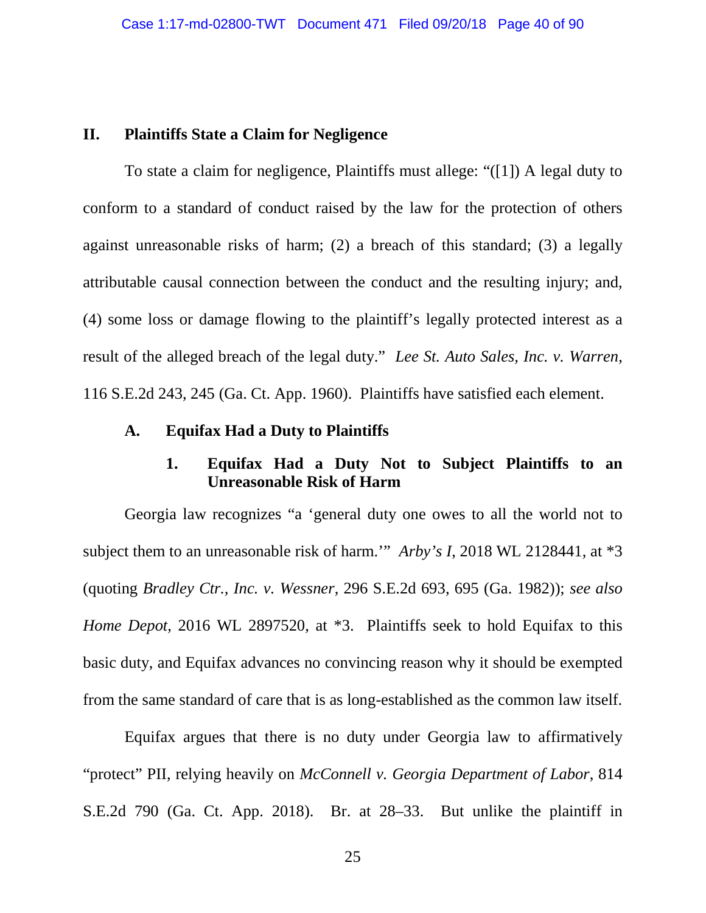### **II. Plaintiffs State a Claim for Negligence**

To state a claim for negligence, Plaintiffs must allege: "([1]) A legal duty to conform to a standard of conduct raised by the law for the protection of others against unreasonable risks of harm; (2) a breach of this standard; (3) a legally attributable causal connection between the conduct and the resulting injury; and, (4) some loss or damage flowing to the plaintiff's legally protected interest as a result of the alleged breach of the legal duty." *Lee St. Auto Sales, Inc. v. Warren*, 116 S.E.2d 243, 245 (Ga. Ct. App. 1960). Plaintiffs have satisfied each element.

### **A. Equifax Had a Duty to Plaintiffs**

# **1. Equifax Had a Duty Not to Subject Plaintiffs to an Unreasonable Risk of Harm**

Georgia law recognizes "a 'general duty one owes to all the world not to subject them to an unreasonable risk of harm.'" *Arby's I*, 2018 WL 2128441, at \*3 (quoting *Bradley Ctr., Inc. v. Wessner*, 296 S.E.2d 693, 695 (Ga. 1982)); *see also Home Depot*, 2016 WL 2897520, at \*3. Plaintiffs seek to hold Equifax to this basic duty, and Equifax advances no convincing reason why it should be exempted from the same standard of care that is as long-established as the common law itself.

Equifax argues that there is no duty under Georgia law to affirmatively "protect" PII, relying heavily on *McConnell v. Georgia Department of Labor*, 814 S.E.2d 790 (Ga. Ct. App. 2018). Br. at 28–33. But unlike the plaintiff in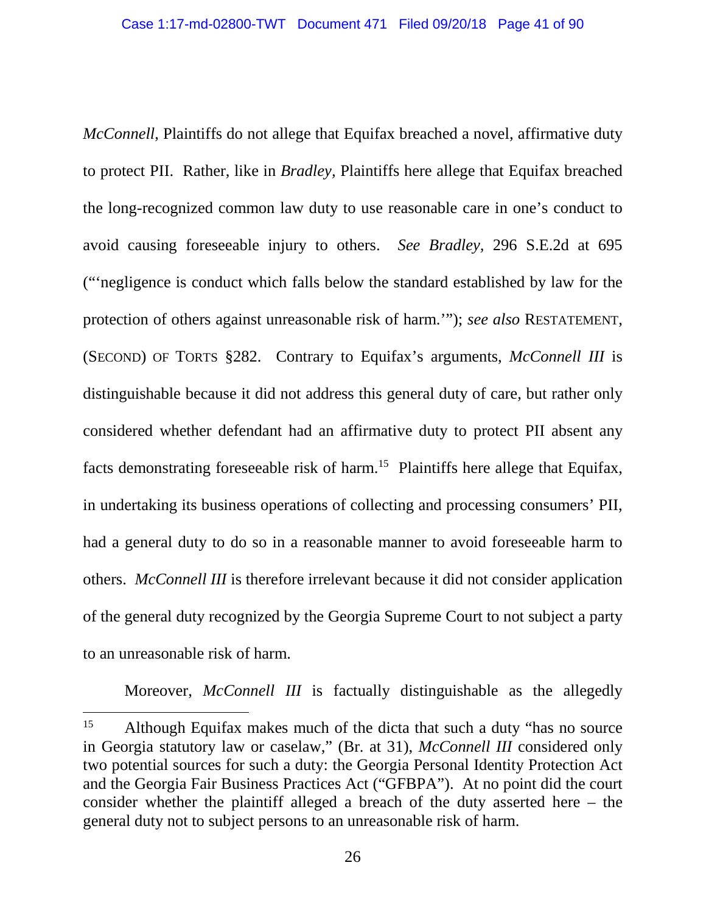*McConnell*, Plaintiffs do not allege that Equifax breached a novel, affirmative duty to protect PII. Rather, like in *Bradley,* Plaintiffs here allege that Equifax breached the long-recognized common law duty to use reasonable care in one's conduct to avoid causing foreseeable injury to others. *See Bradley,* 296 S.E.2d at 695 ("'negligence is conduct which falls below the standard established by law for the protection of others against unreasonable risk of harm.'"); *see also* RESTATEMENT, (SECOND) OF TORTS §282. Contrary to Equifax's arguments, *McConnell III* is distinguishable because it did not address this general duty of care, but rather only considered whether defendant had an affirmative duty to protect PII absent any facts demonstrating foreseeable risk of harm.<sup>15</sup> Plaintiffs here allege that Equifax, in undertaking its business operations of collecting and processing consumers' PII, had a general duty to do so in a reasonable manner to avoid foreseeable harm to others. *McConnell III* is therefore irrelevant because it did not consider application of the general duty recognized by the Georgia Supreme Court to not subject a party to an unreasonable risk of harm.

Moreover, *McConnell III* is factually distinguishable as the allegedly

<sup>&</sup>lt;sup>15</sup> Although Equifax makes much of the dicta that such a duty "has no source in Georgia statutory law or caselaw," (Br. at 31), *McConnell III* considered only two potential sources for such a duty: the Georgia Personal Identity Protection Act and the Georgia Fair Business Practices Act ("GFBPA"). At no point did the court consider whether the plaintiff alleged a breach of the duty asserted here – the general duty not to subject persons to an unreasonable risk of harm.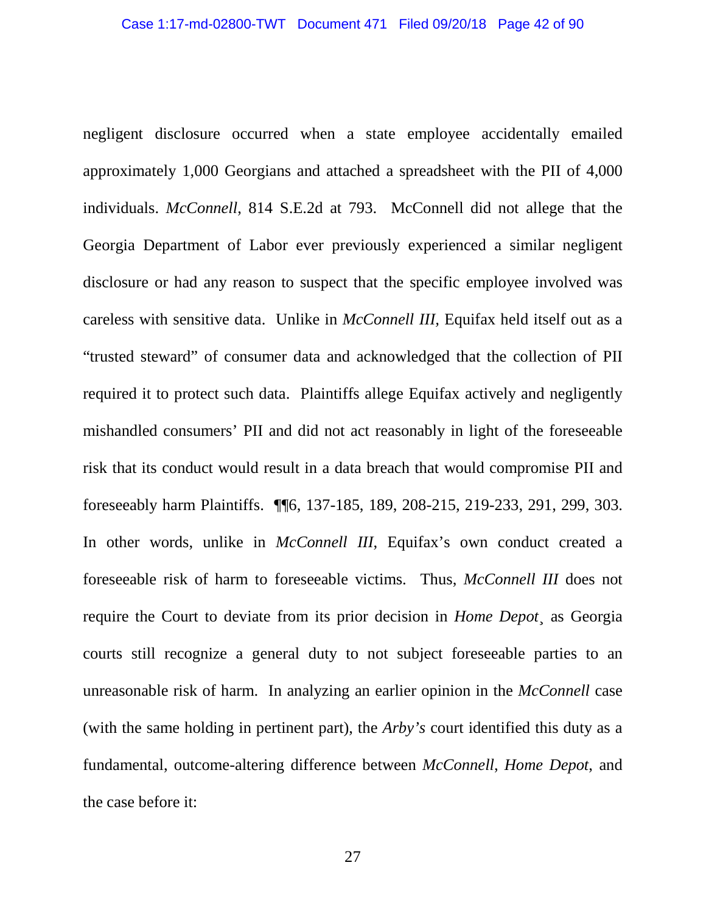negligent disclosure occurred when a state employee accidentally emailed approximately 1,000 Georgians and attached a spreadsheet with the PII of 4,000 individuals. *McConnell*, 814 S.E.2d at 793. McConnell did not allege that the Georgia Department of Labor ever previously experienced a similar negligent disclosure or had any reason to suspect that the specific employee involved was careless with sensitive data. Unlike in *McConnell III,* Equifax held itself out as a "trusted steward" of consumer data and acknowledged that the collection of PII required it to protect such data. Plaintiffs allege Equifax actively and negligently mishandled consumers' PII and did not act reasonably in light of the foreseeable risk that its conduct would result in a data breach that would compromise PII and foreseeably harm Plaintiffs. ¶¶6, 137-185, 189, 208-215, 219-233, 291, 299, 303. In other words, unlike in *McConnell III*, Equifax's own conduct created a foreseeable risk of harm to foreseeable victims. Thus, *McConnell III* does not require the Court to deviate from its prior decision in *Home Depot*¸ as Georgia courts still recognize a general duty to not subject foreseeable parties to an unreasonable risk of harm. In analyzing an earlier opinion in the *McConnell* case (with the same holding in pertinent part), the *Arby's* court identified this duty as a fundamental, outcome-altering difference between *McConnell*, *Home Depot*, and the case before it: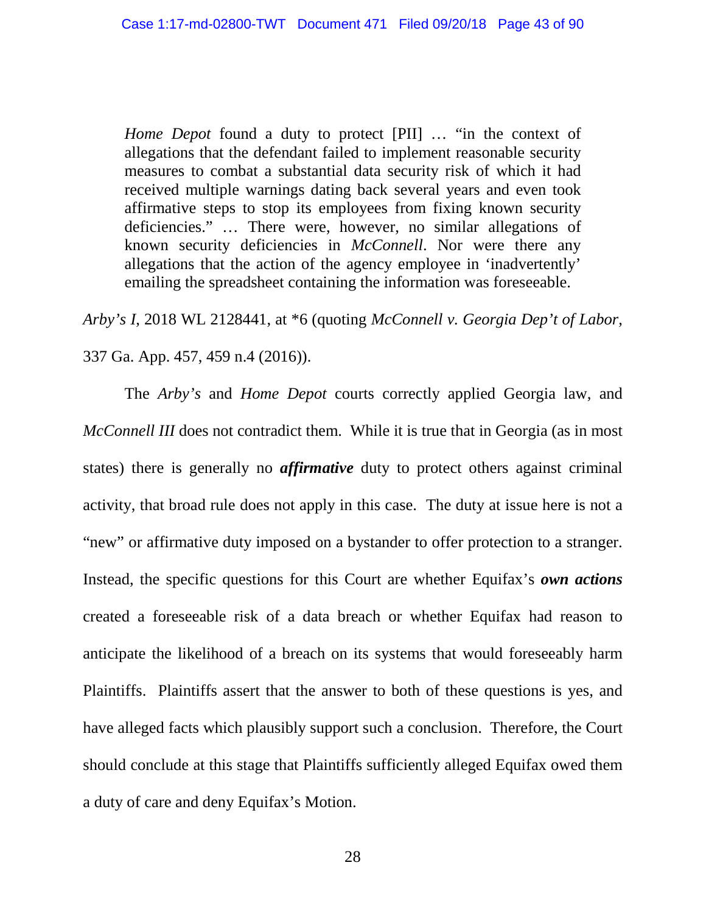*Home Depot* found a duty to protect [PII] … "in the context of allegations that the defendant failed to implement reasonable security measures to combat a substantial data security risk of which it had received multiple warnings dating back several years and even took affirmative steps to stop its employees from fixing known security deficiencies." … There were, however, no similar allegations of known security deficiencies in *McConnell*. Nor were there any allegations that the action of the agency employee in 'inadvertently' emailing the spreadsheet containing the information was foreseeable.

*Arby's I*, 2018 WL 2128441, at \*6 (quoting *McConnell v. Georgia Dep't of Labor*, 337 Ga. App. 457, 459 n.4 (2016)).

The *Arby's* and *Home Depot* courts correctly applied Georgia law, and *McConnell III* does not contradict them. While it is true that in Georgia (as in most states) there is generally no *affirmative* duty to protect others against criminal activity, that broad rule does not apply in this case. The duty at issue here is not a "new" or affirmative duty imposed on a bystander to offer protection to a stranger. Instead, the specific questions for this Court are whether Equifax's *own actions* created a foreseeable risk of a data breach or whether Equifax had reason to anticipate the likelihood of a breach on its systems that would foreseeably harm Plaintiffs. Plaintiffs assert that the answer to both of these questions is yes, and have alleged facts which plausibly support such a conclusion. Therefore, the Court should conclude at this stage that Plaintiffs sufficiently alleged Equifax owed them a duty of care and deny Equifax's Motion.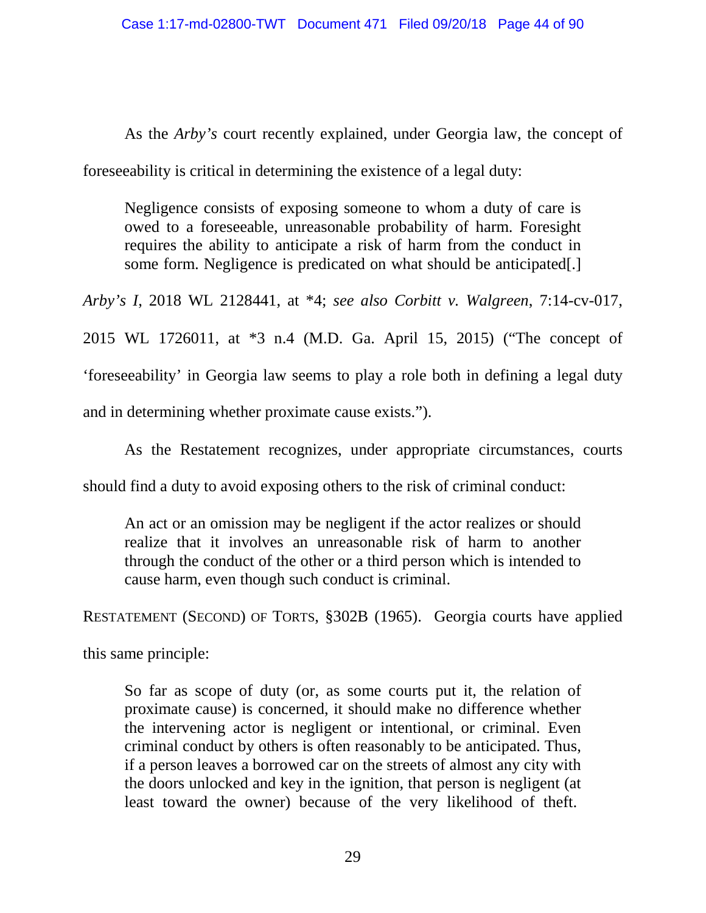As the *Arby's* court recently explained, under Georgia law, the concept of

foreseeability is critical in determining the existence of a legal duty:

Negligence consists of exposing someone to whom a duty of care is owed to a foreseeable, unreasonable probability of harm. Foresight requires the ability to anticipate a risk of harm from the conduct in some form. Negligence is predicated on what should be anticipated[.]

*Arby's I*, 2018 WL 2128441, at \*4; *see also Corbitt v. Walgreen*, 7:14-cv-017, 2015 WL 1726011, at \*3 n.4 (M.D. Ga. April 15, 2015) ("The concept of 'foreseeability' in Georgia law seems to play a role both in defining a legal duty and in determining whether proximate cause exists.").

As the Restatement recognizes, under appropriate circumstances, courts should find a duty to avoid exposing others to the risk of criminal conduct:

An act or an omission may be negligent if the actor realizes or should realize that it involves an unreasonable risk of harm to another through the conduct of the other or a third person which is intended to cause harm, even though such conduct is criminal.

RESTATEMENT (SECOND) OF TORTS, §302B (1965). Georgia courts have applied

this same principle:

So far as scope of duty (or, as some courts put it, the relation of proximate cause) is concerned, it should make no difference whether the intervening actor is negligent or intentional, or criminal. Even criminal conduct by others is often reasonably to be anticipated. Thus, if a person leaves a borrowed car on the streets of almost any city with the doors unlocked and key in the ignition, that person is negligent (at least toward the owner) because of the very likelihood of theft.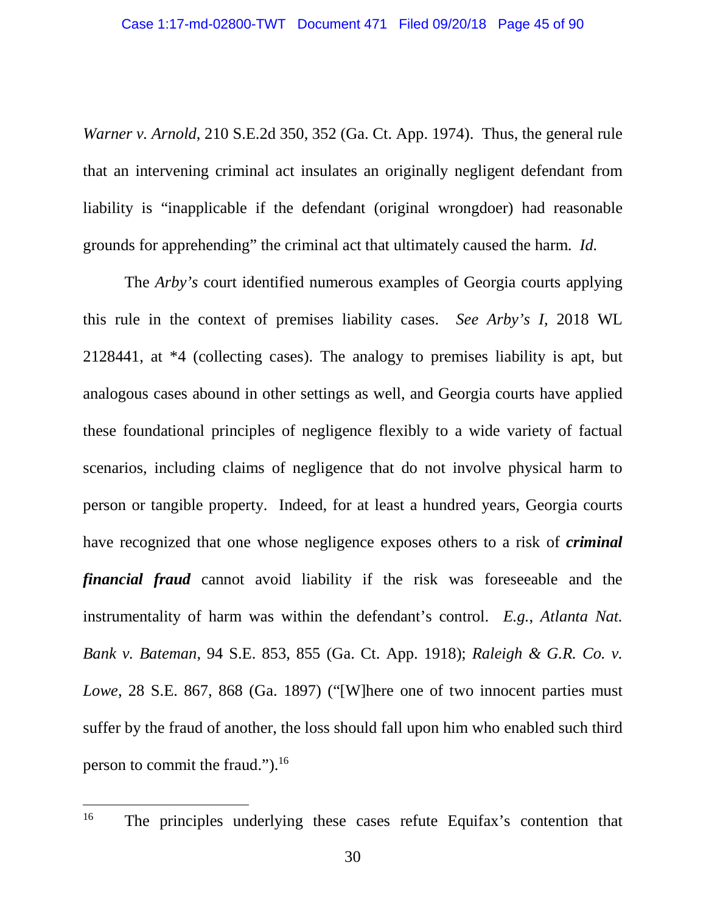*Warner v. Arnold*, 210 S.E.2d 350, 352 (Ga. Ct. App. 1974). Thus, the general rule that an intervening criminal act insulates an originally negligent defendant from liability is "inapplicable if the defendant (original wrongdoer) had reasonable grounds for apprehending" the criminal act that ultimately caused the harm. *Id.*

The *Arby's* court identified numerous examples of Georgia courts applying this rule in the context of premises liability cases. *See Arby's I*, 2018 WL 2128441, at \*4 (collecting cases). The analogy to premises liability is apt, but analogous cases abound in other settings as well, and Georgia courts have applied these foundational principles of negligence flexibly to a wide variety of factual scenarios, including claims of negligence that do not involve physical harm to person or tangible property. Indeed, for at least a hundred years, Georgia courts have recognized that one whose negligence exposes others to a risk of *criminal financial fraud* cannot avoid liability if the risk was foreseeable and the instrumentality of harm was within the defendant's control. *E.g.*, *Atlanta Nat. Bank v. Bateman*, 94 S.E. 853, 855 (Ga. Ct. App. 1918); *Raleigh & G.R. Co. v. Lowe*, 28 S.E. 867, 868 (Ga. 1897) ("[W]here one of two innocent parties must suffer by the fraud of another, the loss should fall upon him who enabled such third person to commit the fraud.").<sup>16</sup>

<sup>&</sup>lt;sup>16</sup> The principles underlying these cases refute Equifax's contention that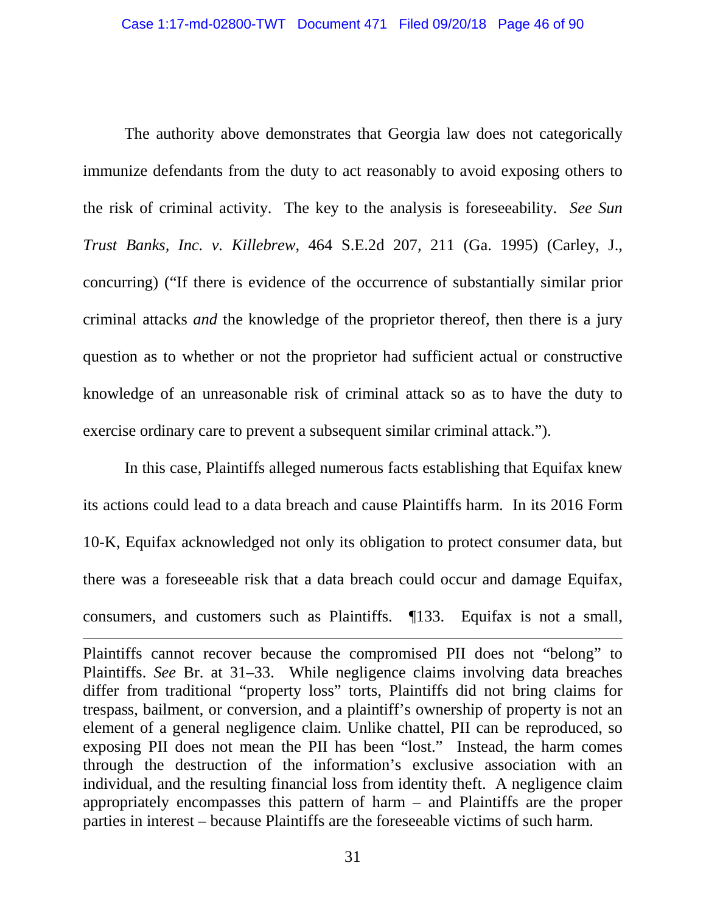The authority above demonstrates that Georgia law does not categorically immunize defendants from the duty to act reasonably to avoid exposing others to the risk of criminal activity. The key to the analysis is foreseeability. *See Sun Trust Banks, Inc. v. Killebrew*, 464 S.E.2d 207, 211 (Ga. 1995) (Carley, J., concurring) ("If there is evidence of the occurrence of substantially similar prior criminal attacks *and* the knowledge of the proprietor thereof, then there is a jury question as to whether or not the proprietor had sufficient actual or constructive knowledge of an unreasonable risk of criminal attack so as to have the duty to exercise ordinary care to prevent a subsequent similar criminal attack.").

In this case, Plaintiffs alleged numerous facts establishing that Equifax knew its actions could lead to a data breach and cause Plaintiffs harm. In its 2016 Form 10-K, Equifax acknowledged not only its obligation to protect consumer data, but there was a foreseeable risk that a data breach could occur and damage Equifax, consumers, and customers such as Plaintiffs. ¶133. Equifax is not a small,

Plaintiffs cannot recover because the compromised PII does not "belong" to Plaintiffs. *See* Br. at 31–33. While negligence claims involving data breaches differ from traditional "property loss" torts, Plaintiffs did not bring claims for trespass, bailment, or conversion, and a plaintiff's ownership of property is not an element of a general negligence claim. Unlike chattel, PII can be reproduced, so exposing PII does not mean the PII has been "lost." Instead, the harm comes through the destruction of the information's exclusive association with an individual, and the resulting financial loss from identity theft. A negligence claim appropriately encompasses this pattern of harm – and Plaintiffs are the proper parties in interest – because Plaintiffs are the foreseeable victims of such harm.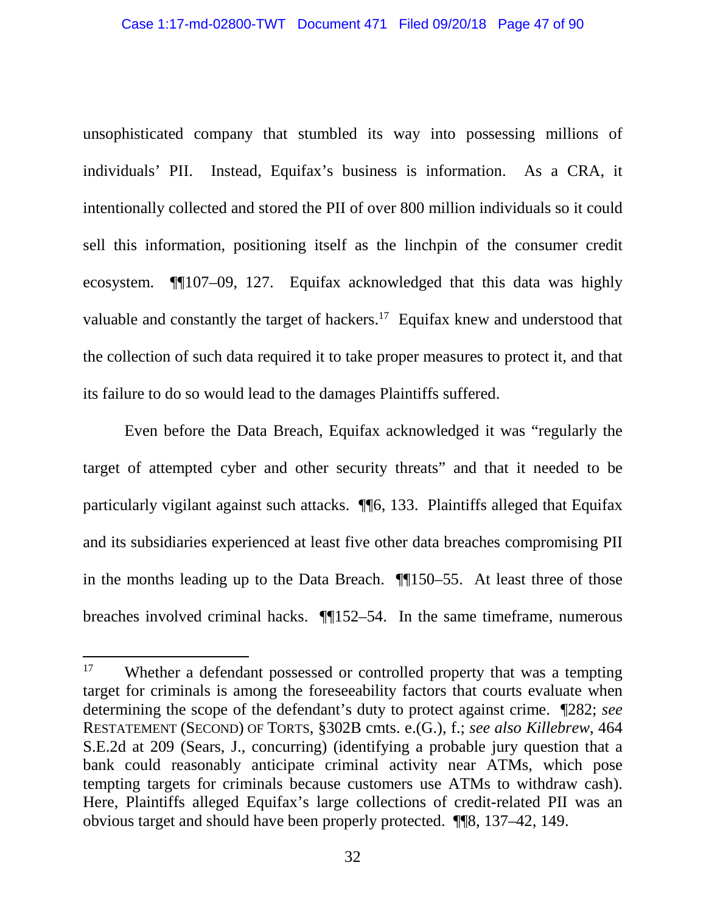unsophisticated company that stumbled its way into possessing millions of individuals' PII. Instead, Equifax's business is information. As a CRA, it intentionally collected and stored the PII of over 800 million individuals so it could sell this information, positioning itself as the linchpin of the consumer credit ecosystem. ¶¶107–09, 127. Equifax acknowledged that this data was highly valuable and constantly the target of hackers.<sup>17</sup> Equifax knew and understood that the collection of such data required it to take proper measures to protect it, and that its failure to do so would lead to the damages Plaintiffs suffered.

Even before the Data Breach, Equifax acknowledged it was "regularly the target of attempted cyber and other security threats" and that it needed to be particularly vigilant against such attacks. ¶¶6, 133. Plaintiffs alleged that Equifax and its subsidiaries experienced at least five other data breaches compromising PII in the months leading up to the Data Breach. ¶¶150–55. At least three of those breaches involved criminal hacks. ¶¶152–54. In the same timeframe, numerous

<sup>&</sup>lt;sup>17</sup> Whether a defendant possessed or controlled property that was a tempting target for criminals is among the foreseeability factors that courts evaluate when determining the scope of the defendant's duty to protect against crime. ¶282; *see*  RESTATEMENT (SECOND) OF TORTS, §302B cmts. e.(G.), f.; *see also Killebrew*, 464 S.E.2d at 209 (Sears, J., concurring) (identifying a probable jury question that a bank could reasonably anticipate criminal activity near ATMs, which pose tempting targets for criminals because customers use ATMs to withdraw cash). Here, Plaintiffs alleged Equifax's large collections of credit-related PII was an obvious target and should have been properly protected. ¶¶8, 137–42, 149.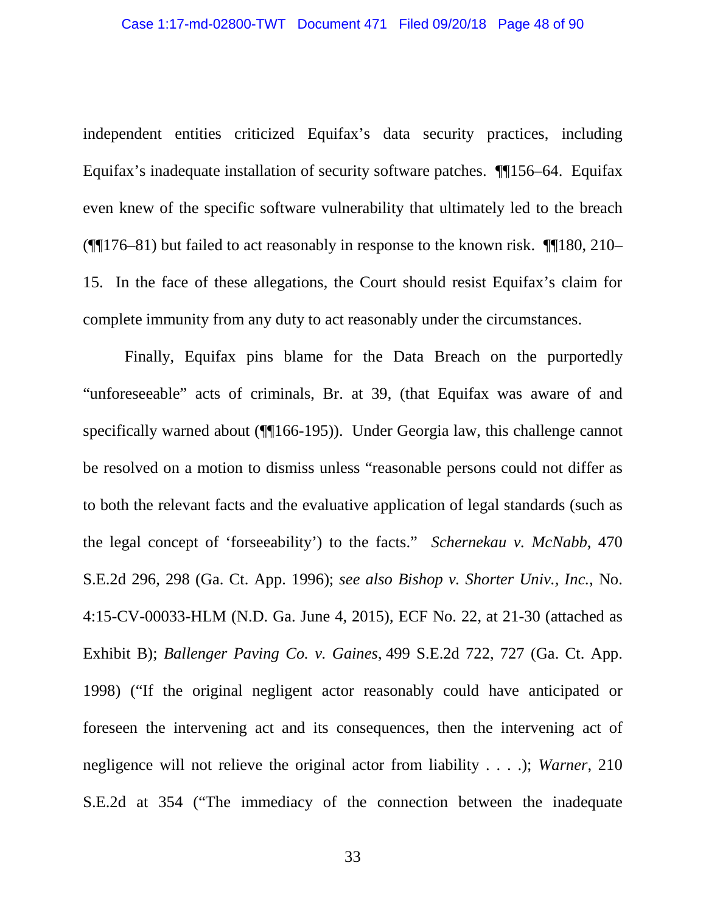independent entities criticized Equifax's data security practices, including Equifax's inadequate installation of security software patches. ¶¶156–64. Equifax even knew of the specific software vulnerability that ultimately led to the breach (¶¶176–81) but failed to act reasonably in response to the known risk. ¶¶180, 210– 15. In the face of these allegations, the Court should resist Equifax's claim for complete immunity from any duty to act reasonably under the circumstances.

Finally, Equifax pins blame for the Data Breach on the purportedly "unforeseeable" acts of criminals, Br. at 39, (that Equifax was aware of and specifically warned about (¶[166-195)). Under Georgia law, this challenge cannot be resolved on a motion to dismiss unless "reasonable persons could not differ as to both the relevant facts and the evaluative application of legal standards (such as the legal concept of 'forseeability') to the facts." *Schernekau v. McNabb*, 470 S.E.2d 296, 298 (Ga. Ct. App. 1996); *see also Bishop v. Shorter Univ., Inc.*, No. 4:15-CV-00033-HLM (N.D. Ga. June 4, 2015), ECF No. 22, at 21-30 (attached as Exhibit B); *Ballenger Paving Co. v. Gaines*, 499 S.E.2d 722, 727 (Ga. Ct. App. 1998) ("If the original negligent actor reasonably could have anticipated or foreseen the intervening act and its consequences, then the intervening act of negligence will not relieve the original actor from liability . . . .); *Warner*, 210 S.E.2d at 354 ("The immediacy of the connection between the inadequate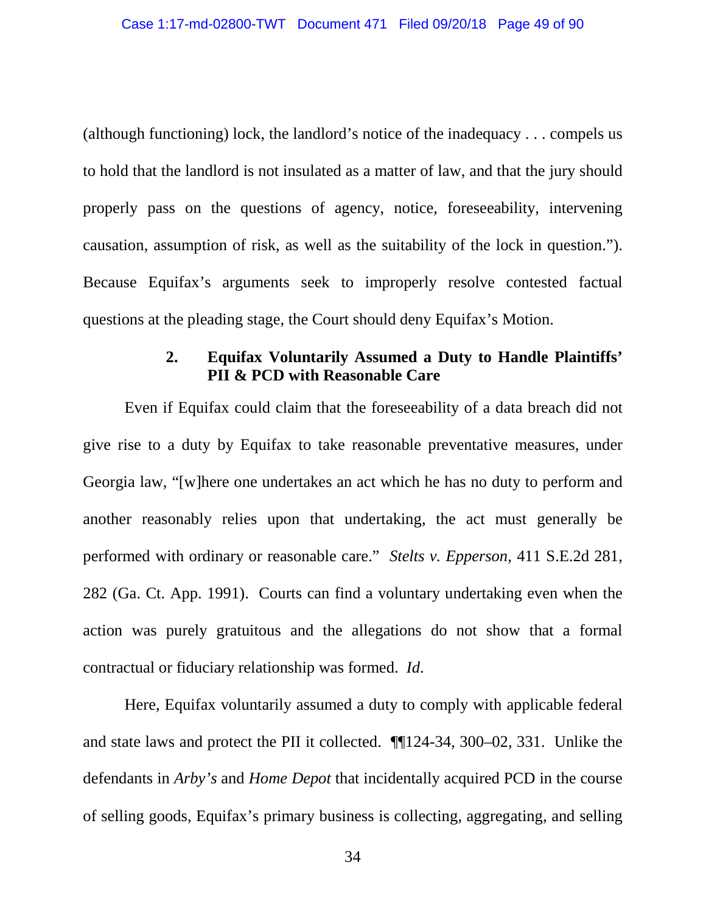(although functioning) lock, the landlord's notice of the inadequacy . . . compels us to hold that the landlord is not insulated as a matter of law, and that the jury should properly pass on the questions of agency, notice, foreseeability, intervening causation, assumption of risk, as well as the suitability of the lock in question."). Because Equifax's arguments seek to improperly resolve contested factual questions at the pleading stage, the Court should deny Equifax's Motion.

## **2. Equifax Voluntarily Assumed a Duty to Handle Plaintiffs' PII & PCD with Reasonable Care**

Even if Equifax could claim that the foreseeability of a data breach did not give rise to a duty by Equifax to take reasonable preventative measures, under Georgia law, "[w]here one undertakes an act which he has no duty to perform and another reasonably relies upon that undertaking, the act must generally be performed with ordinary or reasonable care." *Stelts v. Epperson*, 411 S.E.2d 281, 282 (Ga. Ct. App. 1991). Courts can find a voluntary undertaking even when the action was purely gratuitous and the allegations do not show that a formal contractual or fiduciary relationship was formed. *Id*.

Here, Equifax voluntarily assumed a duty to comply with applicable federal and state laws and protect the PII it collected. ¶¶124-34, 300–02, 331. Unlike the defendants in *Arby's* and *Home Depot* that incidentally acquired PCD in the course of selling goods, Equifax's primary business is collecting, aggregating, and selling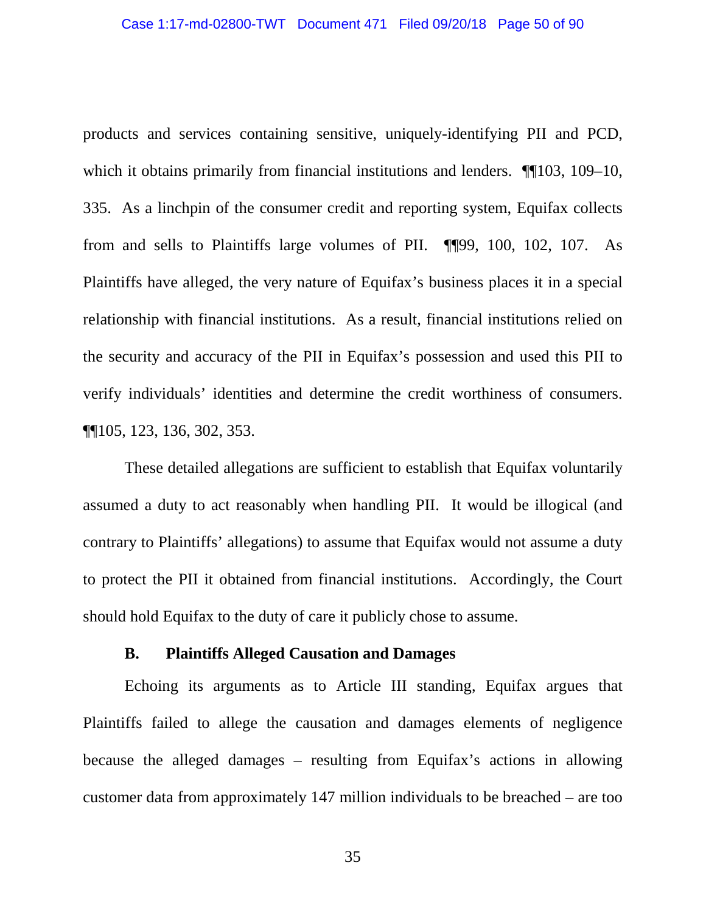products and services containing sensitive, uniquely-identifying PII and PCD, which it obtains primarily from financial institutions and lenders.  $\P$ [103, 109–10, 335. As a linchpin of the consumer credit and reporting system, Equifax collects from and sells to Plaintiffs large volumes of PII. ¶¶99, 100, 102, 107. As Plaintiffs have alleged, the very nature of Equifax's business places it in a special relationship with financial institutions. As a result, financial institutions relied on the security and accuracy of the PII in Equifax's possession and used this PII to verify individuals' identities and determine the credit worthiness of consumers. ¶¶105, 123, 136, 302, 353.

These detailed allegations are sufficient to establish that Equifax voluntarily assumed a duty to act reasonably when handling PII. It would be illogical (and contrary to Plaintiffs' allegations) to assume that Equifax would not assume a duty to protect the PII it obtained from financial institutions. Accordingly, the Court should hold Equifax to the duty of care it publicly chose to assume.

### **B. Plaintiffs Alleged Causation and Damages**

Echoing its arguments as to Article III standing, Equifax argues that Plaintiffs failed to allege the causation and damages elements of negligence because the alleged damages – resulting from Equifax's actions in allowing customer data from approximately 147 million individuals to be breached – are too

35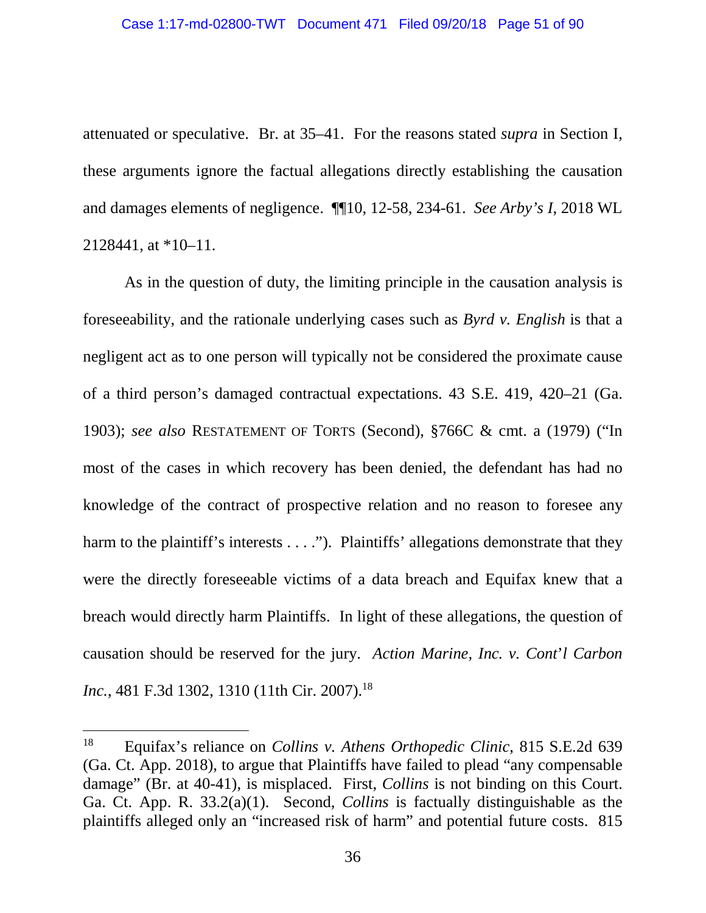attenuated or speculative. Br. at 35–41. For the reasons stated *supra* in Section I, these arguments ignore the factual allegations directly establishing the causation and damages elements of negligence. ¶¶10, 12-58, 234-61. *See Arby's I*, 2018 WL 2128441, at \*10–11.

As in the question of duty, the limiting principle in the causation analysis is foreseeability, and the rationale underlying cases such as *Byrd v. English* is that a negligent act as to one person will typically not be considered the proximate cause of a third person's damaged contractual expectations. 43 S.E. 419, 420–21 (Ga. 1903); *see also* RESTATEMENT OF TORTS (Second), §766C & cmt. a (1979) ("In most of the cases in which recovery has been denied, the defendant has had no knowledge of the contract of prospective relation and no reason to foresee any harm to the plaintiff's interests . . . ."). Plaintiffs' allegations demonstrate that they were the directly foreseeable victims of a data breach and Equifax knew that a breach would directly harm Plaintiffs. In light of these allegations, the question of causation should be reserved for the jury. *Action Marine, Inc. v. Cont*'*l Carbon Inc.*, 481 F.3d 1302, 1310 (11th Cir. 2007).<sup>18</sup>

<sup>18</sup> Equifax's reliance on *Collins v. Athens Orthopedic Clinic*, 815 S.E.2d 639 (Ga. Ct. App. 2018), to argue that Plaintiffs have failed to plead "any compensable damage" (Br. at 40-41), is misplaced. First, *Collins* is not binding on this Court. Ga. Ct. App. R. 33.2(a)(1). Second, *Collins* is factually distinguishable as the plaintiffs alleged only an "increased risk of harm" and potential future costs. 815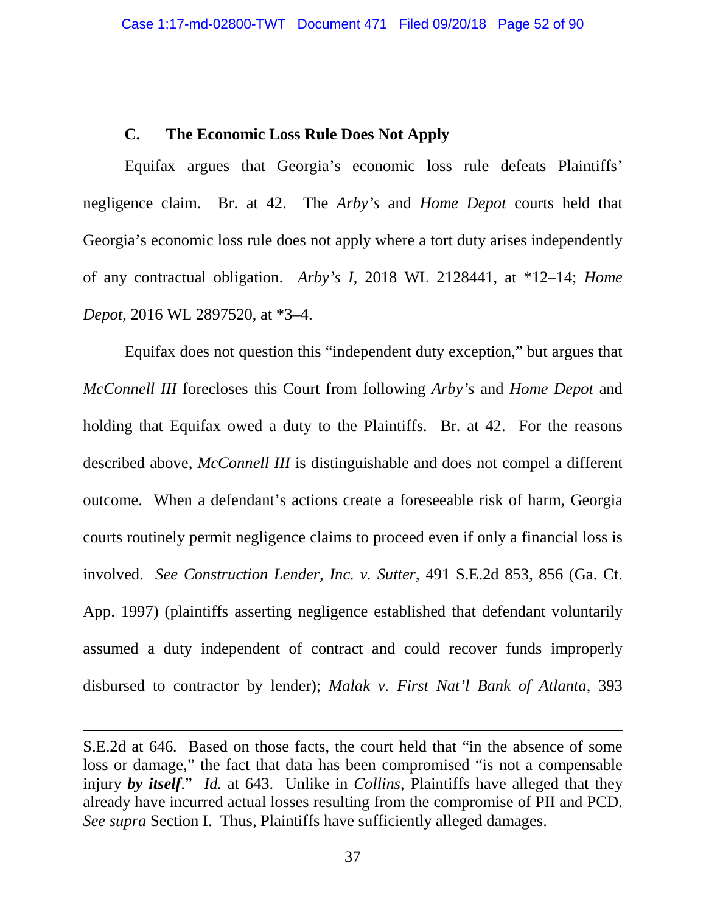## **C. The Economic Loss Rule Does Not Apply**

Equifax argues that Georgia's economic loss rule defeats Plaintiffs' negligence claim. Br. at 42. The *Arby's* and *Home Depot* courts held that Georgia's economic loss rule does not apply where a tort duty arises independently of any contractual obligation. *Arby's I*, 2018 WL 2128441, at \*12–14; *Home Depot*, 2016 WL 2897520, at \*3–4.

Equifax does not question this "independent duty exception," but argues that *McConnell III* forecloses this Court from following *Arby's* and *Home Depot* and holding that Equifax owed a duty to the Plaintiffs. Br. at 42. For the reasons described above, *McConnell III* is distinguishable and does not compel a different outcome. When a defendant's actions create a foreseeable risk of harm, Georgia courts routinely permit negligence claims to proceed even if only a financial loss is involved. *See Construction Lender, Inc. v. Sutter*, 491 S.E.2d 853, 856 (Ga. Ct. App. 1997) (plaintiffs asserting negligence established that defendant voluntarily assumed a duty independent of contract and could recover funds improperly disbursed to contractor by lender); *Malak v. First Nat'l Bank of Atlanta*, 393

S.E.2d at 646*.* Based on those facts, the court held that "in the absence of some loss or damage," the fact that data has been compromised "is not a compensable injury *by itself*." *Id.* at 643. Unlike in *Collins*, Plaintiffs have alleged that they already have incurred actual losses resulting from the compromise of PII and PCD. *See supra* Section I. Thus, Plaintiffs have sufficiently alleged damages.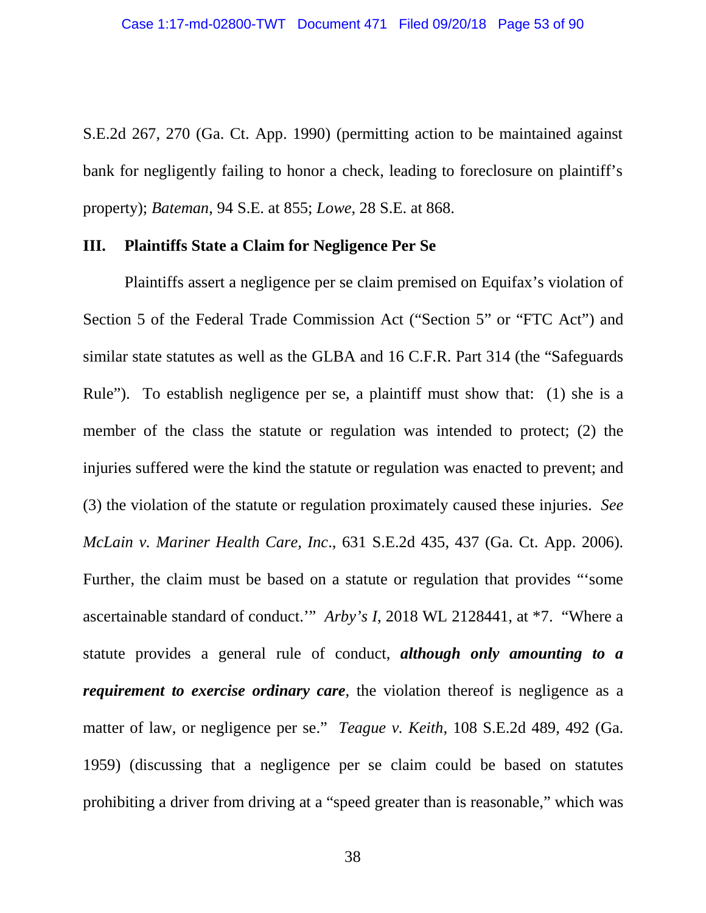S.E.2d 267, 270 (Ga. Ct. App. 1990) (permitting action to be maintained against bank for negligently failing to honor a check, leading to foreclosure on plaintiff's property); *Bateman*, 94 S.E. at 855; *Lowe*, 28 S.E. at 868.

#### **III. Plaintiffs State a Claim for Negligence Per Se**

Plaintiffs assert a negligence per se claim premised on Equifax's violation of Section 5 of the Federal Trade Commission Act ("Section 5" or "FTC Act") and similar state statutes as well as the GLBA and 16 C.F.R. Part 314 (the "Safeguards Rule"). To establish negligence per se, a plaintiff must show that: (1) she is a member of the class the statute or regulation was intended to protect; (2) the injuries suffered were the kind the statute or regulation was enacted to prevent; and (3) the violation of the statute or regulation proximately caused these injuries. *See McLain v. Mariner Health Care, Inc*., 631 S.E.2d 435, 437 (Ga. Ct. App. 2006). Further, the claim must be based on a statute or regulation that provides "'some ascertainable standard of conduct.'" *Arby's I*, 2018 WL 2128441, at \*7. "Where a statute provides a general rule of conduct, *although only amounting to a requirement to exercise ordinary care*, the violation thereof is negligence as a matter of law, or negligence per se." *Teague v. Keith*, 108 S.E.2d 489, 492 (Ga. 1959) (discussing that a negligence per se claim could be based on statutes prohibiting a driver from driving at a "speed greater than is reasonable," which was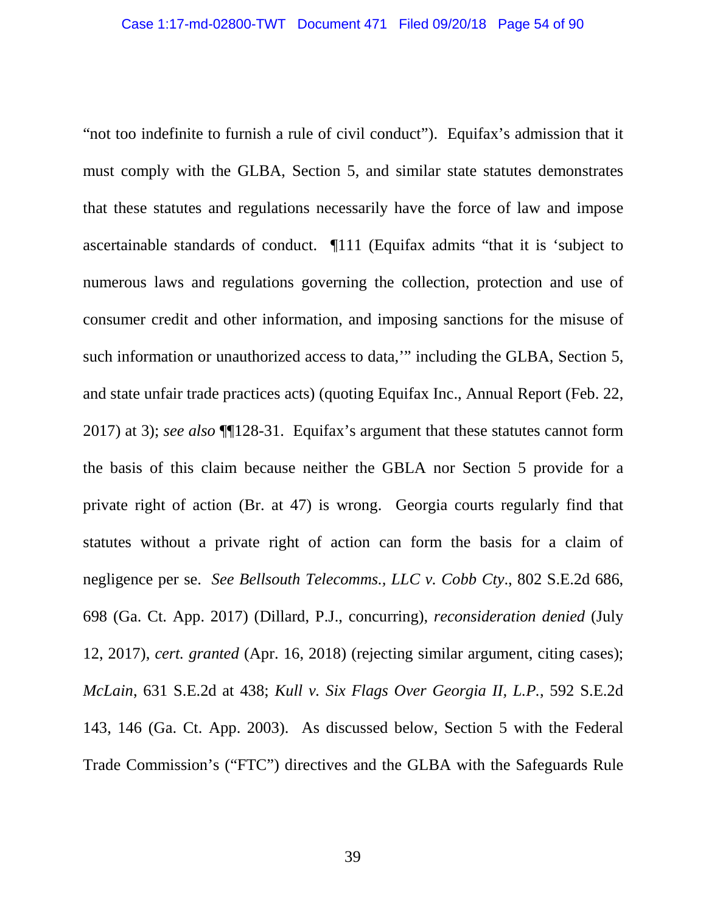"not too indefinite to furnish a rule of civil conduct"). Equifax's admission that it must comply with the GLBA, Section 5, and similar state statutes demonstrates that these statutes and regulations necessarily have the force of law and impose ascertainable standards of conduct. ¶111 (Equifax admits "that it is 'subject to numerous laws and regulations governing the collection, protection and use of consumer credit and other information, and imposing sanctions for the misuse of such information or unauthorized access to data," including the GLBA, Section 5, and state unfair trade practices acts) (quoting Equifax Inc., Annual Report (Feb. 22, 2017) at 3); *see also* ¶¶128-31. Equifax's argument that these statutes cannot form the basis of this claim because neither the GBLA nor Section 5 provide for a private right of action (Br. at 47) is wrong. Georgia courts regularly find that statutes without a private right of action can form the basis for a claim of negligence per se. *See Bellsouth Telecomms., LLC v. Cobb Cty*., 802 S.E.2d 686, 698 (Ga. Ct. App. 2017) (Dillard, P.J., concurring), *reconsideration denied* (July 12, 2017), *cert. granted* (Apr. 16, 2018) (rejecting similar argument, citing cases); *McLain*, 631 S.E.2d at 438; *Kull v. Six Flags Over Georgia II, L.P.*, 592 S.E.2d 143, 146 (Ga. Ct. App. 2003). As discussed below, Section 5 with the Federal Trade Commission's ("FTC") directives and the GLBA with the Safeguards Rule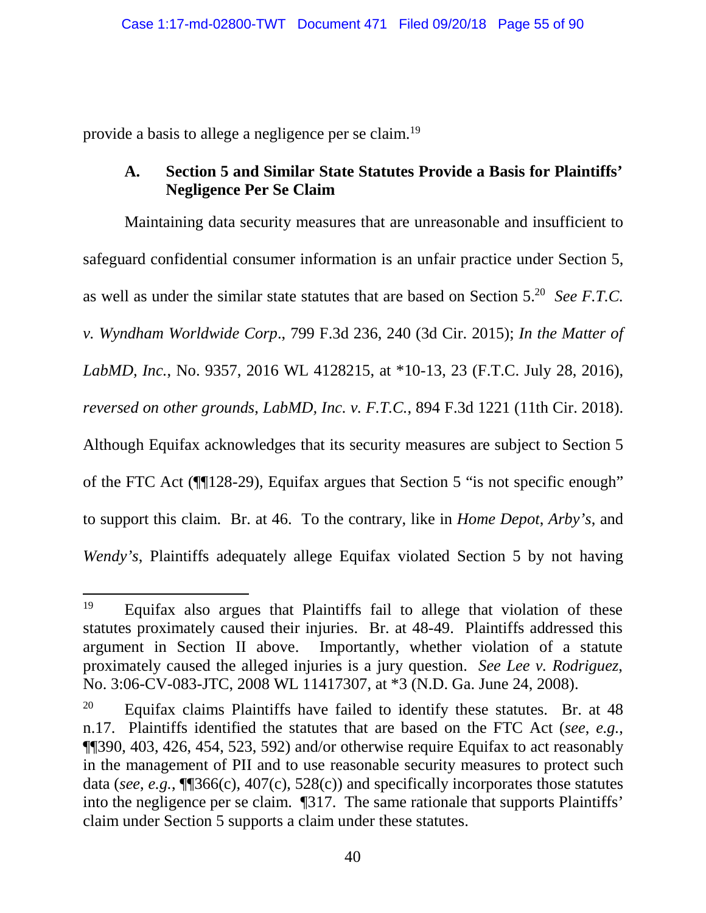provide a basis to allege a negligence per se claim.<sup>19</sup>

# **A. Section 5 and Similar State Statutes Provide a Basis for Plaintiffs' Negligence Per Se Claim**

Maintaining data security measures that are unreasonable and insufficient to safeguard confidential consumer information is an unfair practice under Section 5, as well as under the similar state statutes that are based on Section 5.<sup>20</sup> *See F.T.C. v. Wyndham Worldwide Corp*., 799 F.3d 236, 240 (3d Cir. 2015); *In the Matter of LabMD, Inc.*, No. 9357, 2016 WL 4128215, at \*10-13, 23 (F.T.C. July 28, 2016), *reversed on other grounds*, *LabMD, Inc. v. F.T.C.*, 894 F.3d 1221 (11th Cir. 2018). Although Equifax acknowledges that its security measures are subject to Section 5 of the FTC Act (¶¶128-29), Equifax argues that Section 5 "is not specific enough" to support this claim. Br. at 46. To the contrary, like in *Home Depot*, *Arby's*, and *Wendy's*, Plaintiffs adequately allege Equifax violated Section 5 by not having

<sup>&</sup>lt;sup>19</sup> Equifax also argues that Plaintiffs fail to allege that violation of these statutes proximately caused their injuries. Br. at 48-49. Plaintiffs addressed this argument in Section II above. Importantly, whether violation of a statute proximately caused the alleged injuries is a jury question. *See Lee v. Rodriguez*, No. 3:06-CV-083-JTC, 2008 WL 11417307, at \*3 (N.D. Ga. June 24, 2008).

 $20$  Equifax claims Plaintiffs have failed to identify these statutes. Br. at 48 n.17. Plaintiffs identified the statutes that are based on the FTC Act (*see*, *e.g.*, ¶¶390, 403, 426, 454, 523, 592) and/or otherwise require Equifax to act reasonably in the management of PII and to use reasonable security measures to protect such data (*see*, *e.g.*, ¶¶366(c), 407(c), 528(c)) and specifically incorporates those statutes into the negligence per se claim. ¶317. The same rationale that supports Plaintiffs' claim under Section 5 supports a claim under these statutes.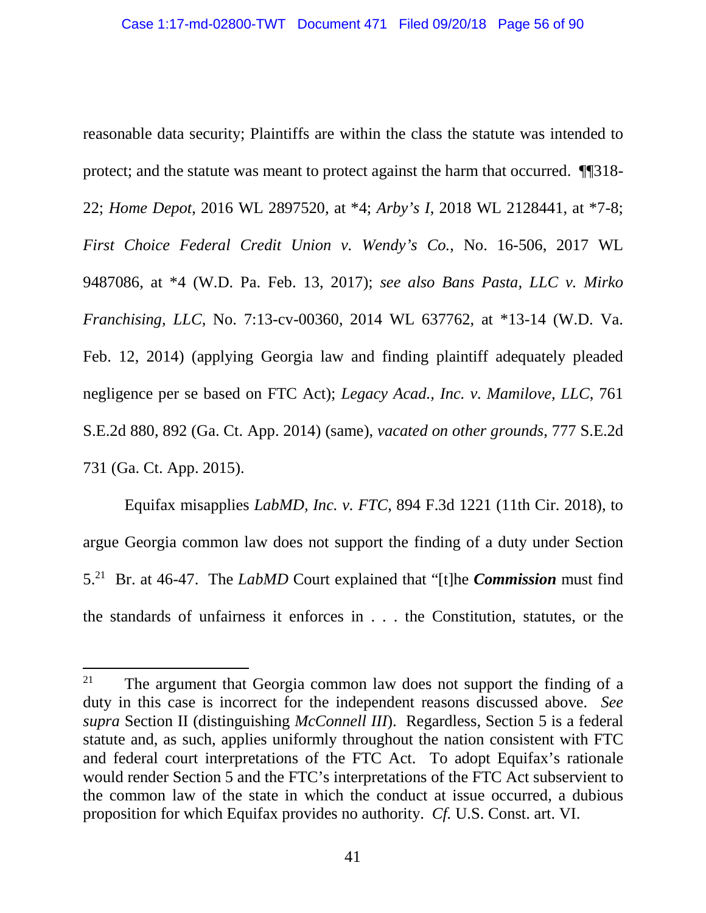reasonable data security; Plaintiffs are within the class the statute was intended to protect; and the statute was meant to protect against the harm that occurred. ¶¶318- 22; *Home Depot*, 2016 WL 2897520, at \*4; *Arby's I*, 2018 WL 2128441, at \*7-8; *First Choice Federal Credit Union v. Wendy's Co.*, No. 16-506, 2017 WL 9487086, at \*4 (W.D. Pa. Feb. 13, 2017); *see also Bans Pasta, LLC v. Mirko Franchising, LLC*, No. 7:13-cv-00360, 2014 WL 637762, at \*13-14 (W.D. Va. Feb. 12, 2014) (applying Georgia law and finding plaintiff adequately pleaded negligence per se based on FTC Act); *Legacy Acad., Inc. v. Mamilove, LLC*, 761 S.E.2d 880, 892 (Ga. Ct. App. 2014) (same), *vacated on other grounds*, 777 S.E.2d 731 (Ga. Ct. App. 2015).

Equifax misapplies *LabMD, Inc. v. FTC*, 894 F.3d 1221 (11th Cir. 2018), to argue Georgia common law does not support the finding of a duty under Section 5.<sup>21</sup> Br. at 46-47. The *LabMD* Court explained that "[t]he *Commission* must find the standards of unfairness it enforces in . . . the Constitution, statutes, or the

<sup>&</sup>lt;sup>21</sup> The argument that Georgia common law does not support the finding of a duty in this case is incorrect for the independent reasons discussed above. *See supra* Section II (distinguishing *McConnell III*). Regardless, Section 5 is a federal statute and, as such, applies uniformly throughout the nation consistent with FTC and federal court interpretations of the FTC Act. To adopt Equifax's rationale would render Section 5 and the FTC's interpretations of the FTC Act subservient to the common law of the state in which the conduct at issue occurred, a dubious proposition for which Equifax provides no authority. *Cf.* U.S. Const. art. VI.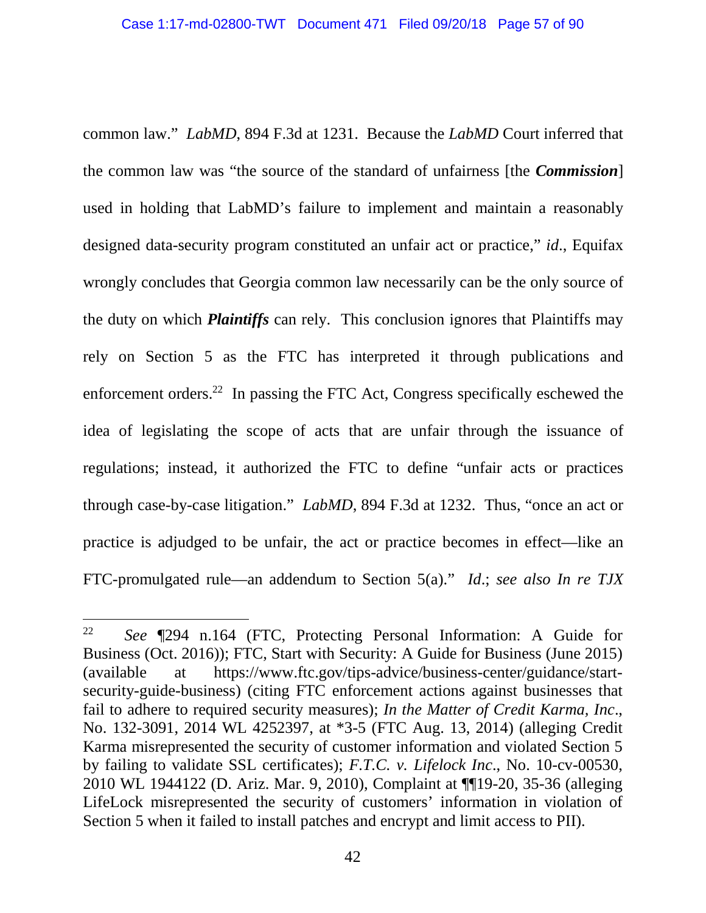common law." *LabMD*, 894 F.3d at 1231. Because the *LabMD* Court inferred that the common law was "the source of the standard of unfairness [the *Commission*] used in holding that LabMD's failure to implement and maintain a reasonably designed data-security program constituted an unfair act or practice," *id*., Equifax wrongly concludes that Georgia common law necessarily can be the only source of the duty on which *Plaintiffs* can rely. This conclusion ignores that Plaintiffs may rely on Section 5 as the FTC has interpreted it through publications and enforcement orders.<sup>22</sup> In passing the FTC Act, Congress specifically eschewed the idea of legislating the scope of acts that are unfair through the issuance of regulations; instead, it authorized the FTC to define "unfair acts or practices through case-by-case litigation." *LabMD*, 894 F.3d at 1232. Thus, "once an act or practice is adjudged to be unfair, the act or practice becomes in effect—like an FTC-promulgated rule—an addendum to Section 5(a)." *Id*.; *see also In re TJX* 

<sup>22</sup> *See* ¶294 n.164 (FTC, Protecting Personal Information: A Guide for Business (Oct. 2016)); FTC, Start with Security: A Guide for Business (June 2015) (available at https://www.ftc.gov/tips-advice/business-center/guidance/startsecurity-guide-business) (citing FTC enforcement actions against businesses that fail to adhere to required security measures); *In the Matter of Credit Karma, Inc*., No. 132-3091, 2014 WL 4252397, at \*3-5 (FTC Aug. 13, 2014) (alleging Credit Karma misrepresented the security of customer information and violated Section 5 by failing to validate SSL certificates); *F.T.C. v. Lifelock Inc*., No. 10-cv-00530, 2010 WL 1944122 (D. Ariz. Mar. 9, 2010), Complaint at ¶¶19-20, 35-36 (alleging LifeLock misrepresented the security of customers' information in violation of Section 5 when it failed to install patches and encrypt and limit access to PII).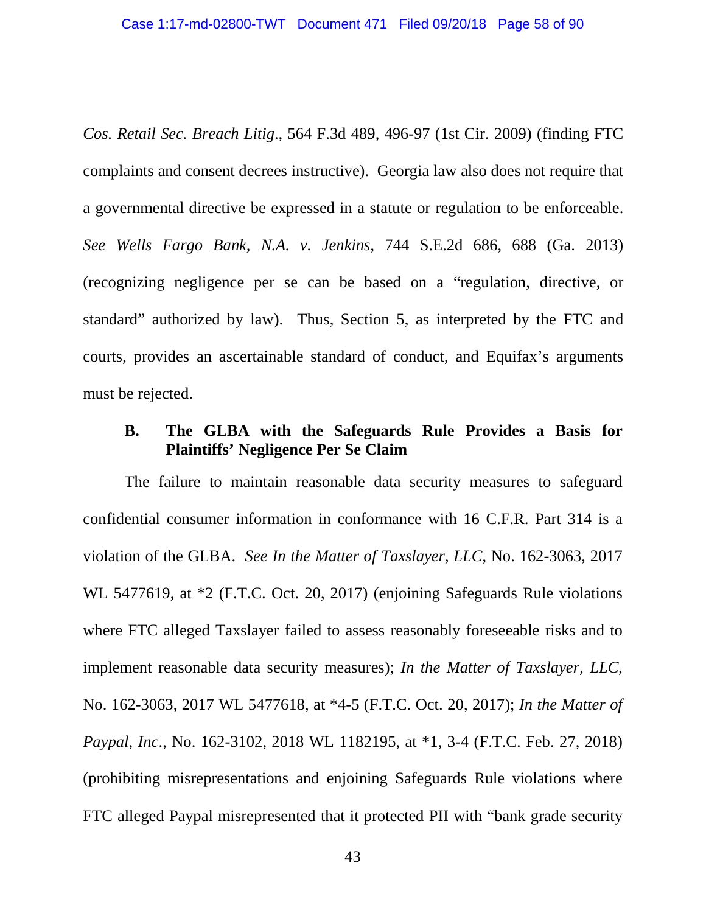*Cos. Retail Sec. Breach Litig*., 564 F.3d 489, 496-97 (1st Cir. 2009) (finding FTC complaints and consent decrees instructive). Georgia law also does not require that a governmental directive be expressed in a statute or regulation to be enforceable. *See Wells Fargo Bank, N.A. v. Jenkins*, 744 S.E.2d 686, 688 (Ga. 2013) (recognizing negligence per se can be based on a "regulation, directive, or standard" authorized by law). Thus, Section 5, as interpreted by the FTC and courts, provides an ascertainable standard of conduct, and Equifax's arguments must be rejected.

## **B. The GLBA with the Safeguards Rule Provides a Basis for Plaintiffs' Negligence Per Se Claim**

The failure to maintain reasonable data security measures to safeguard confidential consumer information in conformance with 16 C.F.R. Part 314 is a violation of the GLBA. *See In the Matter of Taxslayer, LLC*, No. 162-3063, 2017 WL 5477619, at \*2 (F.T.C. Oct. 20, 2017) (enjoining Safeguards Rule violations where FTC alleged Taxslayer failed to assess reasonably foreseeable risks and to implement reasonable data security measures); *In the Matter of Taxslayer, LLC*, No. 162-3063, 2017 WL 5477618, at \*4-5 (F.T.C. Oct. 20, 2017); *In the Matter of Paypal, Inc*., No. 162-3102, 2018 WL 1182195, at \*1, 3-4 (F.T.C. Feb. 27, 2018) (prohibiting misrepresentations and enjoining Safeguards Rule violations where FTC alleged Paypal misrepresented that it protected PII with "bank grade security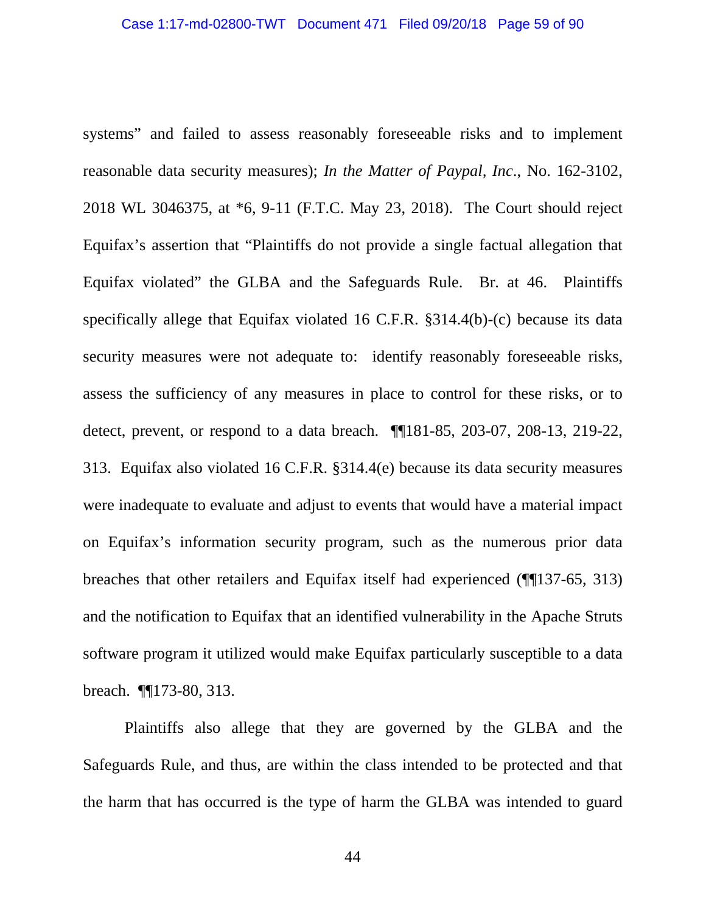systems" and failed to assess reasonably foreseeable risks and to implement reasonable data security measures); *In the Matter of Paypal, Inc*., No. 162-3102, 2018 WL 3046375, at \*6, 9-11 (F.T.C. May 23, 2018). The Court should reject Equifax's assertion that "Plaintiffs do not provide a single factual allegation that Equifax violated" the GLBA and the Safeguards Rule. Br. at 46. Plaintiffs specifically allege that Equifax violated 16 C.F.R. §314.4(b)-(c) because its data security measures were not adequate to: identify reasonably foreseeable risks, assess the sufficiency of any measures in place to control for these risks, or to detect, prevent, or respond to a data breach. ¶¶181-85, 203-07, 208-13, 219-22, 313. Equifax also violated 16 C.F.R. §314.4(e) because its data security measures were inadequate to evaluate and adjust to events that would have a material impact on Equifax's information security program, such as the numerous prior data breaches that other retailers and Equifax itself had experienced (¶¶137-65, 313) and the notification to Equifax that an identified vulnerability in the Apache Struts software program it utilized would make Equifax particularly susceptible to a data breach. ¶¶173-80, 313.

Plaintiffs also allege that they are governed by the GLBA and the Safeguards Rule, and thus, are within the class intended to be protected and that the harm that has occurred is the type of harm the GLBA was intended to guard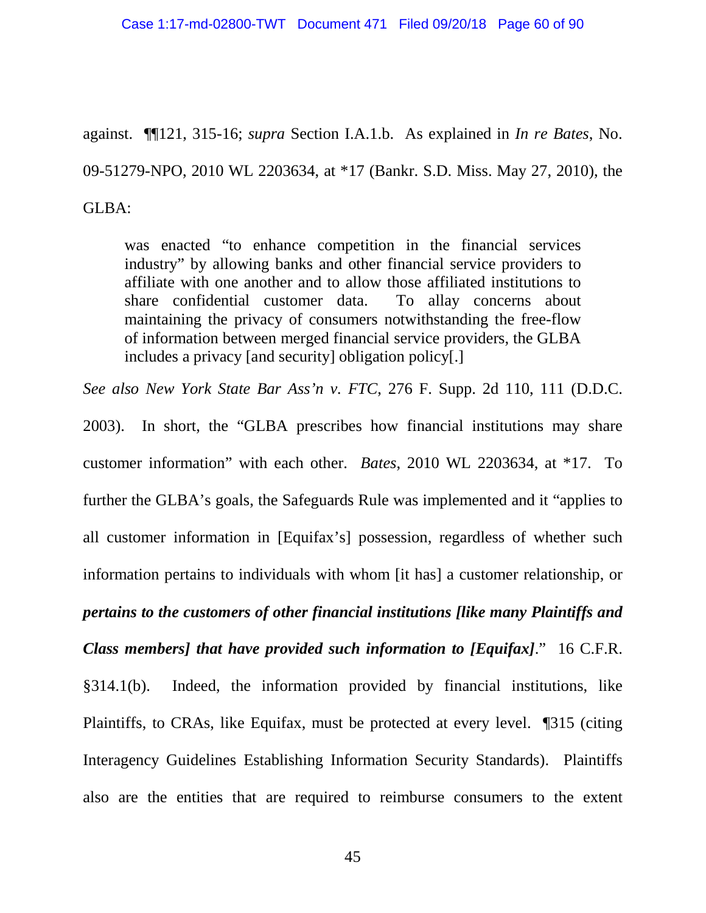against. ¶¶121, 315-16; *supra* Section I.A.1.b. As explained in *In re Bates*, No. 09-51279-NPO, 2010 WL 2203634, at \*17 (Bankr. S.D. Miss. May 27, 2010), the GLBA:

was enacted "to enhance competition in the financial services industry" by allowing banks and other financial service providers to affiliate with one another and to allow those affiliated institutions to share confidential customer data. To allay concerns about maintaining the privacy of consumers notwithstanding the free-flow of information between merged financial service providers, the GLBA includes a privacy [and security] obligation policy[.]

*See also New York State Bar Ass'n v. FTC*, 276 F. Supp. 2d 110, 111 (D.D.C.

2003). In short, the "GLBA prescribes how financial institutions may share customer information" with each other. *Bates*, 2010 WL 2203634, at \*17. To further the GLBA's goals, the Safeguards Rule was implemented and it "applies to all customer information in [Equifax's] possession, regardless of whether such information pertains to individuals with whom [it has] a customer relationship, or *pertains to the customers of other financial institutions [like many Plaintiffs and Class members] that have provided such information to [Equifax]*." 16 C.F.R. §314.1(b). Indeed, the information provided by financial institutions, like Plaintiffs, to CRAs, like Equifax, must be protected at every level. ¶315 (citing Interagency Guidelines Establishing Information Security Standards). Plaintiffs also are the entities that are required to reimburse consumers to the extent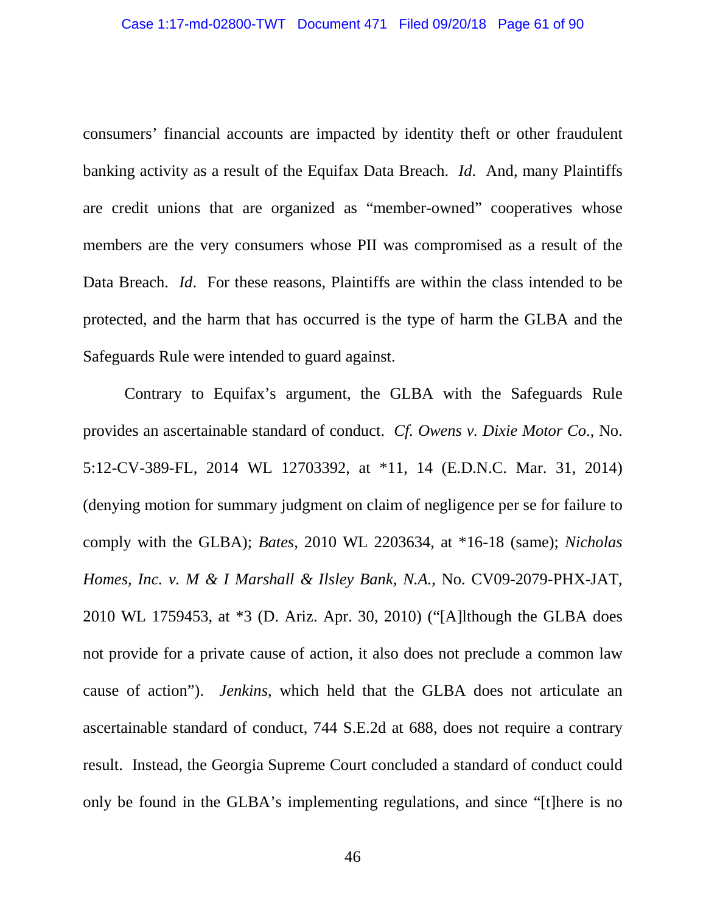consumers' financial accounts are impacted by identity theft or other fraudulent banking activity as a result of the Equifax Data Breach. *Id*. And, many Plaintiffs are credit unions that are organized as "member-owned" cooperatives whose members are the very consumers whose PII was compromised as a result of the Data Breach. *Id*. For these reasons, Plaintiffs are within the class intended to be protected, and the harm that has occurred is the type of harm the GLBA and the Safeguards Rule were intended to guard against.

Contrary to Equifax's argument, the GLBA with the Safeguards Rule provides an ascertainable standard of conduct. *Cf. Owens v. Dixie Motor Co*., No. 5:12-CV-389-FL, 2014 WL 12703392, at \*11, 14 (E.D.N.C. Mar. 31, 2014) (denying motion for summary judgment on claim of negligence per se for failure to comply with the GLBA); *Bates*, 2010 WL 2203634, at \*16-18 (same); *Nicholas Homes, Inc. v. M & I Marshall & Ilsley Bank, N.A.*, No. CV09-2079-PHX-JAT, 2010 WL 1759453, at \*3 (D. Ariz. Apr. 30, 2010) ("[A]lthough the GLBA does not provide for a private cause of action, it also does not preclude a common law cause of action"). *Jenkins*, which held that the GLBA does not articulate an ascertainable standard of conduct, 744 S.E.2d at 688, does not require a contrary result. Instead, the Georgia Supreme Court concluded a standard of conduct could only be found in the GLBA's implementing regulations, and since "[t]here is no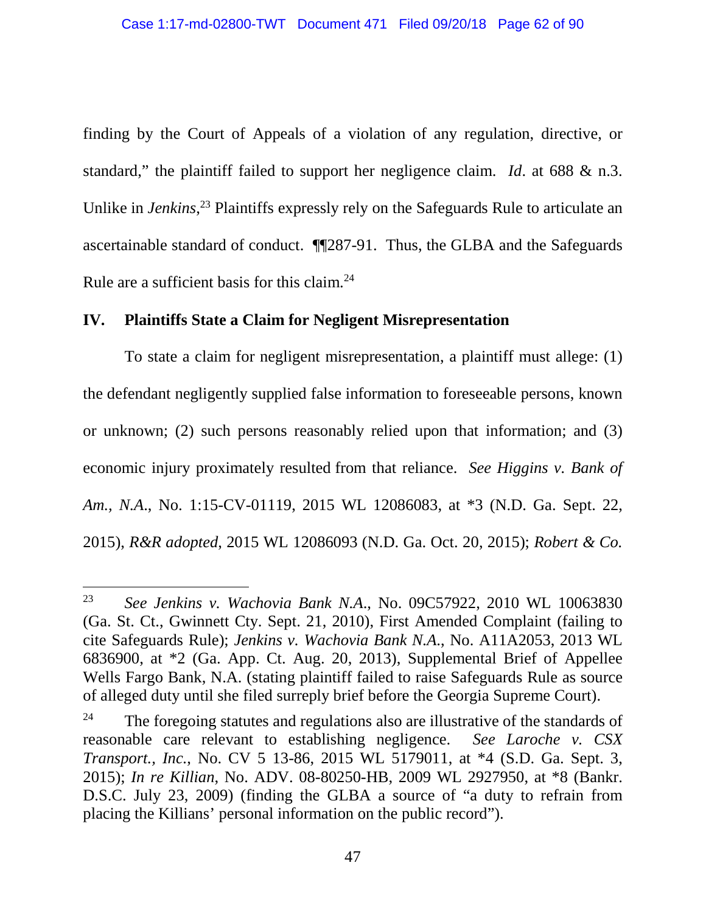finding by the Court of Appeals of a violation of any regulation, directive, or standard," the plaintiff failed to support her negligence claim. *Id*. at 688 & n.3. Unlike in *Jenkins*<sup>23</sup> Plaintiffs expressly rely on the Safeguards Rule to articulate an ascertainable standard of conduct. ¶¶287-91. Thus, the GLBA and the Safeguards Rule are a sufficient basis for this claim.<sup>24</sup>

## **IV. Plaintiffs State a Claim for Negligent Misrepresentation**

To state a claim for negligent misrepresentation, a plaintiff must allege: (1) the defendant negligently supplied false information to foreseeable persons, known or unknown; (2) such persons reasonably relied upon that information; and (3) economic injury proximately resulted from that reliance. *See Higgins v. Bank of Am., N.A*., No. 1:15-CV-01119, 2015 WL 12086083, at \*3 (N.D. Ga. Sept. 22, 2015), *R&R adopted*, 2015 WL 12086093 (N.D. Ga. Oct. 20, 2015); *Robert & Co.* 

<sup>23</sup> *See Jenkins v. Wachovia Bank N.A*., No. 09C57922, 2010 WL 10063830 (Ga. St. Ct., Gwinnett Cty. Sept. 21, 2010), First Amended Complaint (failing to cite Safeguards Rule); *Jenkins v. Wachovia Bank N.A*., No. A11A2053, 2013 WL 6836900, at \*2 (Ga. App. Ct. Aug. 20, 2013), Supplemental Brief of Appellee Wells Fargo Bank, N.A. (stating plaintiff failed to raise Safeguards Rule as source of alleged duty until she filed surreply brief before the Georgia Supreme Court).

 $24$  The foregoing statutes and regulations also are illustrative of the standards of reasonable care relevant to establishing negligence. *See Laroche v. CSX Transport., Inc.*, No. CV 5 13-86, 2015 WL 5179011, at \*4 (S.D. Ga. Sept. 3, 2015); *In re Killian*, No. ADV. 08-80250-HB, 2009 WL 2927950, at \*8 (Bankr. D.S.C. July 23, 2009) (finding the GLBA a source of "a duty to refrain from placing the Killians' personal information on the public record").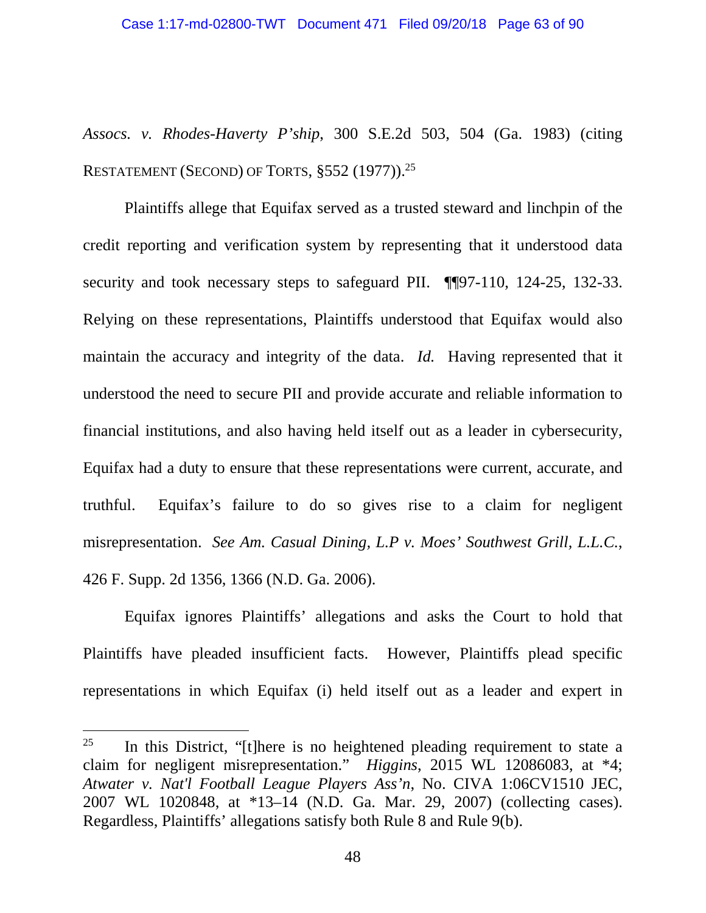*Assocs. v. Rhodes-Haverty P'ship*, 300 S.E.2d 503, 504 (Ga. 1983) (citing RESTATEMENT (SECOND) OF TORTS, §552 (1977)).<sup>25</sup>

Plaintiffs allege that Equifax served as a trusted steward and linchpin of the credit reporting and verification system by representing that it understood data security and took necessary steps to safeguard PII. ¶¶97-110, 124-25, 132-33. Relying on these representations, Plaintiffs understood that Equifax would also maintain the accuracy and integrity of the data. *Id.* Having represented that it understood the need to secure PII and provide accurate and reliable information to financial institutions, and also having held itself out as a leader in cybersecurity, Equifax had a duty to ensure that these representations were current, accurate, and truthful. Equifax's failure to do so gives rise to a claim for negligent misrepresentation. *See Am. Casual Dining, L.P v. Moes' Southwest Grill, L.L.C.*, 426 F. Supp. 2d 1356, 1366 (N.D. Ga. 2006).

Equifax ignores Plaintiffs' allegations and asks the Court to hold that Plaintiffs have pleaded insufficient facts. However, Plaintiffs plead specific representations in which Equifax (i) held itself out as a leader and expert in

<sup>&</sup>lt;sup>25</sup> In this District, "[t]here is no heightened pleading requirement to state a claim for negligent misrepresentation." *Higgins*, 2015 WL 12086083, at \*4; *Atwater v. Nat'l Football League Players Ass'n*, No. CIVA 1:06CV1510 JEC, 2007 WL 1020848, at \*13–14 (N.D. Ga. Mar. 29, 2007) (collecting cases). Regardless, Plaintiffs' allegations satisfy both Rule 8 and Rule 9(b).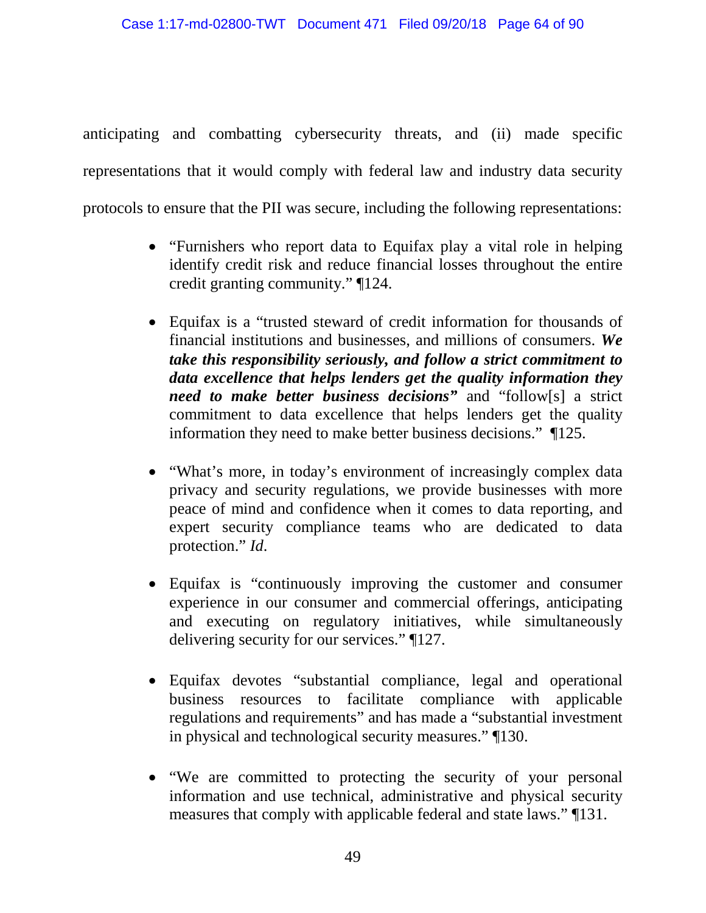anticipating and combatting cybersecurity threats, and (ii) made specific representations that it would comply with federal law and industry data security protocols to ensure that the PII was secure, including the following representations:

- "Furnishers who report data to Equifax play a vital role in helping identify credit risk and reduce financial losses throughout the entire credit granting community." ¶124.
- Equifax is a "trusted steward of credit information for thousands of financial institutions and businesses, and millions of consumers. *We take this responsibility seriously, and follow a strict commitment to data excellence that helps lenders get the quality information they need to make better business decisions"* and "follow[s] a strict commitment to data excellence that helps lenders get the quality information they need to make better business decisions." ¶125.
- "What's more, in today's environment of increasingly complex data privacy and security regulations, we provide businesses with more peace of mind and confidence when it comes to data reporting, and expert security compliance teams who are dedicated to data protection." *Id*.
- Equifax is "continuously improving the customer and consumer experience in our consumer and commercial offerings, anticipating and executing on regulatory initiatives, while simultaneously delivering security for our services." ¶127.
- Equifax devotes "substantial compliance, legal and operational business resources to facilitate compliance with applicable regulations and requirements" and has made a "substantial investment in physical and technological security measures." ¶130.
- "We are committed to protecting the security of your personal information and use technical, administrative and physical security measures that comply with applicable federal and state laws." ¶131.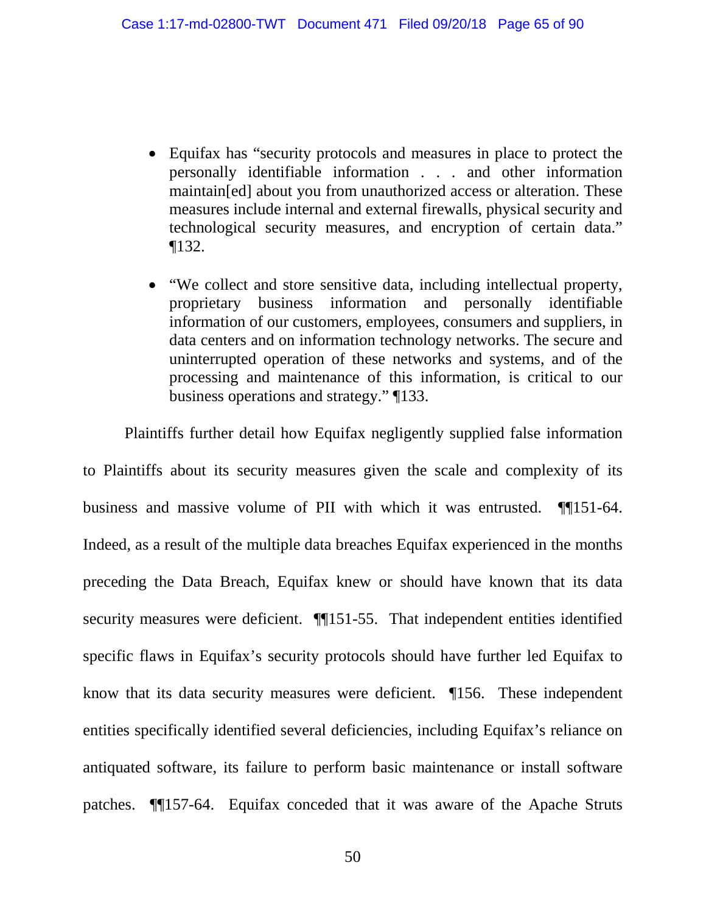- Equifax has "security protocols and measures in place to protect the personally identifiable information . . . and other information maintain[ed] about you from unauthorized access or alteration. These measures include internal and external firewalls, physical security and technological security measures, and encryption of certain data." ¶132.
- "We collect and store sensitive data, including intellectual property, proprietary business information and personally identifiable information of our customers, employees, consumers and suppliers, in data centers and on information technology networks. The secure and uninterrupted operation of these networks and systems, and of the processing and maintenance of this information, is critical to our business operations and strategy." ¶133.

Plaintiffs further detail how Equifax negligently supplied false information

to Plaintiffs about its security measures given the scale and complexity of its business and massive volume of PII with which it was entrusted. ¶¶151-64. Indeed, as a result of the multiple data breaches Equifax experienced in the months preceding the Data Breach, Equifax knew or should have known that its data security measures were deficient.  $\P$ [151-55. That independent entities identified specific flaws in Equifax's security protocols should have further led Equifax to know that its data security measures were deficient. ¶156. These independent entities specifically identified several deficiencies, including Equifax's reliance on antiquated software, its failure to perform basic maintenance or install software patches. ¶¶157-64. Equifax conceded that it was aware of the Apache Struts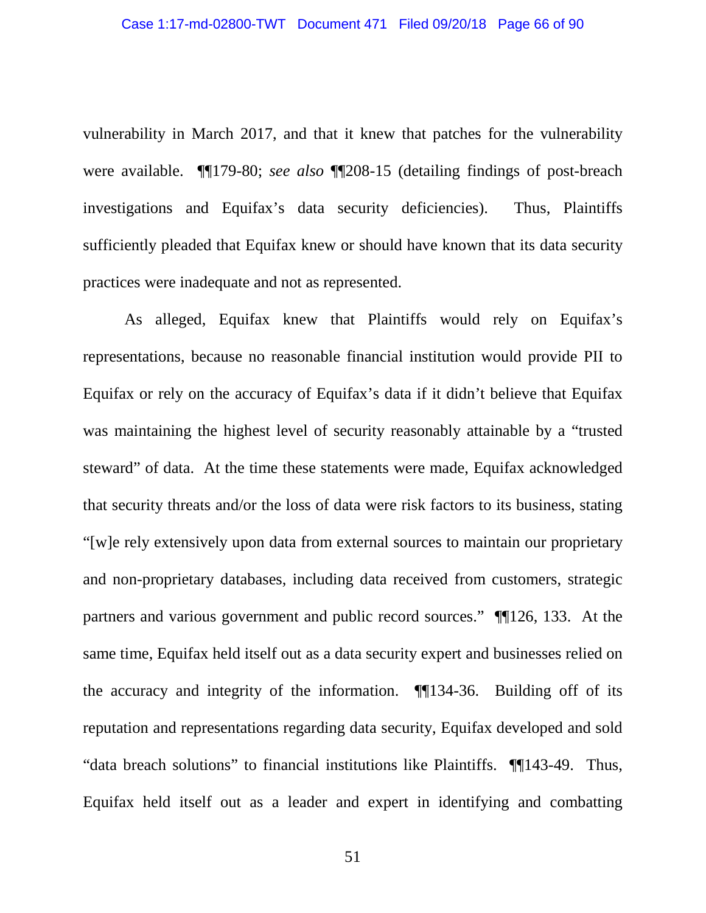vulnerability in March 2017, and that it knew that patches for the vulnerability were available. ¶¶179-80; *see also* ¶¶208-15 (detailing findings of post-breach investigations and Equifax's data security deficiencies). Thus, Plaintiffs sufficiently pleaded that Equifax knew or should have known that its data security practices were inadequate and not as represented.

As alleged, Equifax knew that Plaintiffs would rely on Equifax's representations, because no reasonable financial institution would provide PII to Equifax or rely on the accuracy of Equifax's data if it didn't believe that Equifax was maintaining the highest level of security reasonably attainable by a "trusted steward" of data. At the time these statements were made, Equifax acknowledged that security threats and/or the loss of data were risk factors to its business, stating "[w]e rely extensively upon data from external sources to maintain our proprietary and non-proprietary databases, including data received from customers, strategic partners and various government and public record sources." ¶¶126, 133. At the same time, Equifax held itself out as a data security expert and businesses relied on the accuracy and integrity of the information. ¶¶134-36. Building off of its reputation and representations regarding data security, Equifax developed and sold "data breach solutions" to financial institutions like Plaintiffs. ¶¶143-49. Thus, Equifax held itself out as a leader and expert in identifying and combatting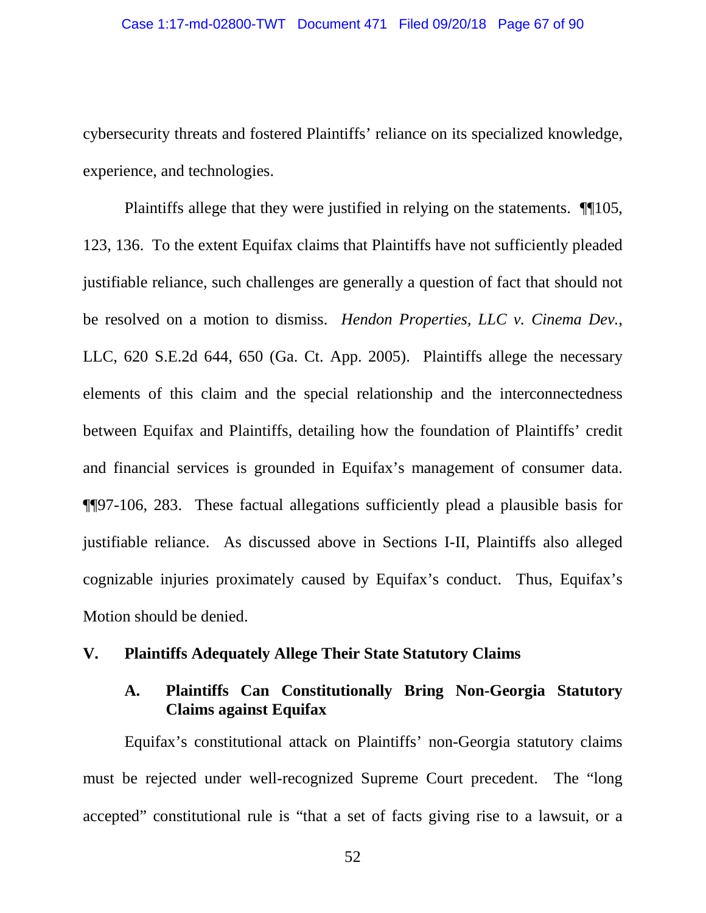cybersecurity threats and fostered Plaintiffs' reliance on its specialized knowledge, experience, and technologies.

Plaintiffs allege that they were justified in relying on the statements. ¶¶105, 123, 136. To the extent Equifax claims that Plaintiffs have not sufficiently pleaded justifiable reliance, such challenges are generally a question of fact that should not be resolved on a motion to dismiss. *Hendon Properties, LLC v. Cinema Dev.*, LLC, 620 S.E.2d 644, 650 (Ga. Ct. App. 2005). Plaintiffs allege the necessary elements of this claim and the special relationship and the interconnectedness between Equifax and Plaintiffs, detailing how the foundation of Plaintiffs' credit and financial services is grounded in Equifax's management of consumer data. ¶¶97-106, 283. These factual allegations sufficiently plead a plausible basis for justifiable reliance. As discussed above in Sections I-II, Plaintiffs also alleged cognizable injuries proximately caused by Equifax's conduct. Thus, Equifax's Motion should be denied.

### **V. Plaintiffs Adequately Allege Their State Statutory Claims**

# **A. Plaintiffs Can Constitutionally Bring Non-Georgia Statutory Claims against Equifax**

Equifax's constitutional attack on Plaintiffs' non-Georgia statutory claims must be rejected under well-recognized Supreme Court precedent. The "long accepted" constitutional rule is "that a set of facts giving rise to a lawsuit, or a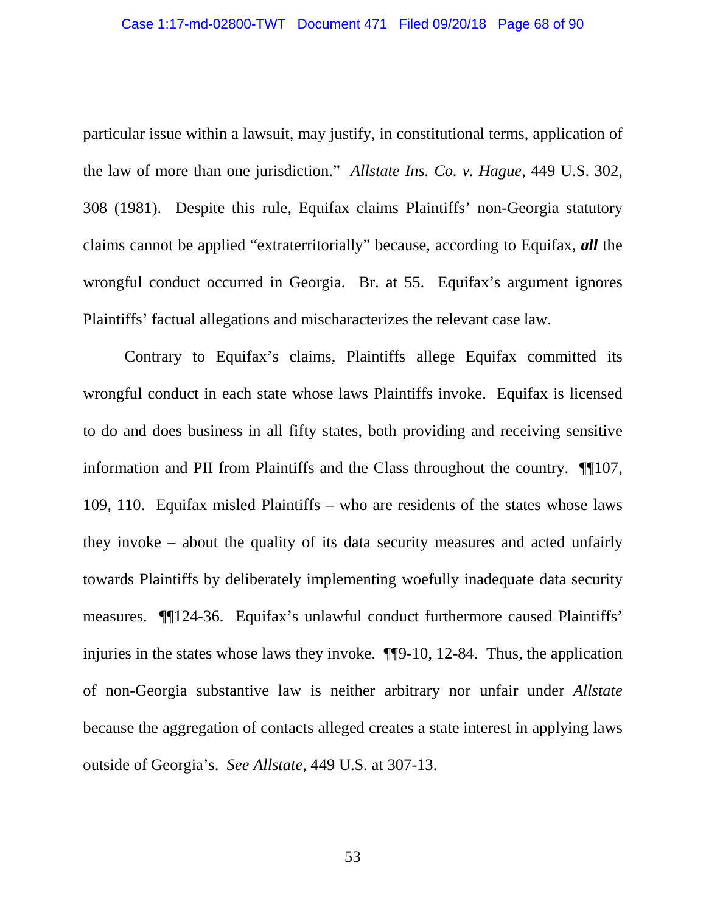particular issue within a lawsuit, may justify, in constitutional terms, application of the law of more than one jurisdiction." *Allstate Ins. Co. v. Hague*, 449 U.S. 302, 308 (1981). Despite this rule, Equifax claims Plaintiffs' non-Georgia statutory claims cannot be applied "extraterritorially" because, according to Equifax, *all* the wrongful conduct occurred in Georgia. Br. at 55. Equifax's argument ignores Plaintiffs' factual allegations and mischaracterizes the relevant case law.

Contrary to Equifax's claims, Plaintiffs allege Equifax committed its wrongful conduct in each state whose laws Plaintiffs invoke. Equifax is licensed to do and does business in all fifty states, both providing and receiving sensitive information and PII from Plaintiffs and the Class throughout the country. ¶¶107, 109, 110. Equifax misled Plaintiffs – who are residents of the states whose laws they invoke – about the quality of its data security measures and acted unfairly towards Plaintiffs by deliberately implementing woefully inadequate data security measures. ¶¶124-36. Equifax's unlawful conduct furthermore caused Plaintiffs' injuries in the states whose laws they invoke. ¶¶9-10, 12-84. Thus, the application of non-Georgia substantive law is neither arbitrary nor unfair under *Allstate*  because the aggregation of contacts alleged creates a state interest in applying laws outside of Georgia's. *See Allstate*, 449 U.S. at 307-13.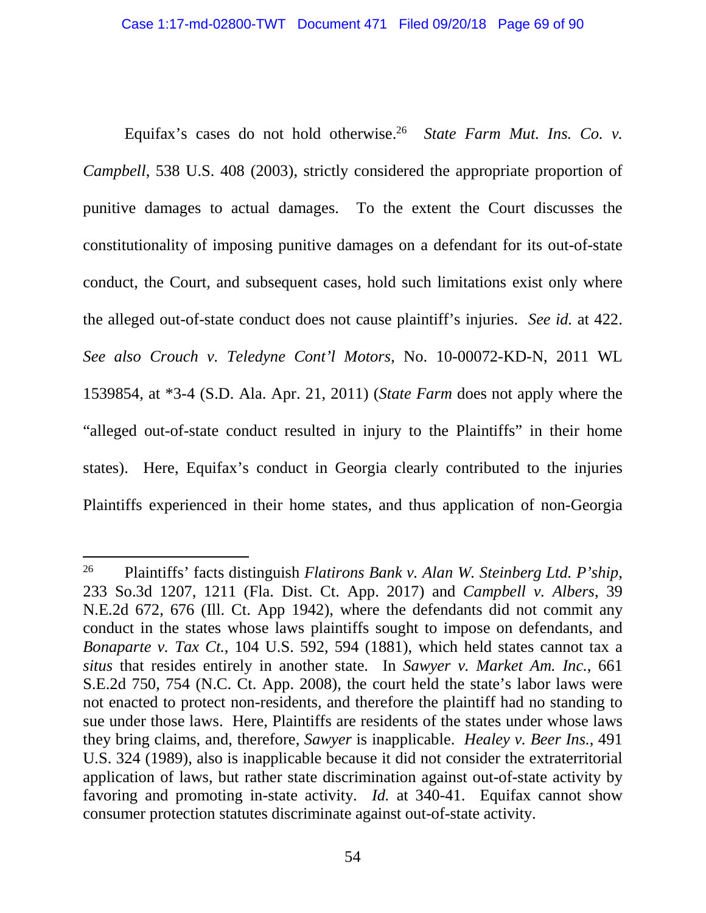Equifax's cases do not hold otherwise.<sup>26</sup> *State Farm Mut. Ins. Co. v. Campbell*, 538 U.S. 408 (2003), strictly considered the appropriate proportion of punitive damages to actual damages. To the extent the Court discusses the constitutionality of imposing punitive damages on a defendant for its out-of-state conduct, the Court, and subsequent cases, hold such limitations exist only where the alleged out-of-state conduct does not cause plaintiff's injuries. *See id.* at 422. *See also Crouch v. Teledyne Cont'l Motors*, No. 10-00072-KD-N, 2011 WL 1539854, at \*3-4 (S.D. Ala. Apr. 21, 2011) (*State Farm* does not apply where the "alleged out-of-state conduct resulted in injury to the Plaintiffs" in their home states). Here, Equifax's conduct in Georgia clearly contributed to the injuries Plaintiffs experienced in their home states, and thus application of non-Georgia

<sup>26</sup> Plaintiffs' facts distinguish *Flatirons Bank v. Alan W. Steinberg Ltd. P'ship*, 233 So.3d 1207, 1211 (Fla. Dist. Ct. App. 2017) and *Campbell v. Albers*, 39 N.E.2d 672, 676 (Ill. Ct. App 1942), where the defendants did not commit any conduct in the states whose laws plaintiffs sought to impose on defendants, and *Bonaparte v. Tax Ct.*, 104 U.S. 592, 594 (1881), which held states cannot tax a *situs* that resides entirely in another state. In *Sawyer v. Market Am. Inc.*, 661 S.E.2d 750, 754 (N.C. Ct. App. 2008), the court held the state's labor laws were not enacted to protect non-residents, and therefore the plaintiff had no standing to sue under those laws. Here, Plaintiffs are residents of the states under whose laws they bring claims, and, therefore, *Sawyer* is inapplicable. *Healey v. Beer Ins.*, 491 U.S. 324 (1989), also is inapplicable because it did not consider the extraterritorial application of laws, but rather state discrimination against out-of-state activity by favoring and promoting in-state activity. *Id.* at 340-41. Equifax cannot show consumer protection statutes discriminate against out-of-state activity.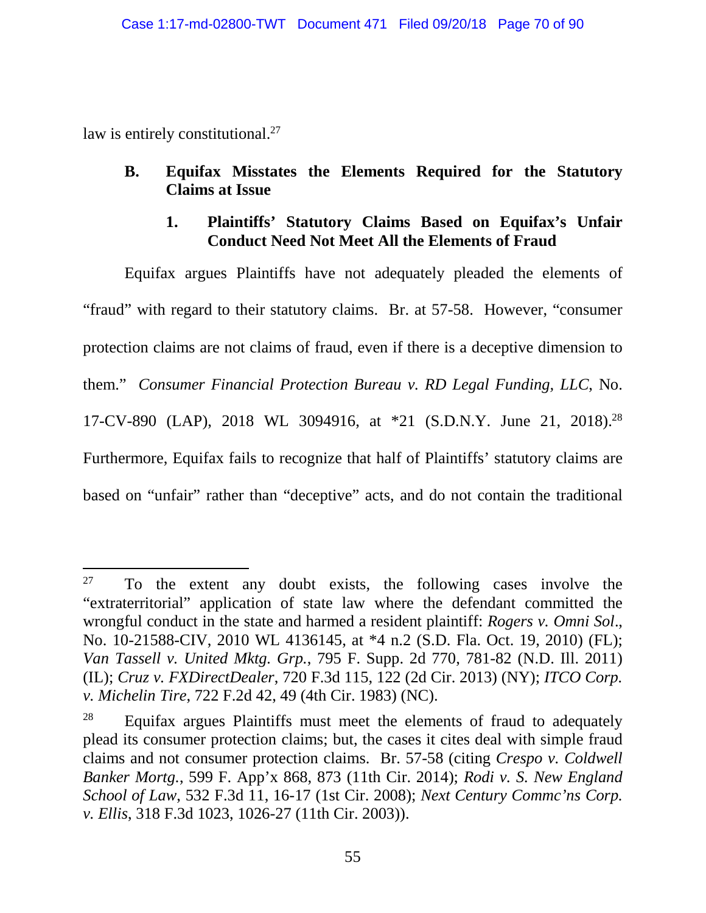law is entirely constitutional.<sup>27</sup>

# **B. Equifax Misstates the Elements Required for the Statutory Claims at Issue**

# **1. Plaintiffs' Statutory Claims Based on Equifax's Unfair Conduct Need Not Meet All the Elements of Fraud**

Equifax argues Plaintiffs have not adequately pleaded the elements of "fraud" with regard to their statutory claims. Br. at 57-58. However, "consumer protection claims are not claims of fraud, even if there is a deceptive dimension to them." *Consumer Financial Protection Bureau v. RD Legal Funding, LLC*, No. 17-CV-890 (LAP), 2018 WL 3094916, at \*21 (S.D.N.Y. June 21, 2018).<sup>28</sup> Furthermore, Equifax fails to recognize that half of Plaintiffs' statutory claims are based on "unfair" rather than "deceptive" acts, and do not contain the traditional

 $27$  To the extent any doubt exists, the following cases involve the "extraterritorial" application of state law where the defendant committed the wrongful conduct in the state and harmed a resident plaintiff: *Rogers v. Omni Sol*., No. 10-21588-CIV, 2010 WL 4136145, at \*4 n.2 (S.D. Fla. Oct. 19, 2010) (FL); *Van Tassell v. United Mktg. Grp.*, 795 F. Supp. 2d 770, 781-82 (N.D. Ill. 2011) (IL); *Cruz v. FXDirectDealer*, 720 F.3d 115, 122 (2d Cir. 2013) (NY); *ITCO Corp. v. Michelin Tire*, 722 F.2d 42, 49 (4th Cir. 1983) (NC).

<sup>&</sup>lt;sup>28</sup> Equifax argues Plaintiffs must meet the elements of fraud to adequately plead its consumer protection claims; but, the cases it cites deal with simple fraud claims and not consumer protection claims. Br. 57-58 (citing *Crespo v. Coldwell Banker Mortg.*, 599 F. App'x 868, 873 (11th Cir. 2014); *Rodi v. S. New England School of Law*, 532 F.3d 11, 16-17 (1st Cir. 2008); *Next Century Commc'ns Corp. v. Ellis*, 318 F.3d 1023, 1026-27 (11th Cir. 2003)).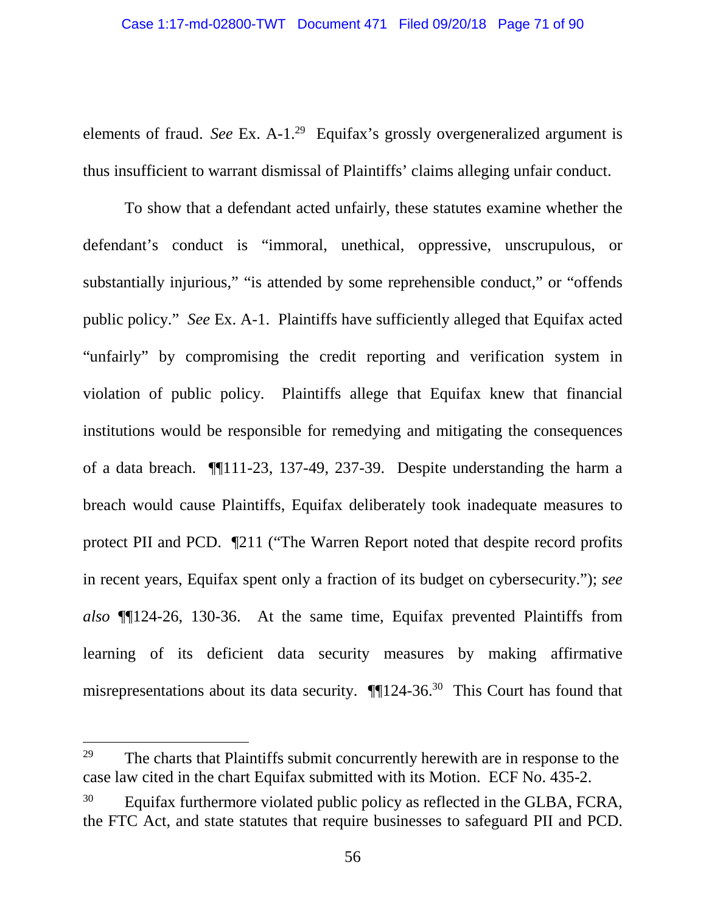elements of fraud. *See* Ex. A-1.<sup>29</sup> Equifax's grossly overgeneralized argument is thus insufficient to warrant dismissal of Plaintiffs' claims alleging unfair conduct.

To show that a defendant acted unfairly, these statutes examine whether the defendant's conduct is "immoral, unethical, oppressive, unscrupulous, or substantially injurious," "is attended by some reprehensible conduct," or "offends public policy." *See* Ex. A-1. Plaintiffs have sufficiently alleged that Equifax acted "unfairly" by compromising the credit reporting and verification system in violation of public policy. Plaintiffs allege that Equifax knew that financial institutions would be responsible for remedying and mitigating the consequences of a data breach. ¶¶111-23, 137-49, 237-39. Despite understanding the harm a breach would cause Plaintiffs, Equifax deliberately took inadequate measures to protect PII and PCD. ¶211 ("The Warren Report noted that despite record profits in recent years, Equifax spent only a fraction of its budget on cybersecurity."); *see also* ¶¶124-26, 130-36. At the same time, Equifax prevented Plaintiffs from learning of its deficient data security measures by making affirmative misrepresentations about its data security. ¶¶124-36.<sup>30</sup> This Court has found that

<sup>&</sup>lt;sup>29</sup> The charts that Plaintiffs submit concurrently herewith are in response to the case law cited in the chart Equifax submitted with its Motion. ECF No. 435-2.

 $30$  Equifax furthermore violated public policy as reflected in the GLBA, FCRA, the FTC Act, and state statutes that require businesses to safeguard PII and PCD.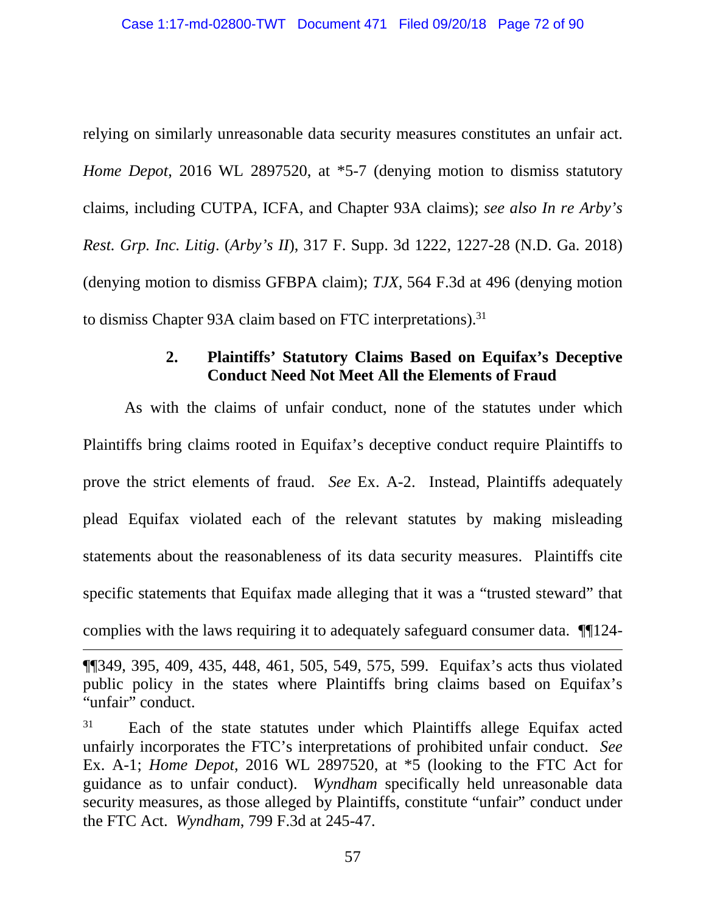relying on similarly unreasonable data security measures constitutes an unfair act. *Home Depot*, 2016 WL 2897520, at \*5-7 (denying motion to dismiss statutory claims, including CUTPA, ICFA, and Chapter 93A claims); *see also In re Arby's Rest. Grp. Inc. Litig*. (*Arby's II*), 317 F. Supp. 3d 1222, 1227-28 (N.D. Ga. 2018) (denying motion to dismiss GFBPA claim); *TJX*, 564 F.3d at 496 (denying motion to dismiss Chapter 93A claim based on FTC interpretations).<sup>31</sup>

# **2. Plaintiffs' Statutory Claims Based on Equifax's Deceptive Conduct Need Not Meet All the Elements of Fraud**

As with the claims of unfair conduct, none of the statutes under which Plaintiffs bring claims rooted in Equifax's deceptive conduct require Plaintiffs to prove the strict elements of fraud. *See* Ex. A-2. Instead, Plaintiffs adequately plead Equifax violated each of the relevant statutes by making misleading statements about the reasonableness of its data security measures. Plaintiffs cite specific statements that Equifax made alleging that it was a "trusted steward" that complies with the laws requiring it to adequately safeguard consumer data. ¶¶124-

<sup>¶¶349, 395, 409, 435, 448, 461, 505, 549, 575, 599.</sup> Equifax's acts thus violated public policy in the states where Plaintiffs bring claims based on Equifax's "unfair" conduct.

<sup>&</sup>lt;sup>31</sup> Each of the state statutes under which Plaintiffs allege Equifax acted unfairly incorporates the FTC's interpretations of prohibited unfair conduct. *See*  Ex. A-1; *Home Depot*, 2016 WL 2897520, at \*5 (looking to the FTC Act for guidance as to unfair conduct). *Wyndham* specifically held unreasonable data security measures, as those alleged by Plaintiffs, constitute "unfair" conduct under the FTC Act. *Wyndham*, 799 F.3d at 245-47.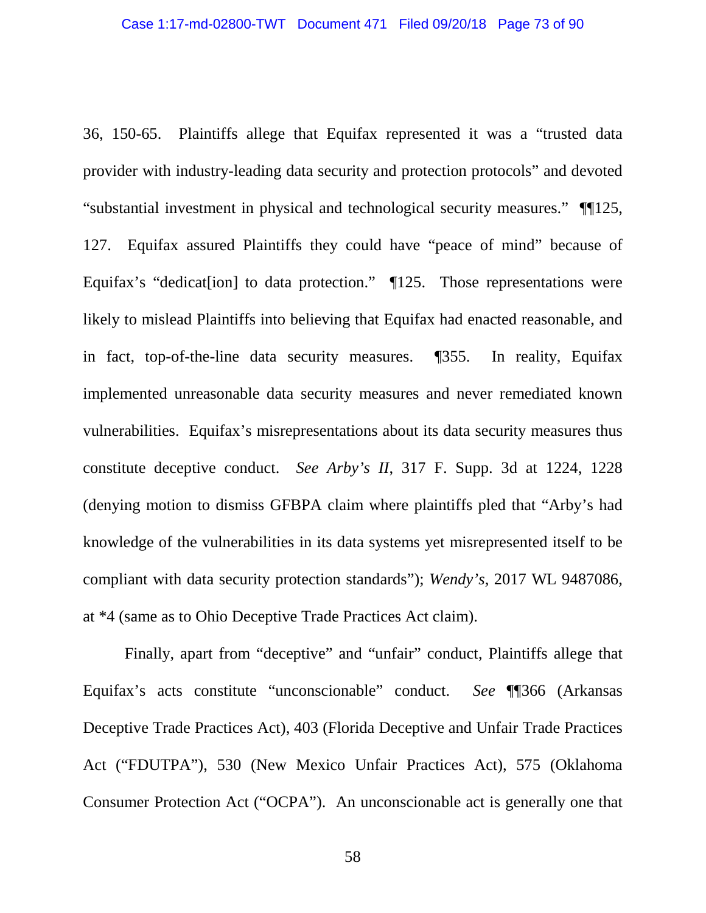36, 150-65. Plaintiffs allege that Equifax represented it was a "trusted data provider with industry-leading data security and protection protocols" and devoted "substantial investment in physical and technological security measures." ¶¶125, 127. Equifax assured Plaintiffs they could have "peace of mind" because of Equifax's "dedicate [ion] to data protection."  $\P$ 125. Those representations were likely to mislead Plaintiffs into believing that Equifax had enacted reasonable, and in fact, top-of-the-line data security measures. ¶355. In reality, Equifax implemented unreasonable data security measures and never remediated known vulnerabilities. Equifax's misrepresentations about its data security measures thus constitute deceptive conduct. *See Arby's II*, 317 F. Supp. 3d at 1224, 1228 (denying motion to dismiss GFBPA claim where plaintiffs pled that "Arby's had knowledge of the vulnerabilities in its data systems yet misrepresented itself to be compliant with data security protection standards"); *Wendy's*, 2017 WL 9487086, at \*4 (same as to Ohio Deceptive Trade Practices Act claim).

Finally, apart from "deceptive" and "unfair" conduct, Plaintiffs allege that Equifax's acts constitute "unconscionable" conduct. *See* ¶¶366 (Arkansas Deceptive Trade Practices Act), 403 (Florida Deceptive and Unfair Trade Practices Act ("FDUTPA"), 530 (New Mexico Unfair Practices Act), 575 (Oklahoma Consumer Protection Act ("OCPA"). An unconscionable act is generally one that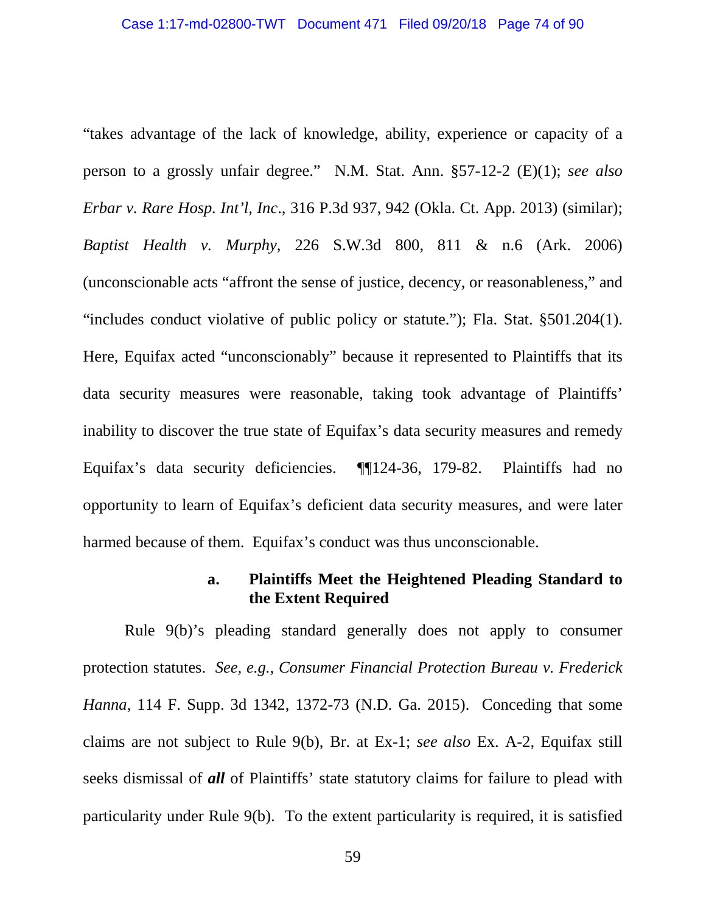"takes advantage of the lack of knowledge, ability, experience or capacity of a person to a grossly unfair degree." N.M. Stat. Ann. §57-12-2 (E)(1); *see also Erbar v. Rare Hosp. Int'l, Inc*., 316 P.3d 937, 942 (Okla. Ct. App. 2013) (similar); *Baptist Health v. Murphy*, 226 S.W.3d 800, 811 & n.6 (Ark. 2006) (unconscionable acts "affront the sense of justice, decency, or reasonableness," and "includes conduct violative of public policy or statute."); Fla. Stat. §501.204(1). Here, Equifax acted "unconscionably" because it represented to Plaintiffs that its data security measures were reasonable, taking took advantage of Plaintiffs' inability to discover the true state of Equifax's data security measures and remedy Equifax's data security deficiencies. ¶¶124-36, 179-82. Plaintiffs had no opportunity to learn of Equifax's deficient data security measures, and were later harmed because of them. Equifax's conduct was thus unconscionable.

## **a. Plaintiffs Meet the Heightened Pleading Standard to the Extent Required**

Rule 9(b)'s pleading standard generally does not apply to consumer protection statutes. *See, e.g.*, *Consumer Financial Protection Bureau v. Frederick Hanna*, 114 F. Supp. 3d 1342, 1372-73 (N.D. Ga. 2015). Conceding that some claims are not subject to Rule 9(b), Br. at Ex-1; *see also* Ex. A-2, Equifax still seeks dismissal of *all* of Plaintiffs' state statutory claims for failure to plead with particularity under Rule 9(b). To the extent particularity is required, it is satisfied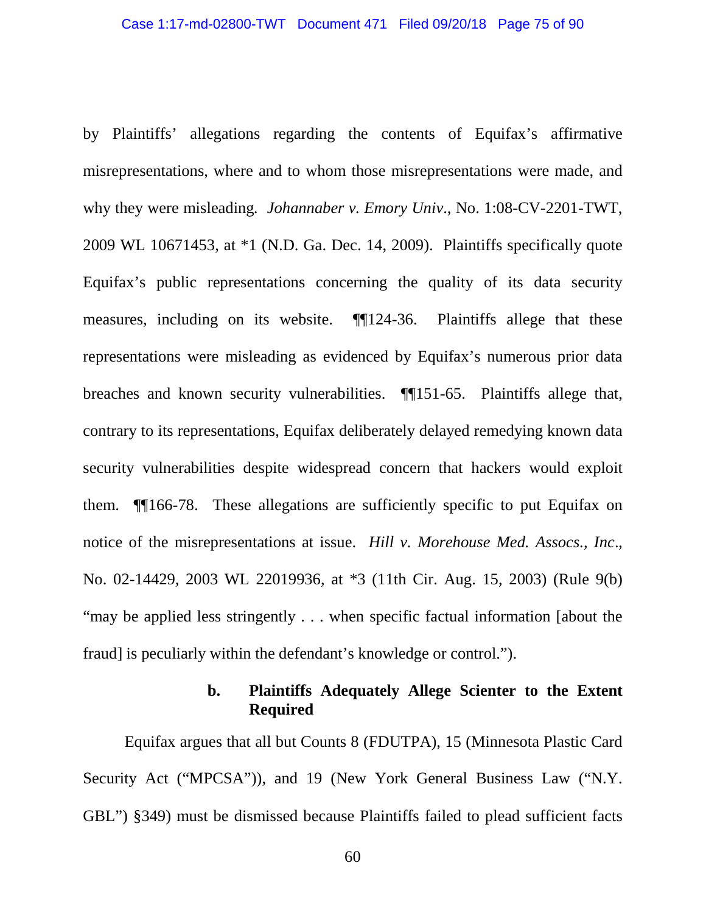by Plaintiffs' allegations regarding the contents of Equifax's affirmative misrepresentations, where and to whom those misrepresentations were made, and why they were misleading*. Johannaber v. Emory Univ*., No. 1:08-CV-2201-TWT, 2009 WL 10671453, at \*1 (N.D. Ga. Dec. 14, 2009). Plaintiffs specifically quote Equifax's public representations concerning the quality of its data security measures, including on its website. ¶¶124-36. Plaintiffs allege that these representations were misleading as evidenced by Equifax's numerous prior data breaches and known security vulnerabilities. ¶¶151-65. Plaintiffs allege that, contrary to its representations, Equifax deliberately delayed remedying known data security vulnerabilities despite widespread concern that hackers would exploit them. ¶¶166-78. These allegations are sufficiently specific to put Equifax on notice of the misrepresentations at issue. *Hill v. Morehouse Med. Assocs., Inc*., No. 02-14429, 2003 WL 22019936, at \*3 (11th Cir. Aug. 15, 2003) (Rule 9(b) "may be applied less stringently . . . when specific factual information [about the fraud] is peculiarly within the defendant's knowledge or control.").

## **b. Plaintiffs Adequately Allege Scienter to the Extent Required**

Equifax argues that all but Counts 8 (FDUTPA), 15 (Minnesota Plastic Card Security Act ("MPCSA")), and 19 (New York General Business Law ("N.Y. GBL") §349) must be dismissed because Plaintiffs failed to plead sufficient facts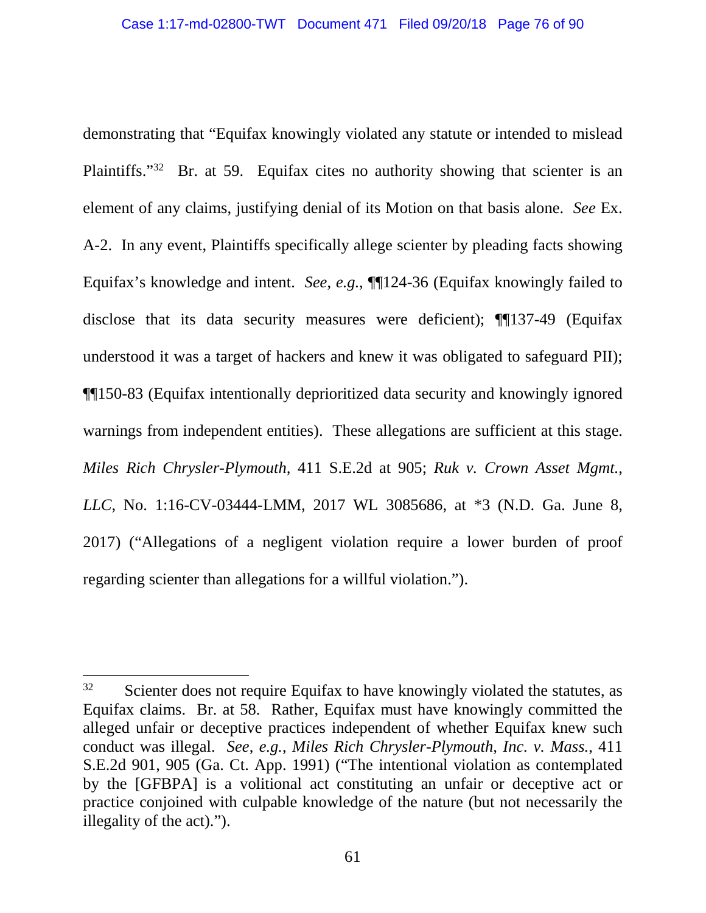demonstrating that "Equifax knowingly violated any statute or intended to mislead Plaintiffs."<sup>32</sup> Br. at 59. Equifax cites no authority showing that scienter is an element of any claims, justifying denial of its Motion on that basis alone. *See* Ex. A-2. In any event, Plaintiffs specifically allege scienter by pleading facts showing Equifax's knowledge and intent. *See*, *e.g.*, ¶¶124-36 (Equifax knowingly failed to disclose that its data security measures were deficient); **[1**] 137-49 (Equifax understood it was a target of hackers and knew it was obligated to safeguard PII); ¶¶150-83 (Equifax intentionally deprioritized data security and knowingly ignored warnings from independent entities). These allegations are sufficient at this stage. *Miles Rich Chrysler-Plymouth,* 411 S.E.2d at 905; *Ruk v. Crown Asset Mgmt., LLC*, No. 1:16-CV-03444-LMM, 2017 WL 3085686, at \*3 (N.D. Ga. June 8, 2017) ("Allegations of a negligent violation require a lower burden of proof regarding scienter than allegations for a willful violation.").

 $32$  Scienter does not require Equifax to have knowingly violated the statutes, as Equifax claims. Br. at 58. Rather, Equifax must have knowingly committed the alleged unfair or deceptive practices independent of whether Equifax knew such conduct was illegal. *See*, *e.g.*, *Miles Rich Chrysler-Plymouth, Inc. v. Mass.*, 411 S.E.2d 901, 905 (Ga. Ct. App. 1991) ("The intentional violation as contemplated by the [GFBPA] is a volitional act constituting an unfair or deceptive act or practice conjoined with culpable knowledge of the nature (but not necessarily the illegality of the act).").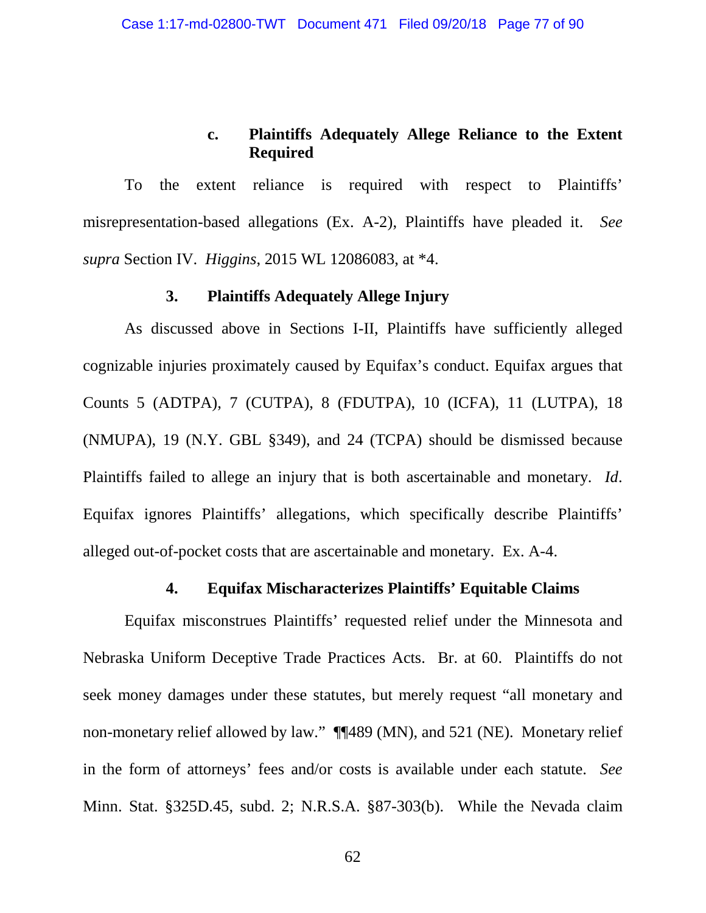## **c. Plaintiffs Adequately Allege Reliance to the Extent Required**

To the extent reliance is required with respect to Plaintiffs' misrepresentation-based allegations (Ex. A-2), Plaintiffs have pleaded it. *See supra* Section IV. *Higgins*, 2015 WL 12086083, at \*4.

## **3. Plaintiffs Adequately Allege Injury**

As discussed above in Sections I-II, Plaintiffs have sufficiently alleged cognizable injuries proximately caused by Equifax's conduct. Equifax argues that Counts 5 (ADTPA), 7 (CUTPA), 8 (FDUTPA), 10 (ICFA), 11 (LUTPA), 18 (NMUPA), 19 (N.Y. GBL §349), and 24 (TCPA) should be dismissed because Plaintiffs failed to allege an injury that is both ascertainable and monetary. *Id*. Equifax ignores Plaintiffs' allegations, which specifically describe Plaintiffs' alleged out-of-pocket costs that are ascertainable and monetary. Ex. A-4.

#### **4. Equifax Mischaracterizes Plaintiffs' Equitable Claims**

Equifax misconstrues Plaintiffs' requested relief under the Minnesota and Nebraska Uniform Deceptive Trade Practices Acts. Br. at 60. Plaintiffs do not seek money damages under these statutes, but merely request "all monetary and non-monetary relief allowed by law." ¶¶489 (MN), and 521 (NE). Monetary relief in the form of attorneys' fees and/or costs is available under each statute. *See* Minn. Stat. §325D.45, subd. 2; N.R.S.A. §87-303(b). While the Nevada claim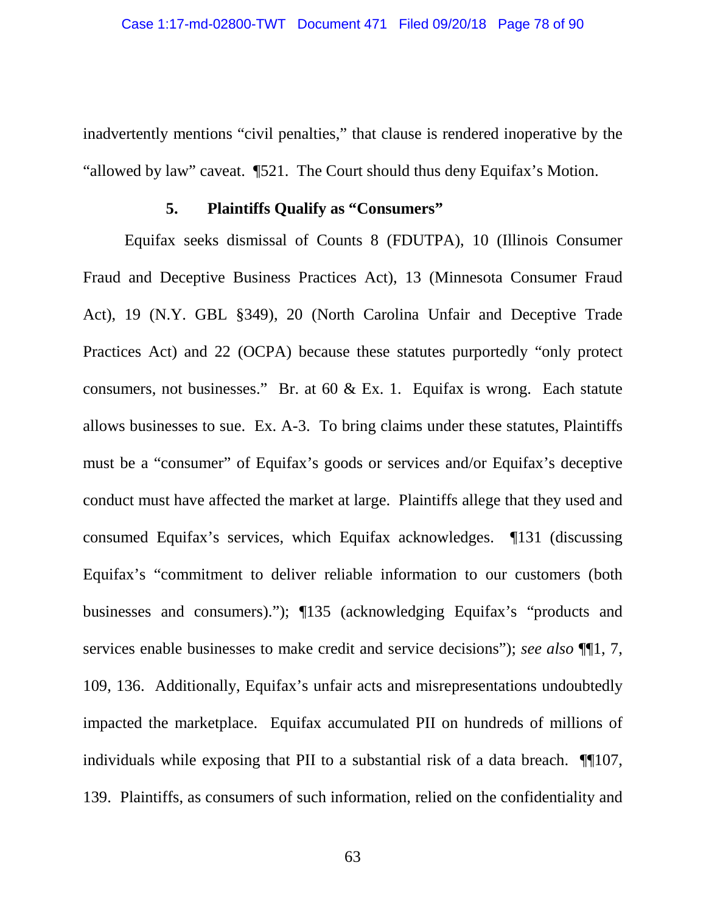inadvertently mentions "civil penalties," that clause is rendered inoperative by the "allowed by law" caveat. ¶521. The Court should thus deny Equifax's Motion.

#### **5. Plaintiffs Qualify as "Consumers"**

Equifax seeks dismissal of Counts 8 (FDUTPA), 10 (Illinois Consumer Fraud and Deceptive Business Practices Act), 13 (Minnesota Consumer Fraud Act), 19 (N.Y. GBL §349), 20 (North Carolina Unfair and Deceptive Trade Practices Act) and 22 (OCPA) because these statutes purportedly "only protect consumers, not businesses." Br. at 60 & Ex. 1. Equifax is wrong. Each statute allows businesses to sue. Ex. A-3. To bring claims under these statutes, Plaintiffs must be a "consumer" of Equifax's goods or services and/or Equifax's deceptive conduct must have affected the market at large. Plaintiffs allege that they used and consumed Equifax's services, which Equifax acknowledges. ¶131 (discussing Equifax's "commitment to deliver reliable information to our customers (both businesses and consumers)."); ¶135 (acknowledging Equifax's "products and services enable businesses to make credit and service decisions"); *see also* ¶¶1, 7, 109, 136. Additionally, Equifax's unfair acts and misrepresentations undoubtedly impacted the marketplace. Equifax accumulated PII on hundreds of millions of individuals while exposing that PII to a substantial risk of a data breach. ¶¶107, 139. Plaintiffs, as consumers of such information, relied on the confidentiality and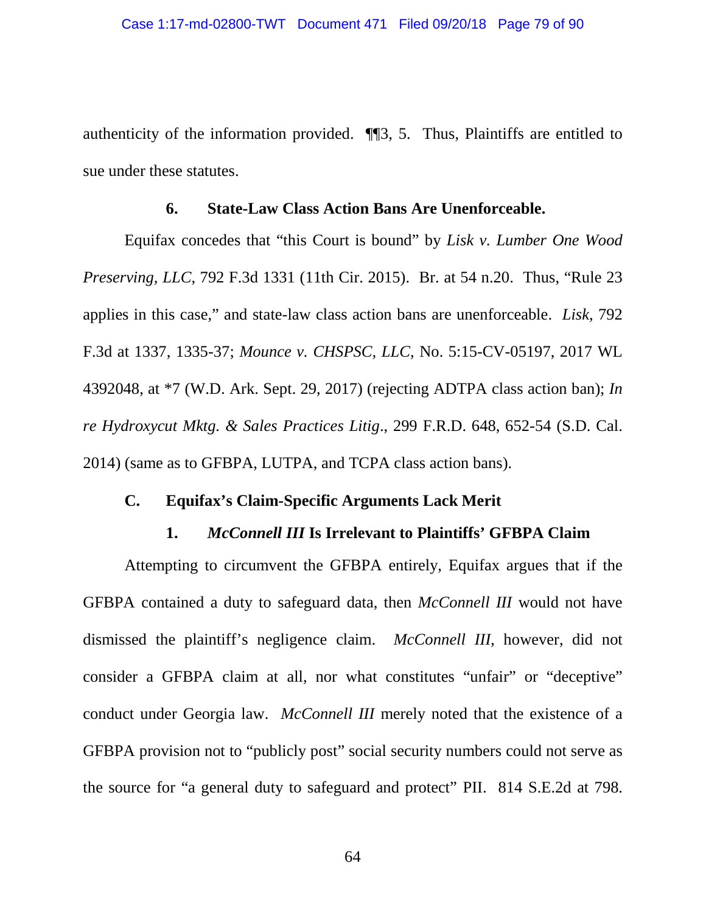authenticity of the information provided. ¶¶3, 5. Thus, Plaintiffs are entitled to sue under these statutes.

#### **6. State-Law Class Action Bans Are Unenforceable.**

Equifax concedes that "this Court is bound" by *Lisk v. Lumber One Wood Preserving, LLC*, 792 F.3d 1331 (11th Cir. 2015). Br. at 54 n.20. Thus, "Rule 23 applies in this case," and state-law class action bans are unenforceable. *Lisk*, 792 F.3d at 1337, 1335-37; *Mounce v. CHSPSC, LLC*, No. 5:15-CV-05197, 2017 WL 4392048, at \*7 (W.D. Ark. Sept. 29, 2017) (rejecting ADTPA class action ban); *In re Hydroxycut Mktg. & Sales Practices Litig*., 299 F.R.D. 648, 652-54 (S.D. Cal. 2014) (same as to GFBPA, LUTPA, and TCPA class action bans).

## **C. Equifax's Claim-Specific Arguments Lack Merit**

#### **1.** *McConnell III* **Is Irrelevant to Plaintiffs' GFBPA Claim**

Attempting to circumvent the GFBPA entirely, Equifax argues that if the GFBPA contained a duty to safeguard data, then *McConnell III* would not have dismissed the plaintiff's negligence claim. *McConnell III*, however, did not consider a GFBPA claim at all, nor what constitutes "unfair" or "deceptive" conduct under Georgia law. *McConnell III* merely noted that the existence of a GFBPA provision not to "publicly post" social security numbers could not serve as the source for "a general duty to safeguard and protect" PII. 814 S.E.2d at 798.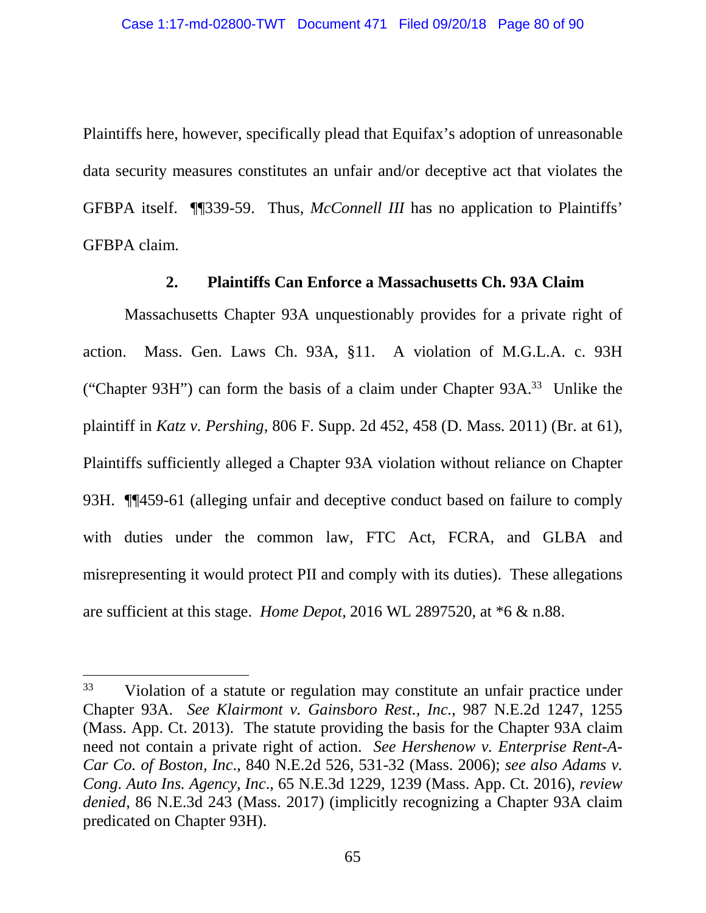Plaintiffs here, however, specifically plead that Equifax's adoption of unreasonable data security measures constitutes an unfair and/or deceptive act that violates the GFBPA itself. ¶¶339-59. Thus, *McConnell III* has no application to Plaintiffs' GFBPA claim.

## **2. Plaintiffs Can Enforce a Massachusetts Ch. 93A Claim**

Massachusetts Chapter 93A unquestionably provides for a private right of action. Mass. Gen. Laws Ch. 93A, §11. A violation of M.G.L.A. c. 93H ("Chapter 93H") can form the basis of a claim under Chapter 93A.<sup>33</sup> Unlike the plaintiff in *Katz v. Pershing*, 806 F. Supp. 2d 452, 458 (D. Mass. 2011) (Br. at 61), Plaintiffs sufficiently alleged a Chapter 93A violation without reliance on Chapter 93H. ¶¶459-61 (alleging unfair and deceptive conduct based on failure to comply with duties under the common law, FTC Act, FCRA, and GLBA and misrepresenting it would protect PII and comply with its duties). These allegations are sufficient at this stage. *Home Depot*, 2016 WL 2897520, at \*6 & n.88.

<sup>&</sup>lt;sup>33</sup> Violation of a statute or regulation may constitute an unfair practice under Chapter 93A. *See Klairmont v. Gainsboro Rest., Inc.*, 987 N.E.2d 1247, 1255 (Mass. App. Ct. 2013). The statute providing the basis for the Chapter 93A claim need not contain a private right of action. *See Hershenow v. Enterprise Rent-A-Car Co. of Boston, Inc*., 840 N.E.2d 526, 531-32 (Mass. 2006); *see also Adams v. Cong. Auto Ins. Agency, Inc*., 65 N.E.3d 1229, 1239 (Mass. App. Ct. 2016), *review denied*, 86 N.E.3d 243 (Mass. 2017) (implicitly recognizing a Chapter 93A claim predicated on Chapter 93H).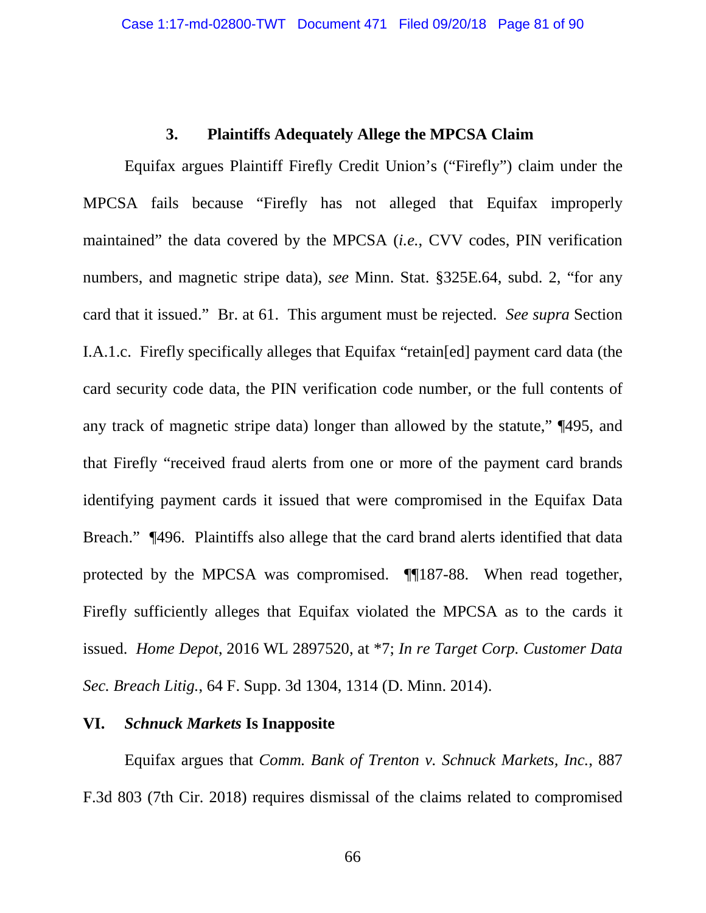#### **3. Plaintiffs Adequately Allege the MPCSA Claim**

Equifax argues Plaintiff Firefly Credit Union's ("Firefly") claim under the MPCSA fails because "Firefly has not alleged that Equifax improperly maintained" the data covered by the MPCSA (*i.e.*, CVV codes, PIN verification numbers, and magnetic stripe data), *see* Minn. Stat. §325E.64, subd. 2, "for any card that it issued." Br. at 61. This argument must be rejected. *See supra* Section I.A.1.c. Firefly specifically alleges that Equifax "retain[ed] payment card data (the card security code data, the PIN verification code number, or the full contents of any track of magnetic stripe data) longer than allowed by the statute," ¶495, and that Firefly "received fraud alerts from one or more of the payment card brands identifying payment cards it issued that were compromised in the Equifax Data Breach." ¶496. Plaintiffs also allege that the card brand alerts identified that data protected by the MPCSA was compromised. ¶¶187-88. When read together, Firefly sufficiently alleges that Equifax violated the MPCSA as to the cards it issued. *Home Depot*, 2016 WL 2897520, at \*7; *In re Target Corp. Customer Data Sec. Breach Litig.*, 64 F. Supp. 3d 1304, 1314 (D. Minn. 2014).

#### **VI.** *Schnuck Markets* **Is Inapposite**

Equifax argues that *Comm. Bank of Trenton v. Schnuck Markets, Inc.*, 887 F.3d 803 (7th Cir. 2018) requires dismissal of the claims related to compromised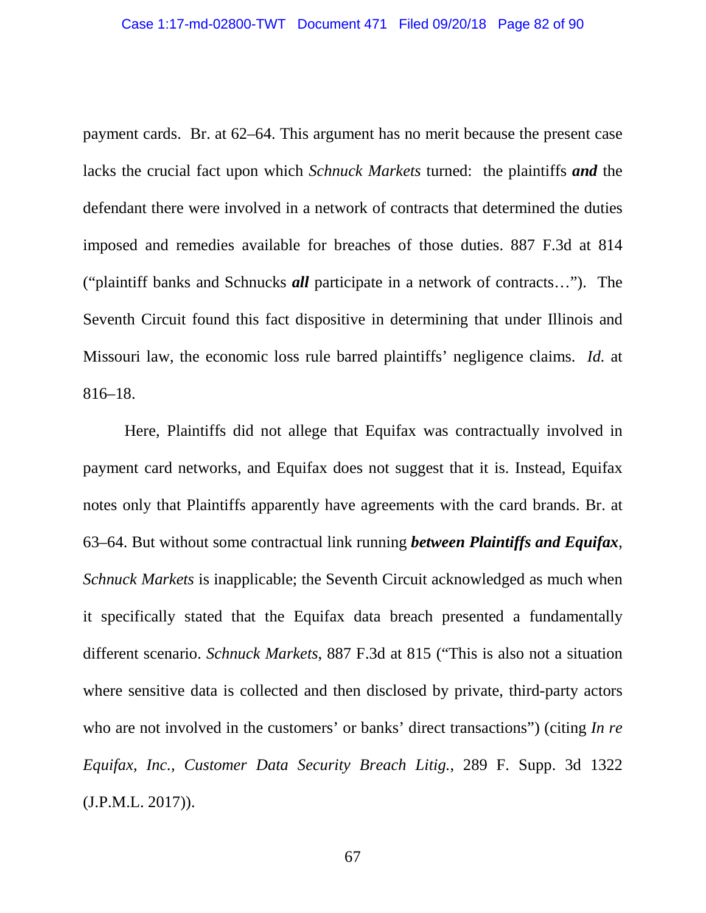payment cards. Br. at 62–64. This argument has no merit because the present case lacks the crucial fact upon which *Schnuck Markets* turned: the plaintiffs *and* the defendant there were involved in a network of contracts that determined the duties imposed and remedies available for breaches of those duties. 887 F.3d at 814 ("plaintiff banks and Schnucks *all* participate in a network of contracts…"). The Seventh Circuit found this fact dispositive in determining that under Illinois and Missouri law, the economic loss rule barred plaintiffs' negligence claims. *Id.* at 816–18.

Here, Plaintiffs did not allege that Equifax was contractually involved in payment card networks, and Equifax does not suggest that it is. Instead, Equifax notes only that Plaintiffs apparently have agreements with the card brands. Br. at 63–64. But without some contractual link running *between Plaintiffs and Equifax*, *Schnuck Markets* is inapplicable; the Seventh Circuit acknowledged as much when it specifically stated that the Equifax data breach presented a fundamentally different scenario. *Schnuck Markets*, 887 F.3d at 815 ("This is also not a situation where sensitive data is collected and then disclosed by private, third-party actors who are not involved in the customers' or banks' direct transactions") (citing *In re Equifax, Inc., Customer Data Security Breach Litig.*, 289 F. Supp. 3d 1322 (J.P.M.L. 2017)).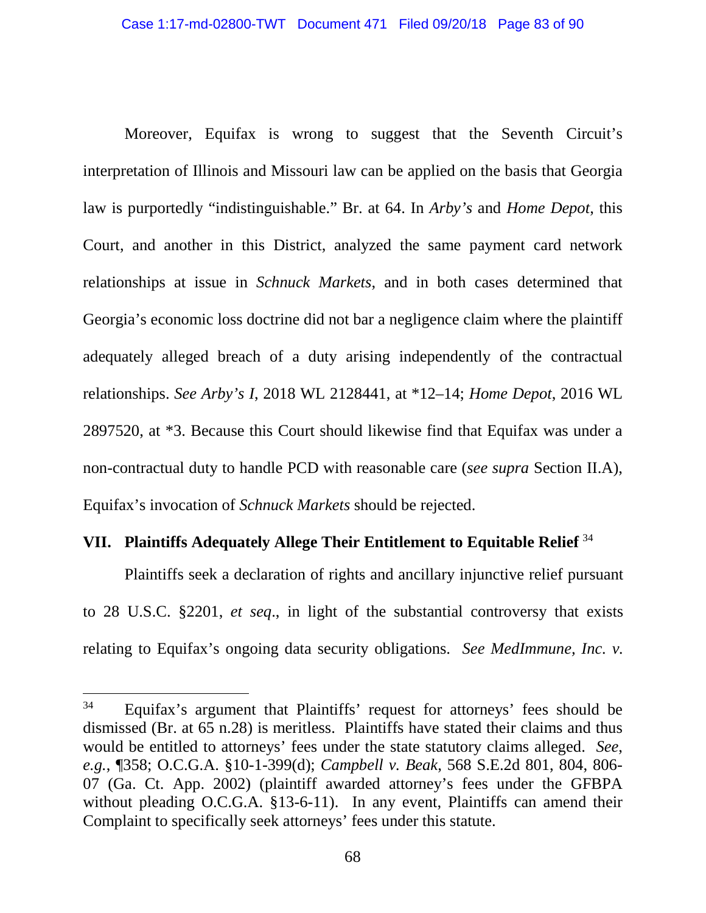Moreover, Equifax is wrong to suggest that the Seventh Circuit's interpretation of Illinois and Missouri law can be applied on the basis that Georgia law is purportedly "indistinguishable." Br. at 64. In *Arby's* and *Home Depot*, this Court, and another in this District, analyzed the same payment card network relationships at issue in *Schnuck Markets*, and in both cases determined that Georgia's economic loss doctrine did not bar a negligence claim where the plaintiff adequately alleged breach of a duty arising independently of the contractual relationships. *See Arby's I*, 2018 WL 2128441, at \*12–14; *Home Depot*, 2016 WL 2897520, at \*3. Because this Court should likewise find that Equifax was under a non-contractual duty to handle PCD with reasonable care (*see supra* Section II.A), Equifax's invocation of *Schnuck Markets* should be rejected.

# **VII. Plaintiffs Adequately Allege Their Entitlement to Equitable Relief** <sup>34</sup>

Plaintiffs seek a declaration of rights and ancillary injunctive relief pursuant to 28 U.S.C. §2201, *et seq*., in light of the substantial controversy that exists relating to Equifax's ongoing data security obligations. *See MedImmune, Inc. v.* 

<sup>&</sup>lt;sup>34</sup> Equifax's argument that Plaintiffs' request for attorneys' fees should be dismissed (Br. at 65 n.28) is meritless. Plaintiffs have stated their claims and thus would be entitled to attorneys' fees under the state statutory claims alleged. *See*, *e.g.*, ¶358; O.C.G.A. §10-1-399(d); *Campbell v. Beak*, 568 S.E.2d 801, 804, 806- 07 (Ga. Ct. App. 2002) (plaintiff awarded attorney's fees under the GFBPA without pleading O.C.G.A. §13-6-11). In any event, Plaintiffs can amend their Complaint to specifically seek attorneys' fees under this statute.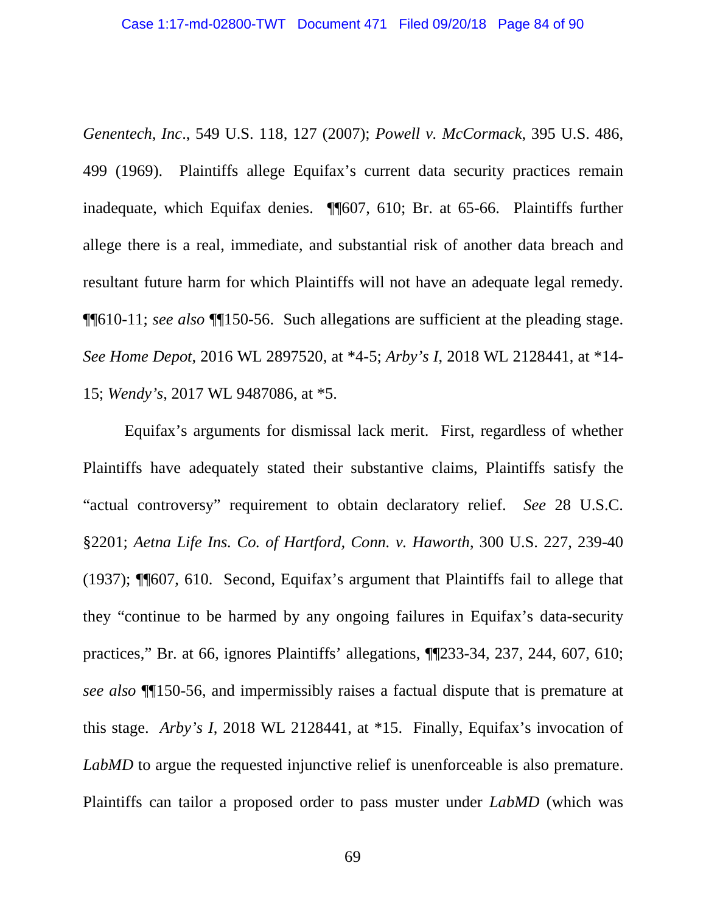*Genentech, Inc*., 549 U.S. 118, 127 (2007); *Powell v. McCormack*, 395 U.S. 486, 499 (1969). Plaintiffs allege Equifax's current data security practices remain inadequate, which Equifax denies. ¶¶607, 610; Br. at 65-66. Plaintiffs further allege there is a real, immediate, and substantial risk of another data breach and resultant future harm for which Plaintiffs will not have an adequate legal remedy. ¶¶610-11; *see also* ¶¶150-56. Such allegations are sufficient at the pleading stage. *See Home Depot*, 2016 WL 2897520, at \*4-5; *Arby's I*, 2018 WL 2128441, at \*14- 15; *Wendy's*, 2017 WL 9487086, at \*5.

Equifax's arguments for dismissal lack merit. First, regardless of whether Plaintiffs have adequately stated their substantive claims, Plaintiffs satisfy the "actual controversy" requirement to obtain declaratory relief. *See* 28 U.S.C. §2201; *Aetna Life Ins. Co. of Hartford, Conn. v. Haworth*, 300 U.S. 227, 239-40 (1937); ¶¶607, 610. Second, Equifax's argument that Plaintiffs fail to allege that they "continue to be harmed by any ongoing failures in Equifax's data-security practices," Br. at 66, ignores Plaintiffs' allegations, ¶¶233-34, 237, 244, 607, 610; *see also* ¶¶150-56, and impermissibly raises a factual dispute that is premature at this stage. *Arby's I*, 2018 WL 2128441, at \*15. Finally, Equifax's invocation of *LabMD* to argue the requested injunctive relief is unenforceable is also premature. Plaintiffs can tailor a proposed order to pass muster under *LabMD* (which was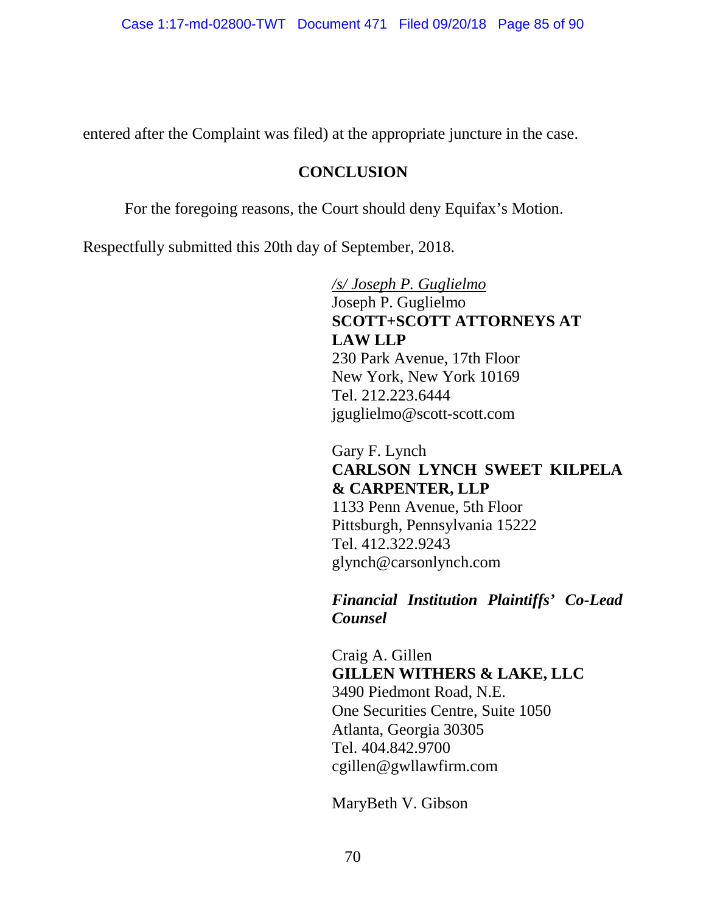entered after the Complaint was filed) at the appropriate juncture in the case.

## **CONCLUSION**

For the foregoing reasons, the Court should deny Equifax's Motion.

Respectfully submitted this 20th day of September, 2018.

*/s/ Joseph P. Guglielmo*  Joseph P. Guglielmo **SCOTT+SCOTT ATTORNEYS AT LAW LLP**  230 Park Avenue, 17th Floor New York, New York 10169 Tel. 212.223.6444 jguglielmo@scott-scott.com

Gary F. Lynch **CARLSON LYNCH SWEET KILPELA & CARPENTER, LLP**  1133 Penn Avenue, 5th Floor Pittsburgh, Pennsylvania 15222 Tel. 412.322.9243 glynch@carsonlynch.com

*Financial Institution Plaintiffs' Co-Lead Counsel* 

Craig A. Gillen **GILLEN WITHERS & LAKE, LLC**  3490 Piedmont Road, N.E. One Securities Centre, Suite 1050 Atlanta, Georgia 30305 Tel. 404.842.9700 cgillen@gwllawfirm.com

MaryBeth V. Gibson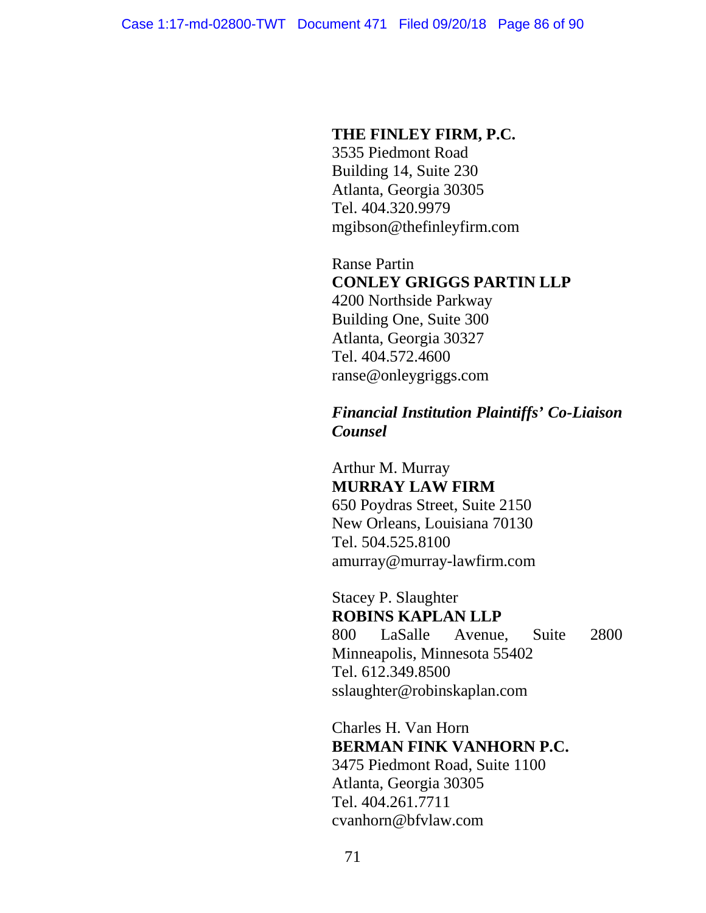#### **THE FINLEY FIRM, P.C.**

3535 Piedmont Road Building 14, Suite 230 Atlanta, Georgia 30305 Tel. 404.320.9979 mgibson@thefinleyfirm.com

Ranse Partin **CONLEY GRIGGS PARTIN LLP** 

4200 Northside Parkway Building One, Suite 300 Atlanta, Georgia 30327 Tel. 404.572.4600 ranse@onleygriggs.com

# *Financial Institution Plaintiffs' Co-Liaison Counsel*

Arthur M. Murray **MURRAY LAW FIRM**  650 Poydras Street, Suite 2150 New Orleans, Louisiana 70130 Tel. 504.525.8100 amurray@murray-lawfirm.com

Stacey P. Slaughter **ROBINS KAPLAN LLP**  800 LaSalle Avenue, Suite 2800 Minneapolis, Minnesota 55402 Tel. 612.349.8500 sslaughter@robinskaplan.com

Charles H. Van Horn **BERMAN FINK VANHORN P.C.**  3475 Piedmont Road, Suite 1100 Atlanta, Georgia 30305 Tel. 404.261.7711 cvanhorn@bfvlaw.com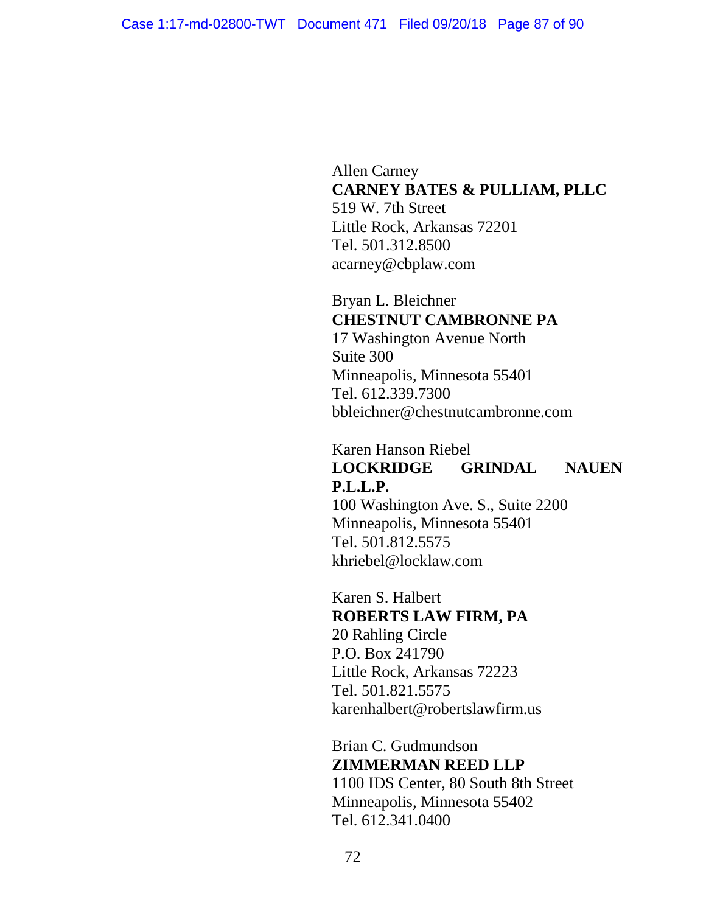Allen Carney **CARNEY BATES & PULLIAM, PLLC**  519 W. 7th Street Little Rock, Arkansas 72201 Tel. 501.312.8500 acarney@cbplaw.com

Bryan L. Bleichner **CHESTNUT CAMBRONNE PA**  17 Washington Avenue North Suite 300 Minneapolis, Minnesota 55401 Tel. 612.339.7300 bbleichner@chestnutcambronne.com

# Karen Hanson Riebel **LOCKRIDGE GRINDAL NAUEN P.L.L.P.**

100 Washington Ave. S., Suite 2200 Minneapolis, Minnesota 55401 Tel. 501.812.5575 khriebel@locklaw.com

Karen S. Halbert **ROBERTS LAW FIRM, PA**  20 Rahling Circle P.O. Box 241790 Little Rock, Arkansas 72223 Tel. 501.821.5575 karenhalbert@robertslawfirm.us

Brian C. Gudmundson **ZIMMERMAN REED LLP**  1100 IDS Center, 80 South 8th Street Minneapolis, Minnesota 55402 Tel. 612.341.0400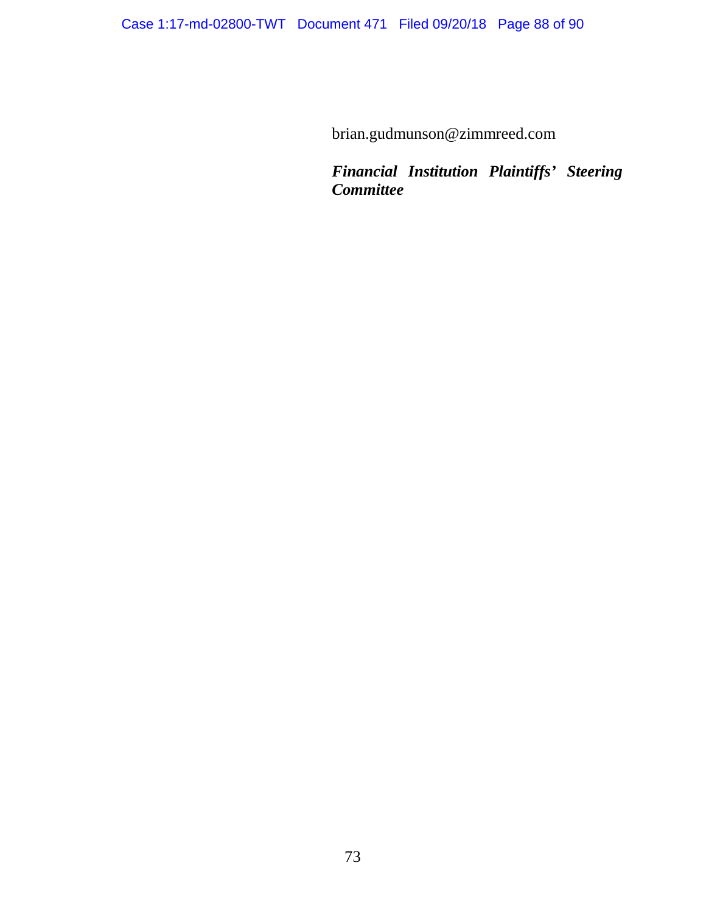brian.gudmunson@zimmreed.com

*Financial Institution Plaintiffs' Steering Committee*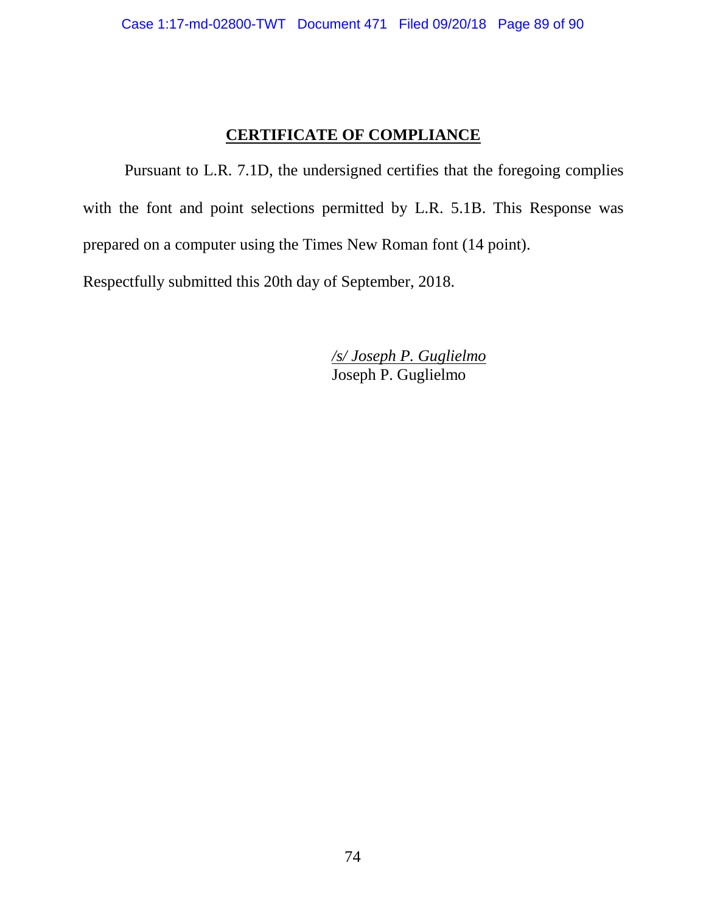## **CERTIFICATE OF COMPLIANCE**

Pursuant to L.R. 7.1D, the undersigned certifies that the foregoing complies with the font and point selections permitted by L.R. 5.1B. This Response was prepared on a computer using the Times New Roman font (14 point). Respectfully submitted this 20th day of September, 2018.

> */s/ Joseph P. Guglielmo*  Joseph P. Guglielmo